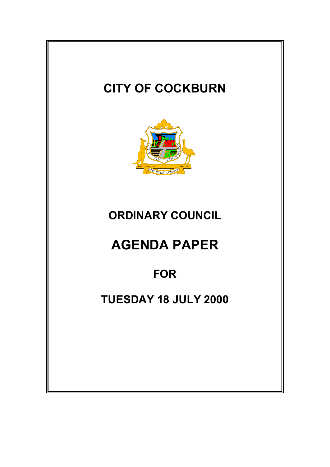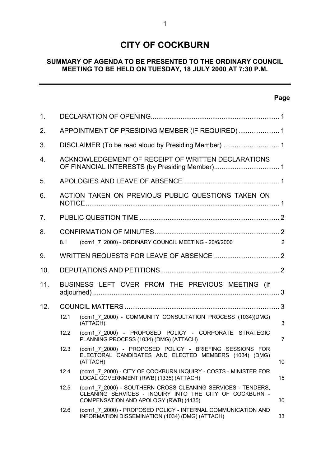# **CITY OF COCKBURN**

# **SUMMARY OF AGENDA TO BE PRESENTED TO THE ORDINARY COUNCIL MEETING TO BE HELD ON TUESDAY, 18 JULY 2000 AT 7:30 P.M.**

# **Page**

 $\equiv$ 

| 1.               |                                                 |                                                                                                                                                                 |                |  |  |  |  |
|------------------|-------------------------------------------------|-----------------------------------------------------------------------------------------------------------------------------------------------------------------|----------------|--|--|--|--|
| 2.               | APPOINTMENT OF PRESIDING MEMBER (IF REQUIRED) 1 |                                                                                                                                                                 |                |  |  |  |  |
| 3.               |                                                 |                                                                                                                                                                 |                |  |  |  |  |
| $\overline{4}$ . |                                                 | ACKNOWLEDGEMENT OF RECEIPT OF WRITTEN DECLARATIONS                                                                                                              |                |  |  |  |  |
| 5.               |                                                 |                                                                                                                                                                 |                |  |  |  |  |
| 6.               |                                                 | ACTION TAKEN ON PREVIOUS PUBLIC QUESTIONS TAKEN ON                                                                                                              |                |  |  |  |  |
| 7 <sub>1</sub>   |                                                 |                                                                                                                                                                 |                |  |  |  |  |
| 8.               |                                                 |                                                                                                                                                                 |                |  |  |  |  |
|                  | 8.1                                             | (ocm1 7 2000) - ORDINARY COUNCIL MEETING - 20/6/2000                                                                                                            | $\overline{2}$ |  |  |  |  |
| 9.               |                                                 |                                                                                                                                                                 |                |  |  |  |  |
| 10.              |                                                 |                                                                                                                                                                 |                |  |  |  |  |
| 11.              |                                                 | BUSINESS LEFT OVER FROM THE PREVIOUS MEETING (If                                                                                                                |                |  |  |  |  |
| 12.              |                                                 |                                                                                                                                                                 |                |  |  |  |  |
|                  | 12.1                                            | (ocm1_7_2000) - COMMUNITY CONSULTATION PROCESS (1034)(DMG)<br>(ATTACH)                                                                                          | 3              |  |  |  |  |
|                  | 12.2                                            | (ocm1 7 2000) - PROPOSED POLICY - CORPORATE STRATEGIC<br>PLANNING PROCESS (1034) (DMG) (ATTACH)                                                                 | $\overline{7}$ |  |  |  |  |
|                  | 12.3                                            | (ocm1 7 2000) - PROPOSED POLICY - BRIEFING SESSIONS FOR<br>ELECTORAL CANDIDATES AND ELECTED MEMBERS (1034) (DMG)<br>(ATTACH)                                    | 10             |  |  |  |  |
|                  | 12.4                                            | (ocm1 7 2000) - CITY OF COCKBURN INQUIRY - COSTS - MINISTER FOR<br>LOCAL GOVERNMENT (RWB) (1335) (ATTACH)                                                       | 15             |  |  |  |  |
|                  | 12.5                                            | (ocm1 7 2000) - SOUTHERN CROSS CLEANING SERVICES - TENDERS,<br>CLEANING SERVICES - INQUIRY INTO THE CITY OF COCKBURN -<br>COMPENSATION AND APOLOGY (RWB) (4435) | 30             |  |  |  |  |
|                  | 12.6                                            | (ocm1_7_2000) - PROPOSED POLICY - INTERNAL COMMUNICATION AND<br>INFORMATION DISSEMINATION (1034) (DMG) (ATTACH)                                                 | 33             |  |  |  |  |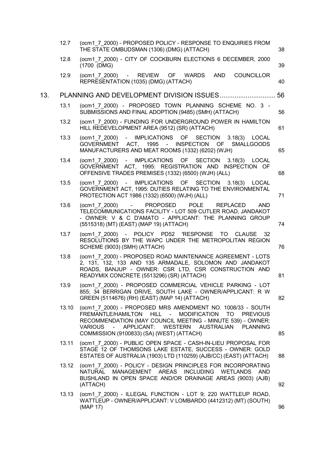|     | 12.7  | (ocm1 7 2000) - PROPOSED POLICY - RESPONSE TO ENQUIRIES FROM<br>THE STATE OMBUDSMAN (1306) (DMG) (ATTACH)                                                                                                                                                                                 | 38 |
|-----|-------|-------------------------------------------------------------------------------------------------------------------------------------------------------------------------------------------------------------------------------------------------------------------------------------------|----|
|     | 12.8  | (ocm1 7 2000) - CITY OF COCKBURN ELECTIONS 6 DECEMBER, 2000<br>(1700 (DMG)                                                                                                                                                                                                                | 39 |
|     | 12.9  | (ocm1 7 2000) - REVIEW OF WARDS<br><b>AND</b><br><b>COUNCILLOR</b><br>REPRESENTATION (1035) (DMG) (ATTACH)                                                                                                                                                                                | 40 |
| 13. |       |                                                                                                                                                                                                                                                                                           | 56 |
|     | 13.1  | (ocm1 7 2000) - PROPOSED TOWN PLANNING SCHEME NO. 3 -<br>SUBMISSIONS AND FINAL ADOPTION (9485) (SMH) (ATTACH)                                                                                                                                                                             | 56 |
|     | 13.2  | (ocm1 7 2000) - FUNDING FOR UNDERGROUND POWER IN HAMILTON<br>HILL REDEVELOPMENT AREA (9512) (SR) (ATTACH)                                                                                                                                                                                 | 61 |
|     | 13.3  | (ocm1 7 2000) - IMPLICATIONS OF SECTION 3.18(3) LOCAL<br>GOVERNMENT ACT, 1995 - INSPECTION OF SMALLGOODS<br>MANUFACTURERS AND MEAT ROOMS (1332) (6202) (WJH)                                                                                                                              | 65 |
|     | 13.4  | (ocm1 7 2000) - IMPLICATIONS OF SECTION 3.18(3) LOCAL<br>GOVERNMENT ACT, 1995: REGISTRATION AND INSPECTION OF<br>OFFENSIVE TRADES PREMISES (1332) (6500) (WJH) (ALL)                                                                                                                      | 68 |
|     | 13.5  | (ocm1 7 2000) - IMPLICATIONS OF SECTION 3.18(3) LOCAL<br>GOVERNMENT ACT, 1995: DUTIES RELATING TO THE ENVIRONMENTAL<br>PROTECTION ACT 1986 (1332) (6500) (WJH) (ALL)                                                                                                                      | 71 |
|     | 13.6  | <b>PROPOSED</b><br><b>POLE</b><br><b>AND</b><br>(ocm1 7 2000)<br><b>REPLACED</b><br>$\sim 10^{-10}$<br>TELECOMMUNICATIONS FACILITY - LOT 509 CUTLER ROAD, JANDAKOT<br>- OWNER: V & C D'AMATO - APPLICANT: THE PLANNING GROUP<br>(5515318) (MT) (EAST) (MAP 19) (ATTACH)                   | 74 |
|     | 13.7  | (ocm1 7 2000) - POLICY PD52 'RESPONSE TO CLAUSE<br>32<br>RESOLUTIONS BY THE WAPC UNDER THE METROPOLITAN REGION<br>SCHEME (9003) (SMH) (ATTACH)                                                                                                                                            | 76 |
|     | 13.8  | (ocm1_7_2000) - PROPOSED ROAD MAINTENANCE AGREEMENT - LOTS<br>2, 131, 132, 133 AND 135 ARMADALE, SOLOMON AND JANDAKOT<br>ROADS, BANJUP - OWNER: CSR LTD, CSR CONSTRUCTION AND<br>READYMIX CONCRETE (5513296) (SR) (ATTACH)                                                                | 81 |
|     | 13.9  | (ocm1 7 2000) - PROPOSED COMMERCIAL VEHICLE PARKING - LOT<br>855; 34 BERRIGAN DRIVE, SOUTH LAKE - OWNER/APPLICANT: R W<br>GREEN (5114676) (RH) (EAST) (MAP 14) (ATTACH)                                                                                                                   | 82 |
|     | 13.10 | (ocm1 7 2000) - PROPOSED MRS AMENDMENT NO. 1008/33 - SOUTH<br>FREMANTLE/HAMILTON HILL - MODIFICATION TO<br><b>PREVIOUS</b><br>RECOMMENDATION (MAY COUNCIL MEETING - MINUTE 539) - OWNER:<br>VARIOUS - APPLICANT: WESTERN AUSTRALIAN PLANNING<br>COMMISSION (9100833) (SA) (WEST) (ATTACH) | 85 |
|     | 13.11 | (ocm1_7_2000) - PUBLIC OPEN SPACE - CASH-IN-LIEU PROPOSAL FOR<br>STAGE 12 OF THOMSONS LAKE ESTATE, SUCCESS - OWNER: GOLD<br>ESTATES OF AUSTRALIA (1903) LTD (110259) (AJB/CC) (EAST) (ATTACH)                                                                                             | 88 |
|     | 13.12 | (ocm1 7 2000) - POLICY - DESIGN PRINCIPLES FOR INCORPORATING<br>NATURAL<br>MANAGEMENT AREAS INCLUDING WETLANDS<br>AND.<br>BUSHLAND IN OPEN SPACE AND/OR DRAINAGE AREAS (9003) (AJB)<br>(ATTACH)                                                                                           | 92 |
|     | 13.13 | (ocm1 7 2000) - ILLEGAL FUNCTION - LOT 9; 220 WATTLEUP ROAD,<br>WATTLEUP - OWNER/APPLICANT: V LOMBARDO (4412312) (MT) (SOUTH)<br>(MAP 17)                                                                                                                                                 | 96 |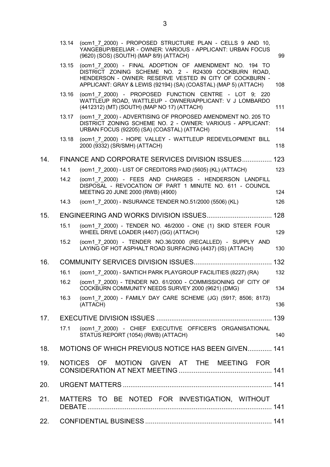|     | 13.14 | (ocm1 7 2000) - PROPOSED STRUCTURE PLAN - CELLS 9 AND 10,<br>YANGEBUP/BEELIAR - OWNER: VARIOUS - APPLICANT: URBAN FOCUS<br>(9620) (SOS) (SOUTH) (MAP 8/9) (ATTACH)                                                                           | 99  |
|-----|-------|----------------------------------------------------------------------------------------------------------------------------------------------------------------------------------------------------------------------------------------------|-----|
|     | 13.15 | (ocm1 7 2000) - FINAL ADOPTION OF AMENDMENT NO. 194 TO<br>DISTRICT ZONING SCHEME NO. 2 - R24309 COCKBURN ROAD,<br>HENDERSON - OWNER: RESERVE VESTED IN CITY OF COCKBURN -<br>APPLICANT: GRAY & LEWIS (92194) (SA) (COASTAL) (MAP 5) (ATTACH) | 108 |
|     | 13.16 | (ocm1 7 2000) - PROPOSED FUNCTION CENTRE - LOT 9; 220<br>WATTLEUP ROAD, WATTLEUP - OWNER/APPLICANT: V J LOMBARDO<br>(4412312) (MT) (SOUTH) (MAP NO 17) (ATTACH)                                                                              | 111 |
|     | 13.17 | (ocm1_7_2000) - ADVERTISING OF PROPOSED AMENDMENT NO. 205 TO<br>DISTRICT ZONING SCHEME NO. 2 - OWNER: VARIOUS - APPLICANT:<br>URBAN FOCUS (92205) (SA) (COASTAL) (ATTACH)                                                                    | 114 |
|     | 13.18 | (ocm1 7 2000) - HOPE VALLEY - WATTLEUP REDEVELOPMENT BILL<br>2000 (9332) (SR/SMH) (ATTACH)                                                                                                                                                   | 118 |
| 14. |       | FINANCE AND CORPORATE SERVICES DIVISION ISSUES 123                                                                                                                                                                                           |     |
|     | 14.1  | (ocm1 7 2000) - LIST OF CREDITORS PAID (5605) (KL) (ATTACH)                                                                                                                                                                                  | 123 |
|     | 14.2  | (ocm1 7 2000) - FEES AND CHARGES - HENDERSON LANDFILL<br>DISPOSAL - REVOCATION OF PART 1 MINUTE NO. 611 - COUNCIL<br>MEETING 20 JUNE 2000 (RWB) (4900)                                                                                       | 124 |
|     | 14.3  | (ocm1 7 2000) - INSURANCE TENDER NO.51/2000 (5506) (KL)                                                                                                                                                                                      | 126 |
| 15. |       |                                                                                                                                                                                                                                              |     |
|     | 15.1  | (ocm1 7 2000) - TENDER NO. 46/2000 - ONE (1) SKID STEER FOUR<br>WHEEL DRIVE LOADER (4407) (GG) (ATTACH)                                                                                                                                      | 129 |
|     | 15.2  | (ocm1 7 2000) - TENDER NO.36/2000 (RECALLED) - SUPPLY AND<br>LAYING OF HOT ASPHALT ROAD SURFACING (4437) (IS) (ATTACH)                                                                                                                       | 130 |
| 16. |       |                                                                                                                                                                                                                                              |     |
|     | 16.1  | (ocm1 7 2000) - SANTICH PARK PLAYGROUP FACILITIES (8227) (RA)                                                                                                                                                                                | 132 |
|     | 16.2  | (ocm1_7_2000) - TENDER NO. 61/2000 - COMMISSIONING OF CITY OF<br>COCKBURN COMMUNITY NEEDS SURVEY 2000 (9621) (DMG)                                                                                                                           | 134 |
|     | 16.3  | (ocm1 7 2000) - FAMILY DAY CARE SCHEME (JG) (5917; 8506; 8173)<br>(ATTACH)                                                                                                                                                                   | 136 |
| 17. |       |                                                                                                                                                                                                                                              |     |
|     | 17.1  | (ocm1 7 2000) - CHIEF EXECUTIVE OFFICER'S ORGANISATIONAL<br>STATUS REPORT (1054) (RWB) (ATTACH)                                                                                                                                              | 140 |
| 18. |       | MOTIONS OF WHICH PREVIOUS NOTICE HAS BEEN GIVEN 141                                                                                                                                                                                          |     |
| 19. |       | MOTION GIVEN AT THE MEETING FOR<br><b>NOTICES</b><br>OF                                                                                                                                                                                      |     |
| 20. |       |                                                                                                                                                                                                                                              |     |
|     |       |                                                                                                                                                                                                                                              |     |
| 21. |       | MATTERS TO BE NOTED FOR INVESTIGATION, WITHOUT                                                                                                                                                                                               |     |
| 22. |       |                                                                                                                                                                                                                                              |     |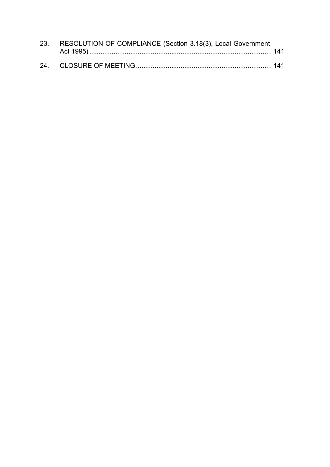| 23. RESOLUTION OF COMPLIANCE (Section 3.18(3), Local Government |  |
|-----------------------------------------------------------------|--|
|                                                                 |  |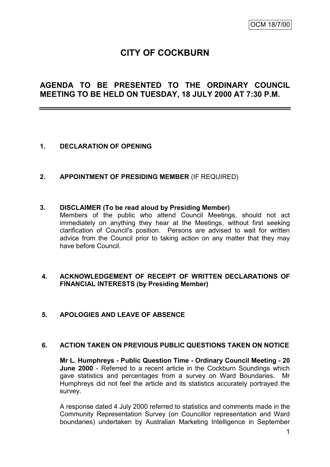# **CITY OF COCKBURN**

# **AGENDA TO BE PRESENTED TO THE ORDINARY COUNCIL MEETING TO BE HELD ON TUESDAY, 18 JULY 2000 AT 7:30 P.M.**

### **1. DECLARATION OF OPENING**

**2. APPOINTMENT OF PRESIDING MEMBER** (IF REQUIRED)

#### **3. DISCLAIMER (To be read aloud by Presiding Member)**

Members of the public who attend Council Meetings, should not act immediately on anything they hear at the Meetings, without first seeking clarification of Council's position. Persons are advised to wait for written advice from the Council prior to taking action on any matter that they may have before Council.

# **4. ACKNOWLEDGEMENT OF RECEIPT OF WRITTEN DECLARATIONS OF FINANCIAL INTERESTS (by Presiding Member)**

### **5. APOLOGIES AND LEAVE OF ABSENCE**

# **6. ACTION TAKEN ON PREVIOUS PUBLIC QUESTIONS TAKEN ON NOTICE**

**Mr L. Humphreys - Public Question Time - Ordinary Council Meeting - 20 June 2000** - Referred to a recent article in the Cockburn Soundings which gave statistics and percentages from a survey on Ward Boundaries. Mr Humphreys did not feel the article and its statistics accurately portrayed the survey.

A response dated 4 July 2000 referred to statistics and comments made in the Community Representation Survey (on Councillor representation and Ward boundaries) undertaken by Australian Marketing Intelligence in September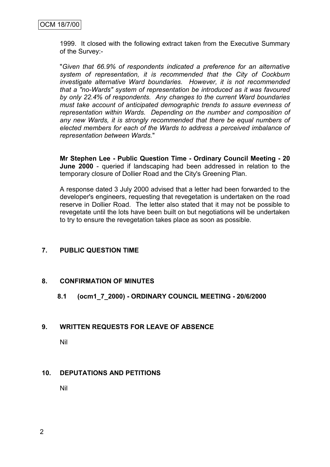1999. It closed with the following extract taken from the Executive Summary of the Survey:-

"*Given that 66.9% of respondents indicated a preference for an alternative system of representation, it is recommended that the City of Cockburn investigate alternative Ward boundaries. However, it is not recommended that a "no-Wards" system of representation be introduced as it was favoured by only 22.4% of respondents. Any changes to the current Ward boundaries must take account of anticipated demographic trends to assure evenness of representation within Wards. Depending on the number and composition of any new Wards, it is strongly recommended that there be equal numbers of elected members for each of the Wards to address a perceived imbalance of representation between Wards.*"

**Mr Stephen Lee - Public Question Time - Ordinary Council Meeting - 20 June 2000** - queried if landscaping had been addressed in relation to the temporary closure of Dollier Road and the City's Greening Plan.

A response dated 3 July 2000 advised that a letter had been forwarded to the developer's engineers, requesting that revegetation is undertaken on the road reserve in Dollier Road. The letter also stated that it may not be possible to revegetate until the lots have been built on but negotiations will be undertaken to try to ensure the revegetation takes place as soon as possible.

### **7. PUBLIC QUESTION TIME**

### **8. CONFIRMATION OF MINUTES**

**8.1 (ocm1\_7\_2000) - ORDINARY COUNCIL MEETING - 20/6/2000**

### **9. WRITTEN REQUESTS FOR LEAVE OF ABSENCE**

Nil

### **10. DEPUTATIONS AND PETITIONS**

Nil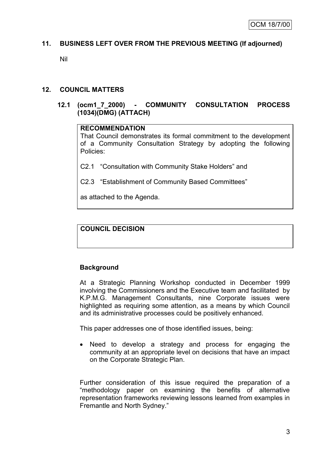# **11. BUSINESS LEFT OVER FROM THE PREVIOUS MEETING (If adjourned)**

Nil

## **12. COUNCIL MATTERS**

## **12.1 (ocm1\_7\_2000) - COMMUNITY CONSULTATION PROCESS (1034)(DMG) (ATTACH)**

#### **RECOMMENDATION**

That Council demonstrates its formal commitment to the development of a Community Consultation Strategy by adopting the following Policies:

- C2.1 "Consultation with Community Stake Holders" and
- C2.3 "Establishment of Community Based Committees"

as attached to the Agenda.

# **COUNCIL DECISION**

# **Background**

At a Strategic Planning Workshop conducted in December 1999 involving the Commissioners and the Executive team and facilitated by K.P.M.G. Management Consultants, nine Corporate issues were highlighted as requiring some attention, as a means by which Council and its administrative processes could be positively enhanced.

This paper addresses one of those identified issues, being:

 Need to develop a strategy and process for engaging the community at an appropriate level on decisions that have an impact on the Corporate Strategic Plan.

Further consideration of this issue required the preparation of a "methodology paper on examining the benefits of alternative representation frameworks reviewing lessons learned from examples in Fremantle and North Sydney."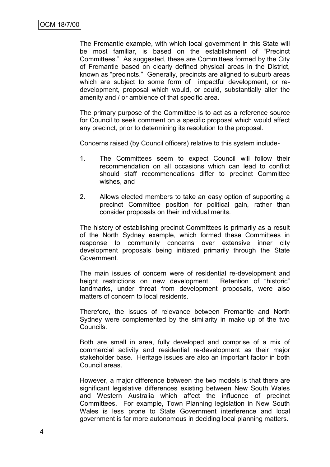The Fremantle example, with which local government in this State will be most familiar, is based on the establishment of "Precinct Committees." As suggested, these are Committees formed by the City of Fremantle based on clearly defined physical areas in the District, known as "precincts." Generally, precincts are aligned to suburb areas which are subject to some form of impactful development, or redevelopment, proposal which would, or could, substantially alter the amenity and / or ambience of that specific area.

The primary purpose of the Committee is to act as a reference source for Council to seek comment on a specific proposal which would affect any precinct, prior to determining its resolution to the proposal.

Concerns raised (by Council officers) relative to this system include-

- 1. The Committees seem to expect Council will follow their recommendation on all occasions which can lead to conflict should staff recommendations differ to precinct Committee wishes, and
- 2. Allows elected members to take an easy option of supporting a precinct Committee position for political gain, rather than consider proposals on their individual merits.

The history of establishing precinct Committees is primarily as a result of the North Sydney example, which formed these Committees in response to community concerns over extensive inner city development proposals being initiated primarily through the State Government.

The main issues of concern were of residential re-development and height restrictions on new development. Retention of "historic" landmarks, under threat from development proposals, were also matters of concern to local residents.

Therefore, the issues of relevance between Fremantle and North Sydney were complemented by the similarity in make up of the two Councils.

Both are small in area, fully developed and comprise of a mix of commercial activity and residential re-development as their major stakeholder base. Heritage issues are also an important factor in both Council areas.

However, a major difference between the two models is that there are significant legislative differences existing between New South Wales and Western Australia which affect the influence of precinct Committees. For example, Town Planning legislation in New South Wales is less prone to State Government interference and local government is far more autonomous in deciding local planning matters.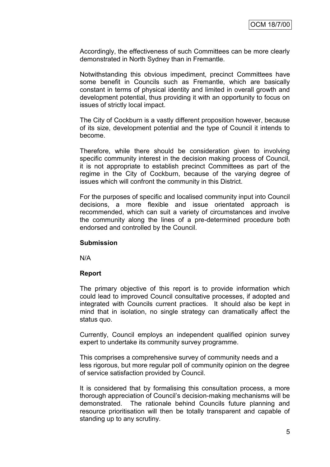Accordingly, the effectiveness of such Committees can be more clearly demonstrated in North Sydney than in Fremantle.

Notwithstanding this obvious impediment, precinct Committees have some benefit in Councils such as Fremantle, which are basically constant in terms of physical identity and limited in overall growth and development potential, thus providing it with an opportunity to focus on issues of strictly local impact.

The City of Cockburn is a vastly different proposition however, because of its size, development potential and the type of Council it intends to become.

Therefore, while there should be consideration given to involving specific community interest in the decision making process of Council, it is not appropriate to establish precinct Committees as part of the regime in the City of Cockburn, because of the varying degree of issues which will confront the community in this District.

For the purposes of specific and localised community input into Council decisions, a more flexible and issue orientated approach is recommended, which can suit a variety of circumstances and involve the community along the lines of a pre-determined procedure both endorsed and controlled by the Council.

#### **Submission**

N/A

### **Report**

The primary objective of this report is to provide information which could lead to improved Council consultative processes, if adopted and integrated with Councils current practices. It should also be kept in mind that in isolation, no single strategy can dramatically affect the status quo.

Currently, Council employs an independent qualified opinion survey expert to undertake its community survey programme.

This comprises a comprehensive survey of community needs and a less rigorous, but more regular poll of community opinion on the degree of service satisfaction provided by Council.

It is considered that by formalising this consultation process, a more thorough appreciation of Council"s decision-making mechanisms will be demonstrated. The rationale behind Councils future planning and resource prioritisation will then be totally transparent and capable of standing up to any scrutiny.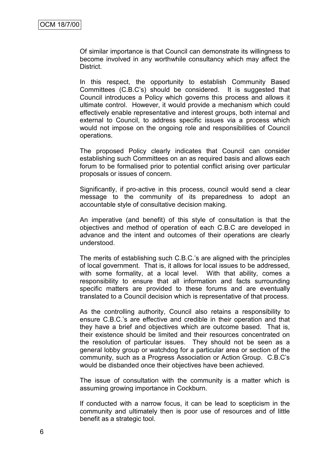Of similar importance is that Council can demonstrate its willingness to become involved in any worthwhile consultancy which may affect the District.

In this respect, the opportunity to establish Community Based Committees (C.B.C"s) should be considered. It is suggested that Council introduces a Policy which governs this process and allows it ultimate control. However, it would provide a mechanism which could effectively enable representative and interest groups, both internal and external to Council, to address specific issues via a process which would not impose on the ongoing role and responsibilities of Council operations.

The proposed Policy clearly indicates that Council can consider establishing such Committees on an as required basis and allows each forum to be formalised prior to potential conflict arising over particular proposals or issues of concern.

Significantly, if pro-active in this process, council would send a clear message to the community of its preparedness to adopt an accountable style of consultative decision making.

An imperative (and benefit) of this style of consultation is that the objectives and method of operation of each C.B.C are developed in advance and the intent and outcomes of their operations are clearly understood.

The merits of establishing such C.B.C."s are aligned with the principles of local government. That is, it allows for local issues to be addressed, with some formality, at a local level. With that ability, comes a responsibility to ensure that all information and facts surrounding specific matters are provided to these forums and are eventually translated to a Council decision which is representative of that process.

As the controlling authority, Council also retains a responsibility to ensure C.B.C."s are effective and credible in their operation and that they have a brief and objectives which are outcome based. That is, their existence should be limited and their resources concentrated on the resolution of particular issues. They should not be seen as a general lobby group or watchdog for a particular area or section of the community, such as a Progress Association or Action Group. C.B.C"s would be disbanded once their objectives have been achieved.

The issue of consultation with the community is a matter which is assuming growing importance in Cockburn.

If conducted with a narrow focus, it can be lead to scepticism in the community and ultimately then is poor use of resources and of little benefit as a strategic tool.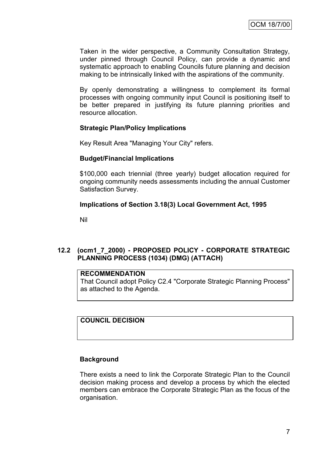Taken in the wider perspective, a Community Consultation Strategy, under pinned through Council Policy, can provide a dynamic and systematic approach to enabling Councils future planning and decision making to be intrinsically linked with the aspirations of the community.

By openly demonstrating a willingness to complement its formal processes with ongoing community input Council is positioning itself to be better prepared in justifying its future planning priorities and resource allocation.

## **Strategic Plan/Policy Implications**

Key Result Area "Managing Your City" refers.

### **Budget/Financial Implications**

\$100,000 each triennial (three yearly) budget allocation required for ongoing community needs assessments including the annual Customer Satisfaction Survey.

### **Implications of Section 3.18(3) Local Government Act, 1995**

Nil

# **12.2 (ocm1\_7\_2000) - PROPOSED POLICY - CORPORATE STRATEGIC PLANNING PROCESS (1034) (DMG) (ATTACH)**

#### **RECOMMENDATION**

That Council adopt Policy C2.4 "Corporate Strategic Planning Process" as attached to the Agenda.

**COUNCIL DECISION**

#### **Background**

There exists a need to link the Corporate Strategic Plan to the Council decision making process and develop a process by which the elected members can embrace the Corporate Strategic Plan as the focus of the organisation.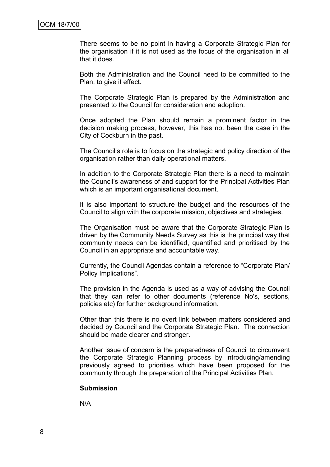There seems to be no point in having a Corporate Strategic Plan for the organisation if it is not used as the focus of the organisation in all that it does.

Both the Administration and the Council need to be committed to the Plan, to give it effect.

The Corporate Strategic Plan is prepared by the Administration and presented to the Council for consideration and adoption.

Once adopted the Plan should remain a prominent factor in the decision making process, however, this has not been the case in the City of Cockburn in the past.

The Council"s role is to focus on the strategic and policy direction of the organisation rather than daily operational matters.

In addition to the Corporate Strategic Plan there is a need to maintain the Council"s awareness of and support for the Principal Activities Plan which is an important organisational document.

It is also important to structure the budget and the resources of the Council to align with the corporate mission, objectives and strategies.

The Organisation must be aware that the Corporate Strategic Plan is driven by the Community Needs Survey as this is the principal way that community needs can be identified, quantified and prioritised by the Council in an appropriate and accountable way.

Currently, the Council Agendas contain a reference to "Corporate Plan/ Policy Implications".

The provision in the Agenda is used as a way of advising the Council that they can refer to other documents (reference No's, sections, policies etc) for further background information.

Other than this there is no overt link between matters considered and decided by Council and the Corporate Strategic Plan. The connection should be made clearer and stronger.

Another issue of concern is the preparedness of Council to circumvent the Corporate Strategic Planning process by introducing/amending previously agreed to priorities which have been proposed for the community through the preparation of the Principal Activities Plan.

#### **Submission**

N/A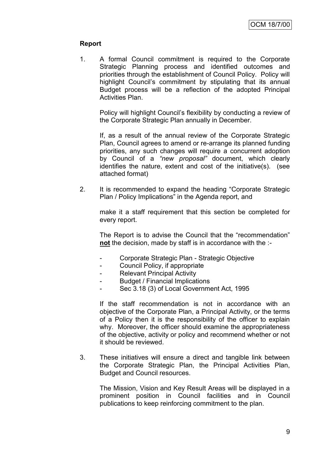## **Report**

1. A formal Council commitment is required to the Corporate Strategic Planning process and identified outcomes and priorities through the establishment of Council Policy. Policy will highlight Council's commitment by stipulating that its annual Budget process will be a reflection of the adopted Principal Activities Plan.

Policy will highlight Council"s flexibility by conducting a review of the Corporate Strategic Plan annually in December.

If, as a result of the annual review of the Corporate Strategic Plan, Council agrees to amend or re-arrange its planned funding priorities, any such changes will require a concurrent adoption by Council of a *"new proposal"* document, which clearly identifies the nature, extent and cost of the initiative(s). (see attached format)

2. It is recommended to expand the heading "Corporate Strategic Plan / Policy Implications" in the Agenda report, and

make it a staff requirement that this section be completed for every report.

The Report is to advise the Council that the "recommendation" **not** the decision, made by staff is in accordance with the :-

- Corporate Strategic Plan Strategic Objective
- Council Policy, if appropriate
- Relevant Principal Activity
- Budget / Financial Implications
- Sec 3.18 (3) of Local Government Act, 1995

If the staff recommendation is not in accordance with an objective of the Corporate Plan, a Principal Activity, or the terms of a Policy then it is the responsibility of the officer to explain why. Moreover, the officer should examine the appropriateness of the objective, activity or policy and recommend whether or not it should be reviewed.

3. These initiatives will ensure a direct and tangible link between the Corporate Strategic Plan, the Principal Activities Plan, Budget and Council resources.

The Mission, Vision and Key Result Areas will be displayed in a prominent position in Council facilities and in Council publications to keep reinforcing commitment to the plan.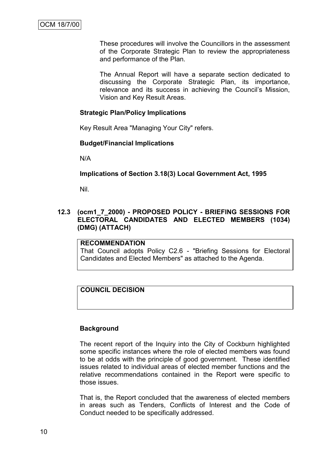These procedures will involve the Councillors in the assessment of the Corporate Strategic Plan to review the appropriateness and performance of the Plan.

The Annual Report will have a separate section dedicated to discussing the Corporate Strategic Plan, its importance, relevance and its success in achieving the Council"s Mission, Vision and Key Result Areas.

## **Strategic Plan/Policy Implications**

Key Result Area "Managing Your City" refers.

### **Budget/Financial Implications**

N/A

### **Implications of Section 3.18(3) Local Government Act, 1995**

Nil.

## **12.3 (ocm1\_7\_2000) - PROPOSED POLICY - BRIEFING SESSIONS FOR ELECTORAL CANDIDATES AND ELECTED MEMBERS (1034) (DMG) (ATTACH)**

## **RECOMMENDATION**

That Council adopts Policy C2.6 - "Briefing Sessions for Electoral Candidates and Elected Members" as attached to the Agenda.

# **COUNCIL DECISION**

### **Background**

The recent report of the Inquiry into the City of Cockburn highlighted some specific instances where the role of elected members was found to be at odds with the principle of good government. These identified issues related to individual areas of elected member functions and the relative recommendations contained in the Report were specific to those issues.

That is, the Report concluded that the awareness of elected members in areas such as Tenders, Conflicts of Interest and the Code of Conduct needed to be specifically addressed.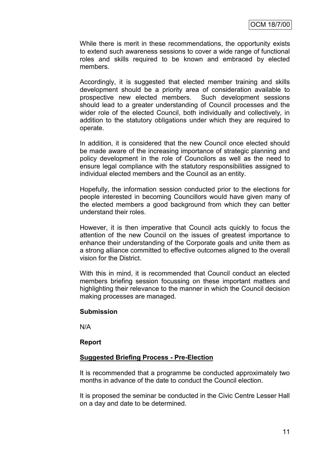While there is merit in these recommendations, the opportunity exists to extend such awareness sessions to cover a wide range of functional roles and skills required to be known and embraced by elected members.

Accordingly, it is suggested that elected member training and skills development should be a priority area of consideration available to prospective new elected members. Such development sessions should lead to a greater understanding of Council processes and the wider role of the elected Council, both individually and collectively, in addition to the statutory obligations under which they are required to operate.

In addition, it is considered that the new Council once elected should be made aware of the increasing importance of strategic planning and policy development in the role of Councilors as well as the need to ensure legal compliance with the statutory responsibilities assigned to individual elected members and the Council as an entity.

Hopefully, the information session conducted prior to the elections for people interested in becoming Councillors would have given many of the elected members a good background from which they can better understand their roles.

However, it is then imperative that Council acts quickly to focus the attention of the new Council on the issues of greatest importance to enhance their understanding of the Corporate goals and unite them as a strong alliance committed to effective outcomes aligned to the overall vision for the District.

With this in mind, it is recommended that Council conduct an elected members briefing session focussing on these important matters and highlighting their relevance to the manner in which the Council decision making processes are managed.

#### **Submission**

N/A

### **Report**

### **Suggested Briefing Process - Pre-Election**

It is recommended that a programme be conducted approximately two months in advance of the date to conduct the Council election.

It is proposed the seminar be conducted in the Civic Centre Lesser Hall on a day and date to be determined.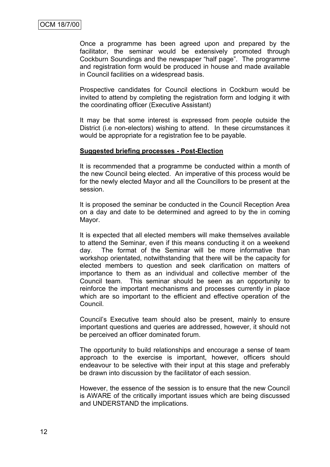Once a programme has been agreed upon and prepared by the facilitator, the seminar would be extensively promoted through Cockburn Soundings and the newspaper "half page". The programme and registration form would be produced in house and made available in Council facilities on a widespread basis.

Prospective candidates for Council elections in Cockburn would be invited to attend by completing the registration form and lodging it with the coordinating officer (Executive Assistant)

It may be that some interest is expressed from people outside the District (i.e non-electors) wishing to attend. In these circumstances it would be appropriate for a registration fee to be payable.

#### **Suggested briefing processes - Post-Election**

It is recommended that a programme be conducted within a month of the new Council being elected. An imperative of this process would be for the newly elected Mayor and all the Councillors to be present at the session.

It is proposed the seminar be conducted in the Council Reception Area on a day and date to be determined and agreed to by the in coming Mayor.

It is expected that all elected members will make themselves available to attend the Seminar, even if this means conducting it on a weekend day. The format of the Seminar will be more informative than workshop orientated, notwithstanding that there will be the capacity for elected members to question and seek clarification on matters of importance to them as an individual and collective member of the Council team. This seminar should be seen as an opportunity to reinforce the important mechanisms and processes currently in place which are so important to the efficient and effective operation of the Council.

Council"s Executive team should also be present, mainly to ensure important questions and queries are addressed, however, it should not be perceived an officer dominated forum.

The opportunity to build relationships and encourage a sense of team approach to the exercise is important, however, officers should endeavour to be selective with their input at this stage and preferably be drawn into discussion by the facilitator of each session.

However, the essence of the session is to ensure that the new Council is AWARE of the critically important issues which are being discussed and UNDERSTAND the implications.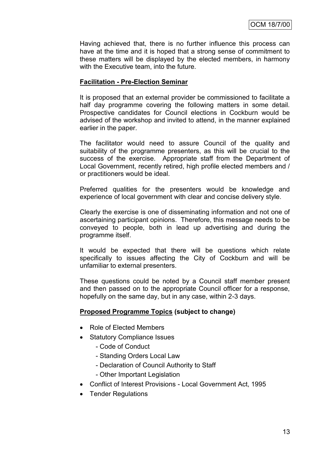Having achieved that, there is no further influence this process can have at the time and it is hoped that a strong sense of commitment to these matters will be displayed by the elected members, in harmony with the Executive team, into the future.

## **Facilitation - Pre-Election Seminar**

It is proposed that an external provider be commissioned to facilitate a half day programme covering the following matters in some detail. Prospective candidates for Council elections in Cockburn would be advised of the workshop and invited to attend, in the manner explained earlier in the paper.

The facilitator would need to assure Council of the quality and suitability of the programme presenters, as this will be crucial to the success of the exercise. Appropriate staff from the Department of Local Government, recently retired, high profile elected members and / or practitioners would be ideal.

Preferred qualities for the presenters would be knowledge and experience of local government with clear and concise delivery style.

Clearly the exercise is one of disseminating information and not one of ascertaining participant opinions. Therefore, this message needs to be conveyed to people, both in lead up advertising and during the programme itself.

It would be expected that there will be questions which relate specifically to issues affecting the City of Cockburn and will be unfamiliar to external presenters.

These questions could be noted by a Council staff member present and then passed on to the appropriate Council officer for a response, hopefully on the same day, but in any case, within 2-3 days.

### **Proposed Programme Topics (subject to change)**

- Role of Elected Members
- Statutory Compliance Issues
	- Code of Conduct
	- Standing Orders Local Law
	- Declaration of Council Authority to Staff
	- Other Important Legislation
- Conflict of Interest Provisions Local Government Act, 1995
- Tender Regulations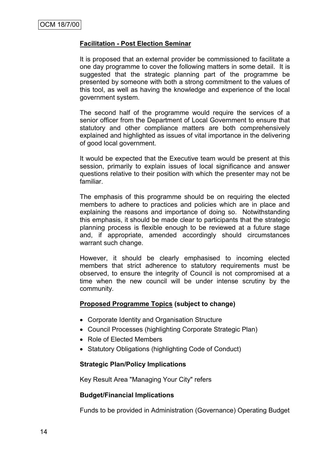## **Facilitation - Post Election Seminar**

It is proposed that an external provider be commissioned to facilitate a one day programme to cover the following matters in some detail. It is suggested that the strategic planning part of the programme be presented by someone with both a strong commitment to the values of this tool, as well as having the knowledge and experience of the local government system.

The second half of the programme would require the services of a senior officer from the Department of Local Government to ensure that statutory and other compliance matters are both comprehensively explained and highlighted as issues of vital importance in the delivering of good local government.

It would be expected that the Executive team would be present at this session, primarily to explain issues of local significance and answer questions relative to their position with which the presenter may not be familiar.

The emphasis of this programme should be on requiring the elected members to adhere to practices and policies which are in place and explaining the reasons and importance of doing so. Notwithstanding this emphasis, it should be made clear to participants that the strategic planning process is flexible enough to be reviewed at a future stage and, if appropriate, amended accordingly should circumstances warrant such change.

However, it should be clearly emphasised to incoming elected members that strict adherence to statutory requirements must be observed, to ensure the integrity of Council is not compromised at a time when the new council will be under intense scrutiny by the community.

### **Proposed Programme Topics (subject to change)**

- Corporate Identity and Organisation Structure
- Council Processes (highlighting Corporate Strategic Plan)
- Role of Elected Members
- Statutory Obligations (highlighting Code of Conduct)

#### **Strategic Plan/Policy Implications**

Key Result Area "Managing Your City" refers

#### **Budget/Financial Implications**

Funds to be provided in Administration (Governance) Operating Budget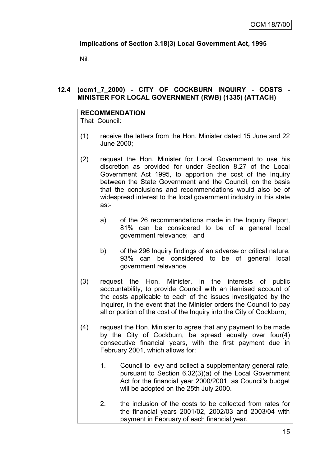# **Implications of Section 3.18(3) Local Government Act, 1995**

Nil.

# **12.4 (ocm1\_7\_2000) - CITY OF COCKBURN INQUIRY - COSTS - MINISTER FOR LOCAL GOVERNMENT (RWB) (1335) (ATTACH)**

# **RECOMMENDATION**

That Council:

- (1) receive the letters from the Hon. Minister dated 15 June and 22 June 2000;
- (2) request the Hon. Minister for Local Government to use his discretion as provided for under Section 8.27 of the Local Government Act 1995, to apportion the cost of the Inquiry between the State Government and the Council, on the basis that the conclusions and recommendations would also be of widespread interest to the local government industry in this state as:
	- a) of the 26 recommendations made in the Inquiry Report, 81% can be considered to be of a general local government relevance; and
	- b) of the 296 Inquiry findings of an adverse or critical nature, 93% can be considered to be of general local government relevance.
- (3) request the Hon. Minister, in the interests of public accountability, to provide Council with an itemised account of the costs applicable to each of the issues investigated by the Inquirer, in the event that the Minister orders the Council to pay all or portion of the cost of the Inquiry into the City of Cockburn;
- (4) request the Hon. Minister to agree that any payment to be made by the City of Cockburn, be spread equally over four(4) consecutive financial years, with the first payment due in February 2001, which allows for:
	- 1. Council to levy and collect a supplementary general rate, pursuant to Section 6.32(3)(a) of the Local Government Act for the financial year 2000/2001, as Council's budget will be adopted on the 25th July 2000.
	- 2. the inclusion of the costs to be collected from rates for the financial years 2001/02, 2002/03 and 2003/04 with payment in February of each financial year.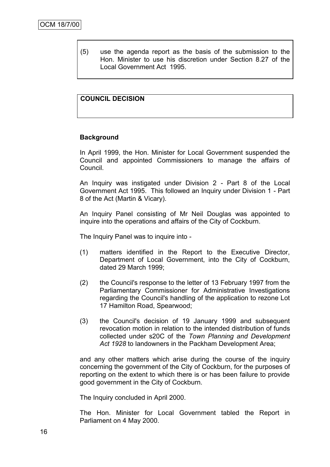(5) use the agenda report as the basis of the submission to the Hon. Minister to use his discretion under Section 8.27 of the Local Government Act 1995.

## **COUNCIL DECISION**

### **Background**

In April 1999, the Hon. Minister for Local Government suspended the Council and appointed Commissioners to manage the affairs of Council.

An Inquiry was instigated under Division 2 - Part 8 of the Local Government Act 1995. This followed an Inquiry under Division 1 - Part 8 of the Act (Martin & Vicary).

An Inquiry Panel consisting of Mr Neil Douglas was appointed to inquire into the operations and affairs of the City of Cockburn.

The Inquiry Panel was to inquire into -

- (1) matters identified in the Report to the Executive Director, Department of Local Government, into the City of Cockburn, dated 29 March 1999;
- (2) the Council's response to the letter of 13 February 1997 from the Parliamentary Commissioner for Administrative Investigations regarding the Council's handling of the application to rezone Lot 17 Hamilton Road, Spearwood;
- (3) the Council's decision of 19 January 1999 and subsequent revocation motion in relation to the intended distribution of funds collected under s20C of the *Town Planning and Development Act 1928* to landowners in the Packham Development Area;

and any other matters which arise during the course of the inquiry concerning the government of the City of Cockburn, for the purposes of reporting on the extent to which there is or has been failure to provide good government in the City of Cockburn.

The Inquiry concluded in April 2000.

The Hon. Minister for Local Government tabled the Report in Parliament on 4 May 2000.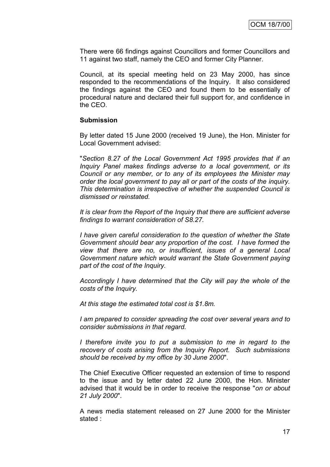There were 66 findings against Councillors and former Councillors and 11 against two staff, namely the CEO and former City Planner.

Council, at its special meeting held on 23 May 2000, has since responded to the recommendations of the Inquiry. It also considered the findings against the CEO and found them to be essentially of procedural nature and declared their full support for, and confidence in the CEO.

#### **Submission**

By letter dated 15 June 2000 (received 19 June), the Hon. Minister for Local Government advised:

"*Section 8.27 of the Local Government Act 1995 provides that if an Inquiry Panel makes findings adverse to a local government, or its Council or any member, or to any of its employees the Minister may order the local government to pay all or part of the costs of the inquiry. This determination is irrespective of whether the suspended Council is dismissed or reinstated.*

*It is clear from the Report of the Inquiry that there are sufficient adverse findings to warrant consideration of S8.27.*

*I have given careful consideration to the question of whether the State Government should bear any proportion of the cost. I have formed the view that there are no, or insufficient, issues of a general Local Government nature which would warrant the State Government paying part of the cost of the Inquiry.*

*Accordingly I have determined that the City will pay the whole of the costs of the Inquiry.*

*At this stage the estimated total cost is \$1.8m.*

*I am prepared to consider spreading the cost over several years and to consider submissions in that regard.*

*I therefore invite you to put a submission to me in regard to the recovery of costs arising from the Inquiry Report. Such submissions should be received by my office by 30 June 2000*".

The Chief Executive Officer requested an extension of time to respond to the issue and by letter dated 22 June 2000, the Hon. Minister advised that it would be in order to receive the response "*on or about 21 July 2000*".

A news media statement released on 27 June 2000 for the Minister stated :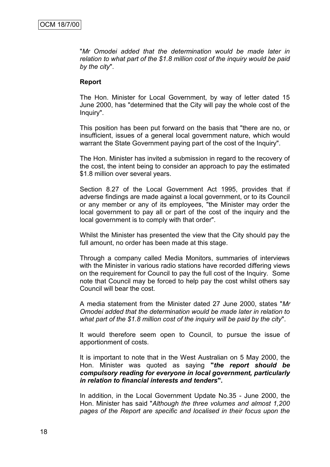"*Mr Omodei added that the determination would be made later in relation to what part of the \$1.8 million cost of the inquiry would be paid by the city*".

#### **Report**

The Hon. Minister for Local Government, by way of letter dated 15 June 2000, has "determined that the City will pay the whole cost of the Inquiry".

This position has been put forward on the basis that "there are no, or insufficient, issues of a general local government nature, which would warrant the State Government paying part of the cost of the Inquiry".

The Hon. Minister has invited a submission in regard to the recovery of the cost, the intent being to consider an approach to pay the estimated \$1.8 million over several years.

Section 8.27 of the Local Government Act 1995, provides that if adverse findings are made against a local government, or to its Council or any member or any of its employees, "the Minister may order the local government to pay all or part of the cost of the inquiry and the local government is to comply with that order".

Whilst the Minister has presented the view that the City should pay the full amount, no order has been made at this stage.

Through a company called Media Monitors, summaries of interviews with the Minister in various radio stations have recorded differing views on the requirement for Council to pay the full cost of the Inquiry. Some note that Council may be forced to help pay the cost whilst others say Council will bear the cost.

A media statement from the Minister dated 27 June 2000, states "*Mr Omodei added that the determination would be made later in relation to what part of the \$1.8 million cost of the inquiry will be paid by the city*".

It would therefore seem open to Council, to pursue the issue of apportionment of costs.

It is important to note that in the West Australian on 5 May 2000, the Hon. Minister was quoted as saying **"***the report should be compulsory reading for everyone in local government, particularly in relation to financial interests and tenders***".**

In addition, in the Local Government Update No.35 - June 2000, the Hon. Minister has said "*Although the three volumes and almost 1,200 pages of the Report are specific and localised in their focus upon the*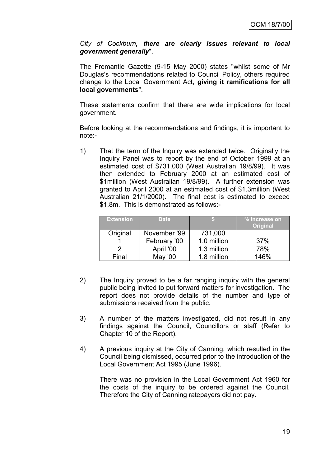*City of Cockburn, there are clearly issues relevant to local government generally*".

The Fremantle Gazette (9-15 May 2000) states "whilst some of Mr Douglas's recommendations related to Council Policy, others required change to the Local Government Act, **giving it ramifications for all local governments**".

These statements confirm that there are wide implications for local government.

Before looking at the recommendations and findings, it is important to note:-

1) That the term of the Inquiry was extended twice. Originally the Inquiry Panel was to report by the end of October 1999 at an estimated cost of \$731,000 (West Australian 19/8/99). It was then extended to February 2000 at an estimated cost of \$1million (West Australian 19/8/99). A further extension was granted to April 2000 at an estimated cost of \$1.3million (West Australian 21/1/2000). The final cost is estimated to exceed \$1.8m. This is demonstrated as follows:-

| <b>Extension</b> | <b>Date</b>  |             | <b>1% Increase on</b><br><b>Original</b> |
|------------------|--------------|-------------|------------------------------------------|
| Original         | November '99 | 731,000     |                                          |
|                  | February '00 | 1.0 million | 37%                                      |
|                  | April '00    | 1.3 million | 78%                                      |
| Final            | May '00      | 1.8 million | 146%                                     |

- 2) The Inquiry proved to be a far ranging inquiry with the general public being invited to put forward matters for investigation. The report does not provide details of the number and type of submissions received from the public.
- 3) A number of the matters investigated, did not result in any findings against the Council, Councillors or staff (Refer to Chapter 10 of the Report).
- 4) A previous inquiry at the City of Canning, which resulted in the Council being dismissed, occurred prior to the introduction of the Local Government Act 1995 (June 1996).

There was no provision in the Local Government Act 1960 for the costs of the inquiry to be ordered against the Council. Therefore the City of Canning ratepayers did not pay.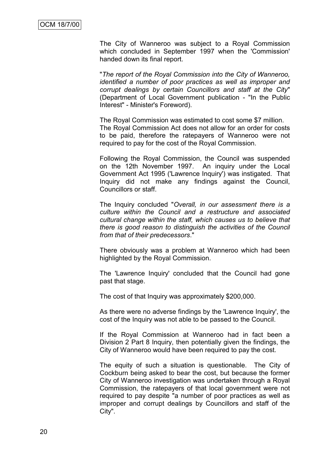The City of Wanneroo was subject to a Royal Commission which concluded in September 1997 when the 'Commission' handed down its final report.

"*The report of the Royal Commission into the City of Wanneroo, identified a number of poor practices as well as improper and corrupt dealings by certain Councillors and staff at the City*" (Department of Local Government publication - "In the Public Interest" - Minister's Foreword).

The Royal Commission was estimated to cost some \$7 million. The Royal Commission Act does not allow for an order for costs to be paid, therefore the ratepayers of Wanneroo were not required to pay for the cost of the Royal Commission.

Following the Royal Commission, the Council was suspended on the 12th November 1997. An inquiry under the Local Government Act 1995 ('Lawrence Inquiry') was instigated. That Inquiry did not make any findings against the Council, Councillors or staff.

The Inquiry concluded "*Overall, in our assessment there is a culture within the Council and a restructure and associated cultural change within the staff, which causes us to believe that there is good reason to distinguish the activities of the Council from that of their predecessors*."

There obviously was a problem at Wanneroo which had been highlighted by the Royal Commission.

The 'Lawrence Inquiry' concluded that the Council had gone past that stage.

The cost of that Inquiry was approximately \$200,000.

As there were no adverse findings by the 'Lawrence Inquiry', the cost of the Inquiry was not able to be passed to the Council.

If the Royal Commission at Wanneroo had in fact been a Division 2 Part 8 Inquiry, then potentially given the findings, the City of Wanneroo would have been required to pay the cost.

The equity of such a situation is questionable. The City of Cockburn being asked to bear the cost, but because the former City of Wanneroo investigation was undertaken through a Royal Commission, the ratepayers of that local government were not required to pay despite "a number of poor practices as well as improper and corrupt dealings by Councillors and staff of the City".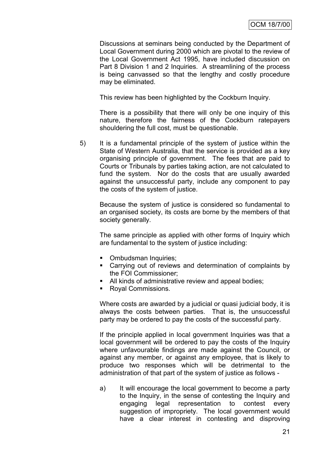Discussions at seminars being conducted by the Department of Local Government during 2000 which are pivotal to the review of the Local Government Act 1995, have included discussion on Part 8 Division 1 and 2 Inquiries. A streamlining of the process is being canvassed so that the lengthy and costly procedure may be eliminated.

This review has been highlighted by the Cockburn Inquiry.

There is a possibility that there will only be one inquiry of this nature, therefore the fairness of the Cockburn ratepayers shouldering the full cost, must be questionable.

5) It is a fundamental principle of the system of justice within the State of Western Australia, that the service is provided as a key organising principle of government. The fees that are paid to Courts or Tribunals by parties taking action, are not calculated to fund the system. Nor do the costs that are usually awarded against the unsuccessful party, include any component to pay the costs of the system of justice.

Because the system of justice is considered so fundamental to an organised society, its costs are borne by the members of that society generally.

The same principle as applied with other forms of Inquiry which are fundamental to the system of justice including:

- Ombudsman Inquiries;
- Carrying out of reviews and determination of complaints by the FOI Commissioner;
- All kinds of administrative review and appeal bodies;
- Royal Commissions.

Where costs are awarded by a judicial or quasi judicial body, it is always the costs between parties. That is, the unsuccessful party may be ordered to pay the costs of the successful party.

If the principle applied in local government Inquiries was that a local government will be ordered to pay the costs of the Inquiry where unfavourable findings are made against the Council, or against any member, or against any employee, that is likely to produce two responses which will be detrimental to the administration of that part of the system of justice as follows -

a) It will encourage the local government to become a party to the Inquiry, in the sense of contesting the Inquiry and engaging legal representation to contest every suggestion of impropriety. The local government would have a clear interest in contesting and disproving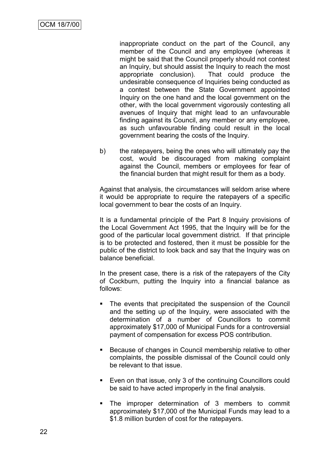inappropriate conduct on the part of the Council, any member of the Council and any employee (whereas it might be said that the Council properly should not contest an Inquiry, but should assist the Inquiry to reach the most appropriate conclusion). That could produce the undesirable consequence of Inquiries being conducted as a contest between the State Government appointed Inquiry on the one hand and the local government on the other, with the local government vigorously contesting all avenues of Inquiry that might lead to an unfavourable finding against its Council, any member or any employee, as such unfavourable finding could result in the local government bearing the costs of the Inquiry.

b) the ratepayers, being the ones who will ultimately pay the cost, would be discouraged from making complaint against the Council, members or employees for fear of the financial burden that might result for them as a body.

Against that analysis, the circumstances will seldom arise where it would be appropriate to require the ratepayers of a specific local government to bear the costs of an Inquiry.

It is a fundamental principle of the Part 8 Inquiry provisions of the Local Government Act 1995, that the Inquiry will be for the good of the particular local government district. If that principle is to be protected and fostered, then it must be possible for the public of the district to look back and say that the Inquiry was on balance beneficial.

In the present case, there is a risk of the ratepayers of the City of Cockburn, putting the Inquiry into a financial balance as follows:

- The events that precipitated the suspension of the Council and the setting up of the Inquiry, were associated with the determination of a number of Councillors to commit approximately \$17,000 of Municipal Funds for a controversial payment of compensation for excess POS contribution.
- Because of changes in Council membership relative to other complaints, the possible dismissal of the Council could only be relevant to that issue.
- Even on that issue, only 3 of the continuing Councillors could be said to have acted improperly in the final analysis.
- The improper determination of 3 members to commit approximately \$17,000 of the Municipal Funds may lead to a \$1.8 million burden of cost for the ratepayers.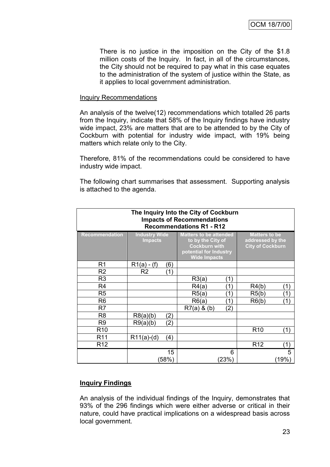There is no justice in the imposition on the City of the \$1.8 million costs of the Inquiry. In fact, in all of the circumstances, the City should not be required to pay what in this case equates to the administration of the system of justice within the State, as it applies to local government administration.

#### **Inquiry Recommendations**

An analysis of the twelve(12) recommendations which totalled 26 parts from the Inquiry, indicate that 58% of the Inquiry findings have industry wide impact, 23% are matters that are to be attended to by the City of Cockburn with potential for industry wide impact, with 19% being matters which relate only to the City.

Therefore, 81% of the recommendations could be considered to have industry wide impact.

The following chart summarises that assessment. Supporting analysis is attached to the agenda.

| The Inquiry Into the City of Cockburn<br><b>Impacts of Recommendations</b><br><b>Recommendations R1 - R12</b> |                                        |                   |                                                                                                                             |                   |                                                                     |              |  |  |
|---------------------------------------------------------------------------------------------------------------|----------------------------------------|-------------------|-----------------------------------------------------------------------------------------------------------------------------|-------------------|---------------------------------------------------------------------|--------------|--|--|
| <b>Recommendation</b>                                                                                         | <b>Industry Wide</b><br><b>Impacts</b> |                   | <b>Matters to be attended</b><br>to by the City of<br><b>Cockburn with</b><br>potential for Industry<br><b>Wide Impacts</b> |                   | <b>Matters to be</b><br>addressed by the<br><b>City of Cockburn</b> |              |  |  |
| R <sub>1</sub>                                                                                                | $R1(a) - (f)$                          | (6)               |                                                                                                                             |                   |                                                                     |              |  |  |
| R <sub>2</sub>                                                                                                | R <sub>2</sub>                         | (1)               |                                                                                                                             |                   |                                                                     |              |  |  |
| R <sub>3</sub>                                                                                                |                                        |                   | R3(a)                                                                                                                       | 〔1〕               |                                                                     |              |  |  |
| R <sub>4</sub>                                                                                                |                                        |                   | R4(a)                                                                                                                       | (1)               | R4(b)                                                               | ั1)          |  |  |
| R <sub>5</sub>                                                                                                |                                        |                   | R5(a)                                                                                                                       | $^{\prime}$ 1     | R5(b)                                                               | 1)           |  |  |
| R <sub>6</sub>                                                                                                |                                        |                   | R6(a)                                                                                                                       | $^{\prime}$ 1)    | R6(b)                                                               | $\mathbf{1}$ |  |  |
| R7                                                                                                            |                                        |                   | $R7(a)$ & (b)                                                                                                               | $\left( 2\right)$ |                                                                     |              |  |  |
| R <sub>8</sub>                                                                                                | R8(a)(b)                               | $\left( 2\right)$ |                                                                                                                             |                   |                                                                     |              |  |  |
| R <sub>9</sub>                                                                                                | R9(a)(b)                               | (2)               |                                                                                                                             |                   |                                                                     |              |  |  |
| R <sub>10</sub>                                                                                               |                                        |                   |                                                                                                                             |                   | R <sub>10</sub>                                                     | (1)          |  |  |
| R <sub>11</sub>                                                                                               | $R11(a)-(d)$                           | (4)               |                                                                                                                             |                   |                                                                     |              |  |  |
| R <sub>12</sub>                                                                                               |                                        |                   |                                                                                                                             |                   | R <sub>12</sub>                                                     | (1)          |  |  |
|                                                                                                               |                                        | 15                |                                                                                                                             | 6                 |                                                                     | 5            |  |  |
|                                                                                                               |                                        | (58%)             |                                                                                                                             | (23%)             |                                                                     | (19%)        |  |  |

# **Inquiry Findings**

An analysis of the individual findings of the Inquiry, demonstrates that 93% of the 296 findings which were either adverse or critical in their nature, could have practical implications on a widespread basis across local government.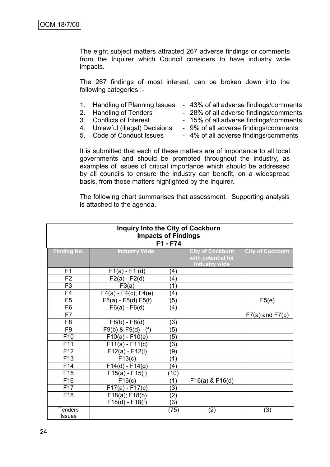The eight subject matters attracted 267 adverse findings or comments from the Inquirer which Council considers to have industry wide impacts.

The 267 findings of most interest, can be broken down into the following categories :-

- 1. Handling of Planning Issues 43% of all adverse findings/comments<br>2. Handling of Tenders 28% of all adverse findings/comments
- 
- 28% of all adverse findings/comments 3. Conflicts of Interest - 15% of all adverse findings/comments
- 
- 4. Unlawful (illegal) Decisions 9% of all adverse findings/comments
- 
- 5. Code of Conduct Issues 4% of all adverse findings/comments

It is submitted that each of these matters are of importance to all local governments and should be promoted throughout the industry, as examples of issues of critical importance which should be addressed by all councils to ensure the industry can benefit, on a widespread basis, from those matters highlighted by the Inquirer.

The following chart summarises that assessment. Supporting analysis is attached to the agenda.

| <b>Inquiry Into the City of Cockburn</b><br><b>Impacts of Findings</b><br>F1 - F74 |                           |                   |                                                                       |                         |  |  |
|------------------------------------------------------------------------------------|---------------------------|-------------------|-----------------------------------------------------------------------|-------------------------|--|--|
| <b>Finding No.</b>                                                                 | <b>Industry Wide</b>      |                   | <b>City of Cockburn</b><br>with potential for<br><b>Industry wide</b> | <b>City of Cockburn</b> |  |  |
| F <sub>1</sub>                                                                     | $F1(a) - F1(d)$           | (4)               |                                                                       |                         |  |  |
| F <sub>2</sub>                                                                     | $F2(a) - F2(d)$           | (4)               |                                                                       |                         |  |  |
| F <sub>3</sub>                                                                     | F3(a)                     | (1)               |                                                                       |                         |  |  |
| F <sub>4</sub>                                                                     | $F4(a) - F4(c)$ , $F4(e)$ | $\left( 4\right)$ |                                                                       |                         |  |  |
| F <sub>5</sub>                                                                     | $F5(a) - F5(d) F5(f)$     | (5)               |                                                                       | F5(e)                   |  |  |
| F <sub>6</sub>                                                                     | $F6(a) - F6(d)$           | (4)               |                                                                       |                         |  |  |
| F7                                                                                 |                           |                   |                                                                       | $F7(a)$ and $F7(b)$     |  |  |
| F <sub>8</sub>                                                                     | $F8(b) - F8(d)$           | (3)               |                                                                       |                         |  |  |
| F <sub>9</sub>                                                                     | $F9(b)$ & $F9(d) - (f)$   | (5)               |                                                                       |                         |  |  |
| F <sub>10</sub>                                                                    | $F10(a) - F10(e)$         | (5)               |                                                                       |                         |  |  |
| F <sub>11</sub>                                                                    | $F11(a) - F11(c)$         | (3)               |                                                                       |                         |  |  |
| F <sub>12</sub>                                                                    | $F12(a) - F12(i)$         | (9)               |                                                                       |                         |  |  |
| F <sub>13</sub>                                                                    | F13(c)                    | (1)               |                                                                       |                         |  |  |
| F14                                                                                | $F14(d) - F14(g)$         | (4)               |                                                                       |                         |  |  |
| F <sub>15</sub>                                                                    | $F15(a) - F15(j)$         | (10)              |                                                                       |                         |  |  |
| F <sub>16</sub>                                                                    | F16(c)                    | (1)               | $F16(a)$ & $F16(d)$                                                   |                         |  |  |
| F17                                                                                | $F17(a) - F17(c)$         | (3)               |                                                                       |                         |  |  |
| F18                                                                                | $F18(a)$ ; $F18(b)$       | (2)               |                                                                       |                         |  |  |
|                                                                                    | $F18(d) - F18(f)$         | (3)               |                                                                       |                         |  |  |
| <b>Tenders</b><br><b>Issues</b>                                                    |                           | (75)              | (2)                                                                   | (3)                     |  |  |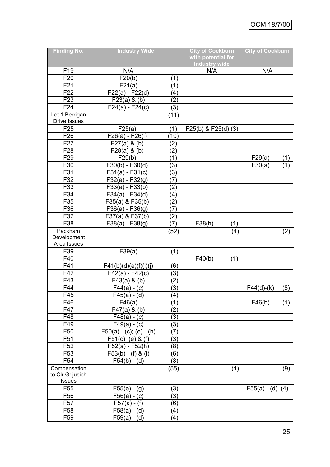| <b>Finding No.</b>                    | <b>Industry Wide</b>           |                   | <b>City of Cockburn</b><br>with potential for<br><b>Industry wide</b> | <b>City of Cockburn</b> |
|---------------------------------------|--------------------------------|-------------------|-----------------------------------------------------------------------|-------------------------|
| F19                                   | N/A                            |                   | N/A                                                                   | N/A                     |
| F <sub>20</sub>                       | F20(b)                         | (1)               |                                                                       |                         |
| F21                                   | F21(a)                         | (1)               |                                                                       |                         |
| F <sub>22</sub>                       | $F22(a) - F22(d)$              | (4)               |                                                                       |                         |
| F <sub>23</sub>                       | $F23(a)$ & (b)                 | (2)               |                                                                       |                         |
| F24                                   | $F24(a) - F24(c)$              | (3)               |                                                                       |                         |
| Lot 1 Berrigan<br><b>Drive Issues</b> |                                | (11)              |                                                                       |                         |
| F <sub>25</sub>                       | F25(a)                         | (1)               | F25(b) & F25(d) (3)                                                   |                         |
| F <sub>26</sub>                       | $F26(a) - F26(j)$              | (10)              |                                                                       |                         |
| F27                                   | $F27(a)$ & (b)                 | (2)               |                                                                       |                         |
| F <sub>28</sub>                       | F28(a) 8(b)                    | (2)               |                                                                       |                         |
| F <sub>29</sub>                       | F29(b)                         | (1)               |                                                                       | F29(a)<br>(1)           |
| F30                                   | $F30(b) - F30(d)$              | (3)               |                                                                       | F30(a)<br>(1)           |
| F31                                   | $F31(a) - F31(c)$              | (3)               |                                                                       |                         |
| F32                                   | $F32(a) - F32(g)$              | (7)               |                                                                       |                         |
| F33                                   | $F33(a) - F33(b)$              | (2)               |                                                                       |                         |
| F34                                   | F34(a) - F34(d)                | (4)               |                                                                       |                         |
| F35                                   | F35(a) & F35(b)                | (2)               |                                                                       |                         |
| F36                                   | $\overline{F36(a)}$ - $F36(g)$ | (7)               |                                                                       |                         |
| F37                                   | F37(a) & F37(b)                | (2)               |                                                                       |                         |
| F38                                   | $F38(a) - F38(g)$              | (7)               | F38(h)<br>(1)                                                         |                         |
| Packham                               |                                | (52)              | (4)                                                                   | (2)                     |
| Development                           |                                |                   |                                                                       |                         |
| Area Issues                           |                                |                   |                                                                       |                         |
| F39                                   | F39(a)                         | (1)               |                                                                       |                         |
| F40                                   |                                |                   | F40(b)<br>(1)                                                         |                         |
| F41                                   | F41(b)(d)(e)(f)(i)(j)          | (6)               |                                                                       |                         |
| F42                                   | $F42(a) - F42(c)$              | (3)               |                                                                       |                         |
| F43                                   | F43(a) 8(b)                    | (2)               |                                                                       |                         |
| F44                                   | $F44(a) - (c)$                 | (3)               |                                                                       | $F44(d)-(k)$<br>(8)     |
| F45                                   | $F45(a) - (d)$                 | (4)               |                                                                       |                         |
| F46                                   | F46(a)                         | (1)               |                                                                       | F46(b)<br>(1)           |
| F47                                   | $F47(a)$ & (b)                 | (2)               |                                                                       |                         |
| F48                                   | $F48(a) - (c)$                 | (3)               |                                                                       |                         |
| F49                                   | $F49(a) - (c)$                 | (3)               |                                                                       |                         |
| F50                                   | $F50(a) - (c)$ ; (e) - (h)     | $\left( 7\right)$ |                                                                       |                         |
| F51                                   | $F51(c)$ ; (e) & (f)           | (3)               |                                                                       |                         |
| F <sub>52</sub>                       | $F52(a) - F52(h)$              | (8)               |                                                                       |                         |
| F53                                   | $F53(b) - (f)$ & (i)           | (6)               |                                                                       |                         |
| F <sub>54</sub>                       | $F54(b) - (d)$                 | (3)               |                                                                       |                         |
| Compensation                          |                                | (55)              | (1)                                                                   | (9)                     |
| to CIr GrIjusich<br>Issues            |                                |                   |                                                                       |                         |
| F <sub>55</sub>                       | $F55(e) - (g)$                 | (3)               |                                                                       | $F55(a) - (d)$<br>(4)   |
| F56                                   | $F56(a) - (c)$                 | (3)               |                                                                       |                         |
| F <sub>57</sub>                       | $F57(a) - (f)$                 | (6)               |                                                                       |                         |
| F58                                   | $F58(a) -$<br>(d)              | (4)               |                                                                       |                         |
| F <sub>59</sub>                       | $F59(a) - (d)$                 | (4)               |                                                                       |                         |
|                                       |                                |                   |                                                                       |                         |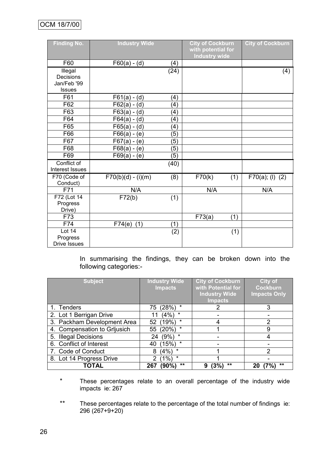| <b>Finding No.</b>     | <b>Industry Wide</b> |      | <b>City of Cockburn</b><br>with potential for | <b>City of Cockburn</b> |
|------------------------|----------------------|------|-----------------------------------------------|-------------------------|
|                        |                      |      | <b>Industry wide</b>                          |                         |
| F60                    | $F60(a) - (d)$       | (4)  |                                               |                         |
| Illegal                |                      | (24) |                                               | (4)                     |
| Decisions              |                      |      |                                               |                         |
| Jan/Feb '99            |                      |      |                                               |                         |
| <b>Issues</b>          |                      |      |                                               |                         |
| F61                    | $F61(a) - (d)$       | (4)  |                                               |                         |
| F62                    | $F62(a) -$<br>(d)    | (4)  |                                               |                         |
| F63                    | $F63(a) -$<br>(d)    | (4)  |                                               |                         |
| F64                    | $F64(a) - (d)$       | (4)  |                                               |                         |
| F65                    | (d)<br>F65(a)        | (4)  |                                               |                         |
| F66                    | $F66(a) -$<br>(e)    | (5)  |                                               |                         |
| F67                    | $F67(a) -$<br>(e)    | (5)  |                                               |                         |
| F68                    | $F68(a) -$<br>(e)    | (5)  |                                               |                         |
| F69                    | $F69(a) - (e)$       | (5)  |                                               |                         |
| Conflict of            |                      | (40) |                                               |                         |
| <b>Interest Issues</b> |                      |      |                                               |                         |
| F70 (Code of           | $F70(b)(d) - (i)(m)$ | (8)  | F70(k)<br>(1)                                 | F70(a); (I) (2)         |
| Conduct)               |                      |      |                                               |                         |
| F71                    | N/A                  |      | N/A                                           | N/A                     |
| F72 (Lot 14            | F72(b)               | (1)  |                                               |                         |
| Progress               |                      |      |                                               |                         |
| Drive)                 |                      |      |                                               |                         |
| F73                    |                      |      | F73(a)<br>(1)                                 |                         |
| F74                    | (1)<br>F74(e)        | (1)  |                                               |                         |
| Lot 14                 |                      | (2)  | (1)                                           |                         |
| Progress               |                      |      |                                               |                         |
| <b>Drive Issues</b>    |                      |      |                                               |                         |

In summarising the findings, they can be broken down into the following categories:-

| <b>Subject</b>               | <b>Industry Wide</b><br><b>Impacts</b> | <b>City of Cockburn</b><br>with Potential for<br><b>Industry Wide</b><br><b>Impacts</b> | <b>City of</b><br><b>Cockburn</b><br><b>Impacts Only</b> |
|------------------------------|----------------------------------------|-----------------------------------------------------------------------------------------|----------------------------------------------------------|
| 1. Tenders                   | *<br>(28%)<br>75                       | 2                                                                                       | 3                                                        |
| 2. Lot 1 Berrigan Drive      | $\star$<br>(4%)                        |                                                                                         |                                                          |
| 3. Packham Development Area  | $\star$<br>52 (19%)                    | 4                                                                                       | 2                                                        |
| 4. Compensation to Grijusich | $\star$<br>(20%)<br>55                 |                                                                                         | 9                                                        |
| 5. Illegal Decisions         | $\star$<br>(9%)<br>24                  |                                                                                         |                                                          |
| 6. Conflict of Interest      | $\star$<br>(15%)<br>40                 |                                                                                         |                                                          |
| 7. Code of Conduct           | $\star$<br>(4%)<br>8                   |                                                                                         | 2                                                        |
| 8. Lot 14 Progress Drive     | $\star$<br>(1%)<br>2                   |                                                                                         |                                                          |
| <b>TOTAL</b>                 | $***$<br>(90%)<br>267                  | $**$<br>(3%)<br>9                                                                       | $***$<br>(7%)<br>20                                      |

\* These percentages relate to an overall percentage of the industry wide impacts ie: 267

\*\* These percentages relate to the percentage of the total number of findings ie: 296 (267+9+20)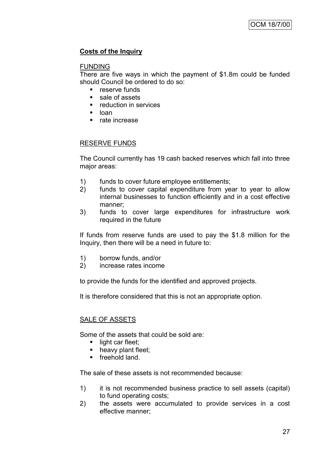# **Costs of the Inquiry**

## FUNDING

There are five ways in which the payment of \$1.8m could be funded should Council be ordered to do so:

- **F** reserve funds
- sale of assets
- **•** reduction in services
- **L** loan
- rate increase

## RESERVE FUNDS

The Council currently has 19 cash backed reserves which fall into three major areas:

- 1) funds to cover future employee entitlements;
- 2) funds to cover capital expenditure from year to year to allow internal businesses to function efficiently and in a cost effective manner;
- 3) funds to cover large expenditures for infrastructure work required in the future

If funds from reserve funds are used to pay the \$1.8 million for the Inquiry, then there will be a need in future to:

- 1) borrow funds, and/or
- 2) increase rates income

to provide the funds for the identified and approved projects.

It is therefore considered that this is not an appropriate option.

### SALE OF ASSETS

Some of the assets that could be sold are:

- light car fleet;
- heavy plant fleet;
- **freehold land.**

The sale of these assets is not recommended because:

- 1) it is not recommended business practice to sell assets (capital) to fund operating costs;
- 2) the assets were accumulated to provide services in a cost effective manner;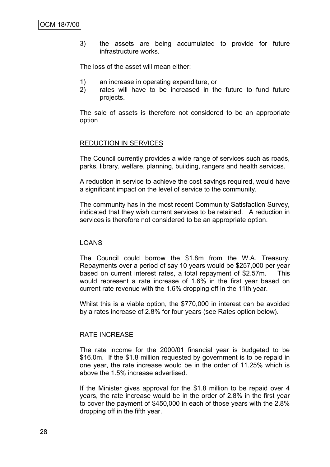3) the assets are being accumulated to provide for future infrastructure works.

The loss of the asset will mean either:

- 1) an increase in operating expenditure, or
- 2) rates will have to be increased in the future to fund future projects.

The sale of assets is therefore not considered to be an appropriate option

#### REDUCTION IN SERVICES

The Council currently provides a wide range of services such as roads, parks, library, welfare, planning, building, rangers and health services.

A reduction in service to achieve the cost savings required, would have a significant impact on the level of service to the community.

The community has in the most recent Community Satisfaction Survey, indicated that they wish current services to be retained. A reduction in services is therefore not considered to be an appropriate option.

#### LOANS

The Council could borrow the \$1.8m from the W.A. Treasury. Repayments over a period of say 10 years would be \$257,000 per year based on current interest rates, a total repayment of \$2.57m. This would represent a rate increase of 1.6% in the first year based on current rate revenue with the 1.6% dropping off in the 11th year.

Whilst this is a viable option, the \$770,000 in interest can be avoided by a rates increase of 2.8% for four years (see Rates option below).

#### RATE INCREASE

The rate income for the 2000/01 financial year is budgeted to be \$16.0m. If the \$1.8 million requested by government is to be repaid in one year, the rate increase would be in the order of 11.25% which is above the 1.5% increase advertised.

If the Minister gives approval for the \$1.8 million to be repaid over 4 years, the rate increase would be in the order of 2.8% in the first year to cover the payment of \$450,000 in each of those years with the 2.8% dropping off in the fifth year.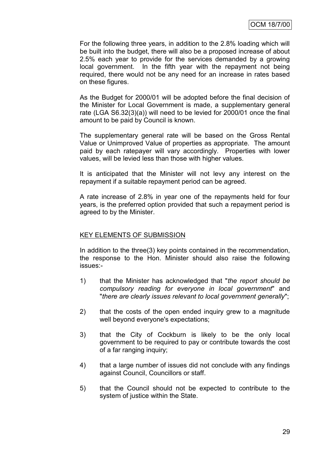For the following three years, in addition to the 2.8% loading which will be built into the budget, there will also be a proposed increase of about 2.5% each year to provide for the services demanded by a growing local government. In the fifth year with the repayment not being required, there would not be any need for an increase in rates based on these figures.

As the Budget for 2000/01 will be adopted before the final decision of the Minister for Local Government is made, a supplementary general rate (LGA S6.32(3)(a)) will need to be levied for 2000/01 once the final amount to be paid by Council is known.

The supplementary general rate will be based on the Gross Rental Value or Unimproved Value of properties as appropriate. The amount paid by each ratepayer will vary accordingly. Properties with lower values, will be levied less than those with higher values.

It is anticipated that the Minister will not levy any interest on the repayment if a suitable repayment period can be agreed.

A rate increase of 2.8% in year one of the repayments held for four years, is the preferred option provided that such a repayment period is agreed to by the Minister.

### KEY ELEMENTS OF SUBMISSION

In addition to the three(3) key points contained in the recommendation, the response to the Hon. Minister should also raise the following issues:-

- 1) that the Minister has acknowledged that "*the report should be compulsory reading for everyone in local government*" and "*there are clearly issues relevant to local government generally*";
- 2) that the costs of the open ended inquiry grew to a magnitude well beyond everyone's expectations;
- 3) that the City of Cockburn is likely to be the only local government to be required to pay or contribute towards the cost of a far ranging inquiry;
- 4) that a large number of issues did not conclude with any findings against Council, Councillors or staff.
- 5) that the Council should not be expected to contribute to the system of justice within the State.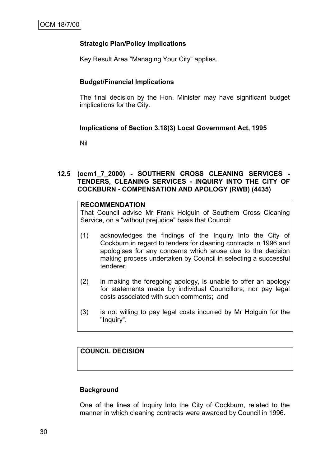## **Strategic Plan/Policy Implications**

Key Result Area "Managing Your City" applies.

### **Budget/Financial Implications**

The final decision by the Hon. Minister may have significant budget implications for the City.

### **Implications of Section 3.18(3) Local Government Act, 1995**

Nil

### **12.5 (ocm1\_7\_2000) - SOUTHERN CROSS CLEANING SERVICES - TENDERS, CLEANING SERVICES - INQUIRY INTO THE CITY OF COCKBURN - COMPENSATION AND APOLOGY (RWB) (4435)**

## **RECOMMENDATION**

That Council advise Mr Frank Holguin of Southern Cross Cleaning Service, on a "without prejudice" basis that Council:

- (1) acknowledges the findings of the Inquiry Into the City of Cockburn in regard to tenders for cleaning contracts in 1996 and apologises for any concerns which arose due to the decision making process undertaken by Council in selecting a successful tenderer;
- (2) in making the foregoing apology, is unable to offer an apology for statements made by individual Councillors, nor pay legal costs associated with such comments; and
- (3) is not willing to pay legal costs incurred by Mr Holguin for the "Inquiry".

# **COUNCIL DECISION**

### **Background**

One of the lines of Inquiry Into the City of Cockburn, related to the manner in which cleaning contracts were awarded by Council in 1996.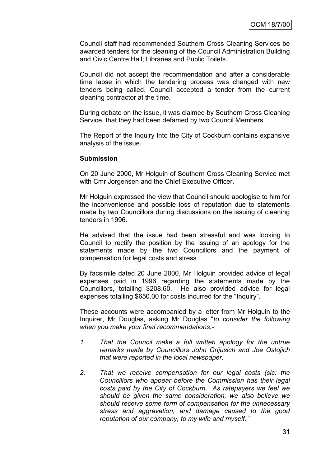Council staff had recommended Southern Cross Cleaning Services be awarded tenders for the cleaning of the Council Administration Building and Civic Centre Hall; Libraries and Public Toilets.

Council did not accept the recommendation and after a considerable time lapse in which the tendering process was changed with new tenders being called, Council accepted a tender from the current cleaning contractor at the time.

During debate on the issue, it was claimed by Southern Cross Cleaning Service, that they had been defamed by two Council Members.

The Report of the Inquiry Into the City of Cockburn contains expansive analysis of the issue.

#### **Submission**

On 20 June 2000, Mr Holguin of Southern Cross Cleaning Service met with Cmr Jorgensen and the Chief Executive Officer.

Mr Holguin expressed the view that Council should apologise to him for the inconvenience and possible loss of reputation due to statements made by two Councillors during discussions on the issuing of cleaning tenders in 1996.

He advised that the issue had been stressful and was looking to Council to rectify the position by the issuing of an apology for the statements made by the two Councillors and the payment of compensation for legal costs and stress.

By facsimile dated 20 June 2000, Mr Holguin provided advice of legal expenses paid in 1996 regarding the statements made by the Councillors, totalling \$208.60. He also provided advice for legal expenses totalling \$650.00 for costs incurred for the "Inquiry".

These accounts were accompanied by a letter from Mr Holguin to the Inquirer, Mr Douglas, asking Mr Douglas "*to consider the following when you make your final recommendations:-*

- *1. That the Council make a full written apology for the untrue remarks made by Councillors John Grljusich and Joe Ostojich that were reported in the local newspaper.*
- *2. That we receive compensation for our legal costs (sic: the Councillors who appear before the Commission has their legal costs paid by the City of Cockburn. As ratepayers we feel we should be given the same consideration, we also believe we should receive some form of compensation for the unnecessary stress and aggravation, and damage caused to the good reputation of our company, to my wife and myself.* "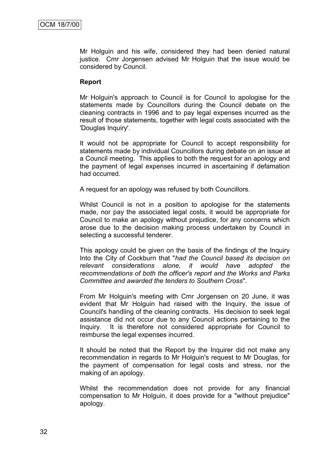Mr Holguin and his wife, considered they had been denied natural justice. Cmr Jorgensen advised Mr Holguin that the issue would be considered by Council.

#### **Report**

Mr Holguin's approach to Council is for Council to apologise for the statements made by Councillors during the Council debate on the cleaning contracts in 1996 and to pay legal expenses incurred as the result of those statements, together with legal costs associated with the 'Douglas Inquiry'.

It would not be appropriate for Council to accept responsibility for statements made by individual Councillors during debate on an issue at a Council meeting. This applies to both the request for an apology and the payment of legal expenses incurred in ascertaining if defamation had occurred.

A request for an apology was refused by both Councillors.

Whilst Council is not in a position to apologise for the statements made, nor pay the associated legal costs, it would be appropriate for Council to make an apology without prejudice, for any concerns which arose due to the decision making process undertaken by Council in selecting a successful tenderer.

This apology could be given on the basis of the findings of the Inquiry Into the City of Cockburn that "*had the Council based its decision on relevant considerations alone, it would have adopted the recommendations of both the officer's report and the Works and Parks Committee and awarded the tenders to Southern Cross*".

From Mr Holguin's meeting with Cmr Jorgensen on 20 June, it was evident that Mr Holguin had raised with the Inquiry, the issue of Council's handling of the cleaning contracts. His decision to seek legal assistance did not occur due to any Council actions pertaining to the Inquiry. It is therefore not considered appropriate for Council to reimburse the legal expenses incurred.

It should be noted that the Report by the Inquirer did not make any recommendation in regards to Mr Holguin's request to Mr Douglas, for the payment of compensation for legal costs and stress, nor the making of an apology.

Whilst the recommendation does not provide for any financial compensation to Mr Holguin, it does provide for a "without prejudice" apology.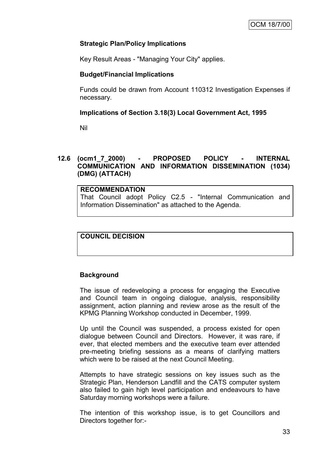## **Strategic Plan/Policy Implications**

Key Result Areas - "Managing Your City" applies.

#### **Budget/Financial Implications**

Funds could be drawn from Account 110312 Investigation Expenses if necessary.

## **Implications of Section 3.18(3) Local Government Act, 1995**

Nil

# **12.6 (ocm1\_7\_2000) - PROPOSED POLICY - INTERNAL COMMUNICATION AND INFORMATION DISSEMINATION (1034) (DMG) (ATTACH)**

#### **RECOMMENDATION**

That Council adopt Policy C2.5 - "Internal Communication and Information Dissemination" as attached to the Agenda.

# **COUNCIL DECISION**

#### **Background**

The issue of redeveloping a process for engaging the Executive and Council team in ongoing dialogue, analysis, responsibility assignment, action planning and review arose as the result of the KPMG Planning Workshop conducted in December, 1999.

Up until the Council was suspended, a process existed for open dialogue between Council and Directors. However, it was rare, if ever, that elected members and the executive team ever attended pre-meeting briefing sessions as a means of clarifying matters which were to be raised at the next Council Meeting.

Attempts to have strategic sessions on key issues such as the Strategic Plan, Henderson Landfill and the CATS computer system also failed to gain high level participation and endeavours to have Saturday morning workshops were a failure.

The intention of this workshop issue, is to get Councillors and Directors together for:-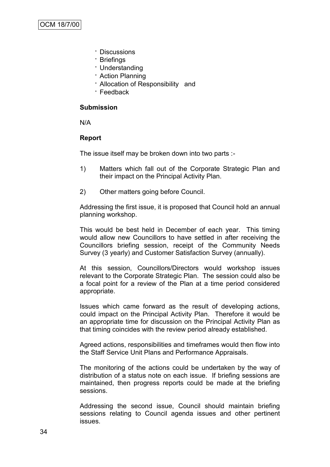- · Discussions
- · Briefings
- · Understanding
- · Action Planning
- · Allocation of Responsibility and
- · Feedback

#### **Submission**

N/A

## **Report**

The issue itself may be broken down into two parts :-

- 1) Matters which fall out of the Corporate Strategic Plan and their impact on the Principal Activity Plan.
- 2) Other matters going before Council.

Addressing the first issue, it is proposed that Council hold an annual planning workshop.

This would be best held in December of each year. This timing would allow new Councillors to have settled in after receiving the Councillors briefing session, receipt of the Community Needs Survey (3 yearly) and Customer Satisfaction Survey (annually).

At this session, Councillors/Directors would workshop issues relevant to the Corporate Strategic Plan. The session could also be a focal point for a review of the Plan at a time period considered appropriate.

Issues which came forward as the result of developing actions, could impact on the Principal Activity Plan. Therefore it would be an appropriate time for discussion on the Principal Activity Plan as that timing coincides with the review period already established.

Agreed actions, responsibilities and timeframes would then flow into the Staff Service Unit Plans and Performance Appraisals.

The monitoring of the actions could be undertaken by the way of distribution of a status note on each issue. If briefing sessions are maintained, then progress reports could be made at the briefing sessions.

Addressing the second issue, Council should maintain briefing sessions relating to Council agenda issues and other pertinent issues.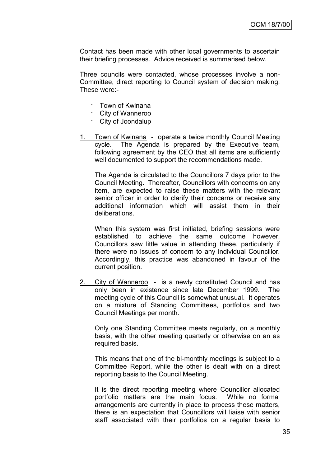Contact has been made with other local governments to ascertain their briefing processes. Advice received is summarised below.

Three councils were contacted, whose processes involve a non-Committee, direct reporting to Council system of decision making. These were:-

- · Town of Kwinana
- City of Wanneroo
- · City of Joondalup
- 1. Town of Kwinana operate a twice monthly Council Meeting cycle. The Agenda is prepared by the Executive team, following agreement by the CEO that all items are sufficiently well documented to support the recommendations made.

The Agenda is circulated to the Councillors 7 days prior to the Council Meeting. Thereafter, Councillors with concerns on any item, are expected to raise these matters with the relevant senior officer in order to clarify their concerns or receive any additional information which will assist them in their deliberations.

When this system was first initiated, briefing sessions were established to achieve the same outcome however, Councillors saw little value in attending these, particularly if there were no issues of concern to any individual Councillor. Accordingly, this practice was abandoned in favour of the current position.

2. City of Wanneroo - is a newly constituted Council and has only been in existence since late December 1999. The meeting cycle of this Council is somewhat unusual. It operates on a mixture of Standing Committees, portfolios and two Council Meetings per month.

Only one Standing Committee meets regularly, on a monthly basis, with the other meeting quarterly or otherwise on an as required basis.

This means that one of the bi-monthly meetings is subject to a Committee Report, while the other is dealt with on a direct reporting basis to the Council Meeting.

It is the direct reporting meeting where Councillor allocated portfolio matters are the main focus. While no formal arrangements are currently in place to process these matters, there is an expectation that Councillors will liaise with senior staff associated with their portfolios on a regular basis to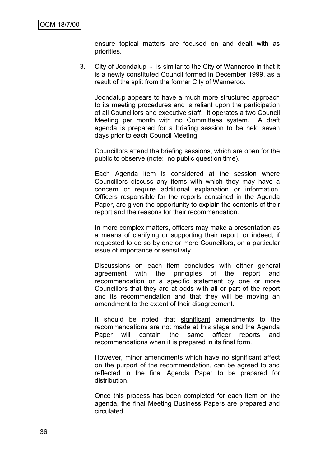ensure topical matters are focused on and dealt with as priorities.

3. City of Joondalup - is similar to the City of Wanneroo in that it is a newly constituted Council formed in December 1999, as a result of the split from the former City of Wanneroo.

Joondalup appears to have a much more structured approach to its meeting procedures and is reliant upon the participation of all Councillors and executive staff. It operates a two Council Meeting per month with no Committees system. A draft agenda is prepared for a briefing session to be held seven days prior to each Council Meeting.

Councillors attend the briefing sessions, which are open for the public to observe (note: no public question time).

Each Agenda item is considered at the session where Councillors discuss any items with which they may have a concern or require additional explanation or information. Officers responsible for the reports contained in the Agenda Paper, are given the opportunity to explain the contents of their report and the reasons for their recommendation.

In more complex matters, officers may make a presentation as a means of clarifying or supporting their report, or indeed, if requested to do so by one or more Councillors, on a particular issue of importance or sensitivity.

Discussions on each item concludes with either general agreement with the principles of the report and recommendation or a specific statement by one or more Councillors that they are at odds with all or part of the report and its recommendation and that they will be moving an amendment to the extent of their disagreement.

It should be noted that significant amendments to the recommendations are not made at this stage and the Agenda Paper will contain the same officer reports and recommendations when it is prepared in its final form.

However, minor amendments which have no significant affect on the purport of the recommendation, can be agreed to and reflected in the final Agenda Paper to be prepared for distribution.

Once this process has been completed for each item on the agenda, the final Meeting Business Papers are prepared and circulated.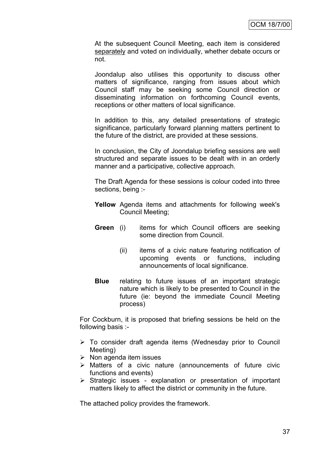At the subsequent Council Meeting, each item is considered separately and voted on individually, whether debate occurs or not.

Joondalup also utilises this opportunity to discuss other matters of significance, ranging from issues about which Council staff may be seeking some Council direction or disseminating information on forthcoming Council events, receptions or other matters of local significance.

In addition to this, any detailed presentations of strategic significance, particularly forward planning matters pertinent to the future of the district, are provided at these sessions.

In conclusion, the City of Joondalup briefing sessions are well structured and separate issues to be dealt with in an orderly manner and a participative, collective approach.

The Draft Agenda for these sessions is colour coded into three sections, being :-

- **Yellow** Agenda items and attachments for following week's Council Meeting;
- **Green** (i) items for which Council officers are seeking some direction from Council.
	- (ii) items of a civic nature featuring notification of upcoming events or functions, including announcements of local significance.
- **Blue** relating to future issues of an important strategic nature which is likely to be presented to Council in the future (ie: beyond the immediate Council Meeting process)

For Cockburn, it is proposed that briefing sessions be held on the following basis :-

- $\triangleright$  To consider draft agenda items (Wednesday prior to Council Meeting)
- $\triangleright$  Non agenda item issues
- Matters of a civic nature (announcements of future civic functions and events)
- $\triangleright$  Strategic issues explanation or presentation of important matters likely to affect the district or community in the future.

The attached policy provides the framework.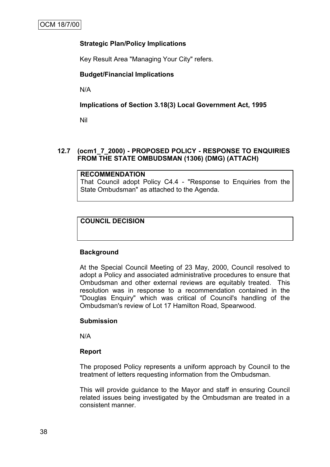#### **Strategic Plan/Policy Implications**

Key Result Area "Managing Your City" refers.

#### **Budget/Financial Implications**

N/A

#### **Implications of Section 3.18(3) Local Government Act, 1995**

Nil

## **12.7 (ocm1\_7\_2000) - PROPOSED POLICY - RESPONSE TO ENQUIRIES FROM THE STATE OMBUDSMAN (1306) (DMG) (ATTACH)**

#### **RECOMMENDATION**

That Council adopt Policy C4.4 - "Response to Enquiries from the State Ombudsman" as attached to the Agenda.

#### **COUNCIL DECISION**

#### **Background**

At the Special Council Meeting of 23 May, 2000, Council resolved to adopt a Policy and associated administrative procedures to ensure that Ombudsman and other external reviews are equitably treated. This resolution was in response to a recommendation contained in the "Douglas Enquiry" which was critical of Council's handling of the Ombudsman's review of Lot 17 Hamilton Road, Spearwood.

#### **Submission**

N/A

#### **Report**

The proposed Policy represents a uniform approach by Council to the treatment of letters requesting information from the Ombudsman.

This will provide guidance to the Mayor and staff in ensuring Council related issues being investigated by the Ombudsman are treated in a consistent manner.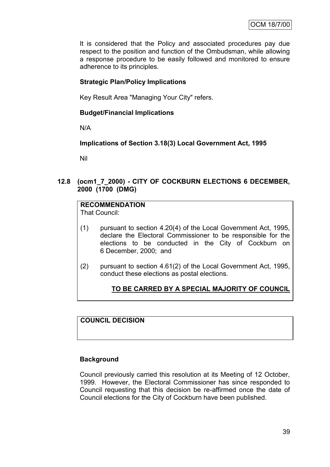It is considered that the Policy and associated procedures pay due respect to the position and function of the Ombudsman, while allowing a response procedure to be easily followed and monitored to ensure adherence to its principles.

# **Strategic Plan/Policy Implications**

Key Result Area "Managing Your City" refers.

# **Budget/Financial Implications**

N/A

**Implications of Section 3.18(3) Local Government Act, 1995**

Nil

**12.8 (ocm1\_7\_2000) - CITY OF COCKBURN ELECTIONS 6 DECEMBER, 2000 (1700 (DMG)**

# **RECOMMENDATION**

That Council:

- (1) pursuant to section 4.20(4) of the Local Government Act, 1995, declare the Electoral Commissioner to be responsible for the elections to be conducted in the City of Cockburn on 6 December, 2000; and
- (2) pursuant to section 4.61(2) of the Local Government Act, 1995, conduct these elections as postal elections.

# **TO BE CARRED BY A SPECIAL MAJORITY OF COUNCIL**

# **COUNCIL DECISION**

#### **Background**

Council previously carried this resolution at its Meeting of 12 October, 1999. However, the Electoral Commissioner has since responded to Council requesting that this decision be re-affirmed once the date of Council elections for the City of Cockburn have been published.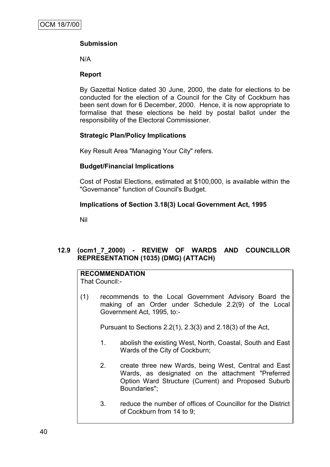# **Submission**

N/A

#### **Report**

By Gazettal Notice dated 30 June, 2000, the date for elections to be conducted for the election of a Council for the City of Cockburn has been sent down for 6 December, 2000. Hence, it is now appropriate to formalise that these elections be held by postal ballot under the responsibility of the Electoral Commissioner.

## **Strategic Plan/Policy Implications**

Key Result Area "Managing Your City" refers.

## **Budget/Financial Implications**

Cost of Postal Elections, estimated at \$100,000, is available within the "Governance" function of Council's Budget.

## **Implications of Section 3.18(3) Local Government Act, 1995**

Nil

# **12.9 (ocm1\_7\_2000) - REVIEW OF WARDS AND COUNCILLOR REPRESENTATION (1035) (DMG) (ATTACH)**

# **RECOMMENDATION**

That Council:-

(1) recommends to the Local Government Advisory Board the making of an Order under Schedule 2.2(9) of the Local Government Act, 1995, to:-

Pursuant to Sections 2.2(1), 2.3(3) and 2.18(3) of the Act,

- 1. abolish the existing West, North, Coastal, South and East Wards of the City of Cockburn;
- 2. create three new Wards, being West, Central and East Wards, as designated on the attachment "Preferred Option Ward Structure (Current) and Proposed Suburb Boundaries";
- 3. reduce the number of offices of Councillor for the District of Cockburn from 14 to 9;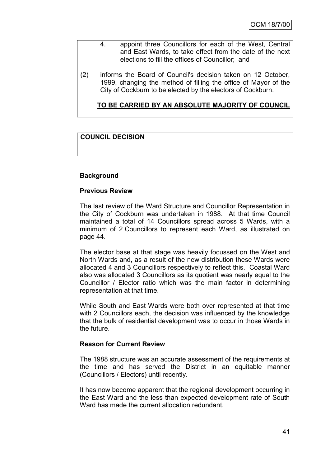- 4. appoint three Councillors for each of the West, Central and East Wards, to take effect from the date of the next elections to fill the offices of Councillor; and
- (2) informs the Board of Council's decision taken on 12 October, 1999, changing the method of filling the office of Mayor of the City of Cockburn to be elected by the electors of Cockburn.

# **TO BE CARRIED BY AN ABSOLUTE MAJORITY OF COUNCIL**

# **COUNCIL DECISION**

#### **Background**

#### **Previous Review**

The last review of the Ward Structure and Councillor Representation in the City of Cockburn was undertaken in 1988. At that time Council maintained a total of 14 Councillors spread across 5 Wards, with a minimum of 2 Councillors to represent each Ward, as illustrated on page 44.

The elector base at that stage was heavily focussed on the West and North Wards and, as a result of the new distribution these Wards were allocated 4 and 3 Councillors respectively to reflect this. Coastal Ward also was allocated 3 Councillors as its quotient was nearly equal to the Councillor / Elector ratio which was the main factor in determining representation at that time.

While South and East Wards were both over represented at that time with 2 Councillors each, the decision was influenced by the knowledge that the bulk of residential development was to occur in those Wards in the future.

#### **Reason for Current Review**

The 1988 structure was an accurate assessment of the requirements at the time and has served the District in an equitable manner (Councillors / Electors) until recently.

It has now become apparent that the regional development occurring in the East Ward and the less than expected development rate of South Ward has made the current allocation redundant.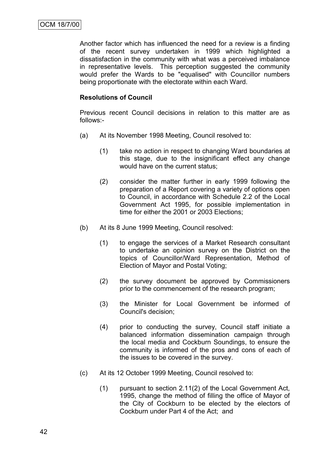Another factor which has influenced the need for a review is a finding of the recent survey undertaken in 1999 which highlighted a dissatisfaction in the community with what was a perceived imbalance in representative levels. This perception suggested the community would prefer the Wards to be "equalised" with Councillor numbers being proportionate with the electorate within each Ward.

#### **Resolutions of Council**

Previous recent Council decisions in relation to this matter are as follows:-

- (a) At its November 1998 Meeting, Council resolved to:
	- (1) take no action in respect to changing Ward boundaries at this stage, due to the insignificant effect any change would have on the current status;
	- (2) consider the matter further in early 1999 following the preparation of a Report covering a variety of options open to Council, in accordance with Schedule 2.2 of the Local Government Act 1995, for possible implementation in time for either the 2001 or 2003 Elections;
- (b) At its 8 June 1999 Meeting, Council resolved:
	- (1) to engage the services of a Market Research consultant to undertake an opinion survey on the District on the topics of Councillor/Ward Representation, Method of Election of Mayor and Postal Voting;
	- (2) the survey document be approved by Commissioners prior to the commencement of the research program;
	- (3) the Minister for Local Government be informed of Council's decision;
	- (4) prior to conducting the survey, Council staff initiate a balanced information dissemination campaign through the local media and Cockburn Soundings, to ensure the community is informed of the pros and cons of each of the issues to be covered in the survey.
- (c) At its 12 October 1999 Meeting, Council resolved to:
	- (1) pursuant to section 2.11(2) of the Local Government Act, 1995, change the method of filling the office of Mayor of the City of Cockburn to be elected by the electors of Cockburn under Part 4 of the Act; and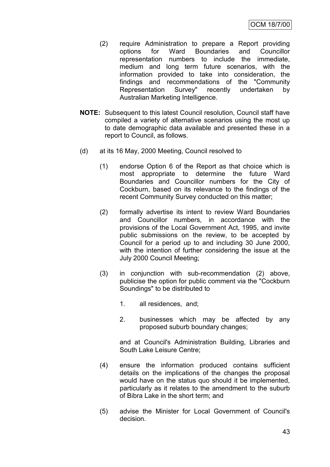- (2) require Administration to prepare a Report providing options for Ward Boundaries and Councillor representation numbers to include the immediate, medium and long term future scenarios, with the information provided to take into consideration, the findings and recommendations of the "Community Representation Survey" recently undertaken by Australian Marketing Intelligence.
- **NOTE:** Subsequent to this latest Council resolution, Council staff have compiled a variety of alternative scenarios using the most up to date demographic data available and presented these in a report to Council, as follows.
- (d) at its 16 May, 2000 Meeting, Council resolved to
	- (1) endorse Option 6 of the Report as that choice which is most appropriate to determine the future Ward Boundaries and Councillor numbers for the City of Cockburn, based on its relevance to the findings of the recent Community Survey conducted on this matter;
	- (2) formally advertise its intent to review Ward Boundaries and Councillor numbers, in accordance with the provisions of the Local Government Act, 1995, and invite public submissions on the review, to be accepted by Council for a period up to and including 30 June 2000, with the intention of further considering the issue at the July 2000 Council Meeting;
	- (3) in conjunction with sub-recommendation (2) above, publicise the option for public comment via the "Cockburn Soundings" to be distributed to
		- 1. all residences, and;
		- 2. businesses which may be affected by any proposed suburb boundary changes;

and at Council's Administration Building, Libraries and South Lake Leisure Centre;

- (4) ensure the information produced contains sufficient details on the implications of the changes the proposal would have on the status quo should it be implemented, particularly as it relates to the amendment to the suburb of Bibra Lake in the short term; and
- (5) advise the Minister for Local Government of Council's decision.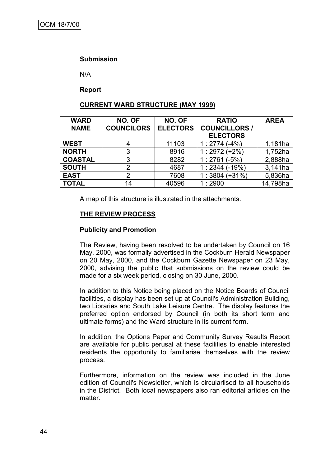#### **Submission**

N/A

**Report**

#### **CURRENT WARD STRUCTURE (MAY 1999)**

| <b>WARD</b><br><b>NAME</b> | NO. OF<br><b>COUNCILORS</b> | NO. OF<br><b>ELECTORS</b> | <b>RATIO</b><br><b>COUNCILLORS /</b><br><b>ELECTORS</b> | <b>AREA</b> |
|----------------------------|-----------------------------|---------------------------|---------------------------------------------------------|-------------|
| <b>WEST</b>                |                             | 11103                     | 1:2774(.4%)                                             | 1,181ha     |
| <b>NORTH</b>               | 3                           | 8916                      | $1:2972 (+2%)$                                          | 1,752ha     |
| <b>COASTAL</b>             | 3                           | 8282                      | 1:2761(.5%)                                             | 2,888ha     |
| <b>SOUTH</b>               | $\overline{2}$              | 4687                      | $1:2344(-19%)$                                          | 3,141ha     |
| <b>EAST</b>                | 2                           | 7608                      | $1:3804 (+31\%)$                                        | 5,836ha     |
| <b>TOTAL</b>               | 14                          | 40596                     | 1:2900                                                  | 14,798ha    |

A map of this structure is illustrated in the attachments.

## **THE REVIEW PROCESS**

#### **Publicity and Promotion**

The Review, having been resolved to be undertaken by Council on 16 May, 2000, was formally advertised in the Cockburn Herald Newspaper on 20 May, 2000, and the Cockburn Gazette Newspaper on 23 May, 2000, advising the public that submissions on the review could be made for a six week period, closing on 30 June, 2000.

In addition to this Notice being placed on the Notice Boards of Council facilities, a display has been set up at Council's Administration Building, two Libraries and South Lake Leisure Centre. The display features the preferred option endorsed by Council (in both its short term and ultimate forms) and the Ward structure in its current form.

In addition, the Options Paper and Community Survey Results Report are available for public perusal at these facilities to enable interested residents the opportunity to familiarise themselves with the review process.

Furthermore, information on the review was included in the June edition of Council's Newsletter, which is circularlised to all households in the District. Both local newspapers also ran editorial articles on the matter.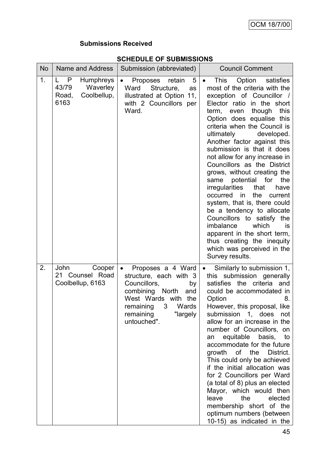# **Submissions Received**

| <b>No</b> | Name and Address                                                                | Submission (abbreviated)                                                                                                                                                                 | <b>Council Comment</b>                                                                                                                                                                                                                                                                                                                                                                                                                                                                                                                                                                                                                                                                                                                                                |
|-----------|---------------------------------------------------------------------------------|------------------------------------------------------------------------------------------------------------------------------------------------------------------------------------------|-----------------------------------------------------------------------------------------------------------------------------------------------------------------------------------------------------------------------------------------------------------------------------------------------------------------------------------------------------------------------------------------------------------------------------------------------------------------------------------------------------------------------------------------------------------------------------------------------------------------------------------------------------------------------------------------------------------------------------------------------------------------------|
| 1.        | P<br>L<br><b>Humphreys</b><br>43/79<br>Waverley<br>Coolbellup,<br>Road,<br>6163 | 5<br>Proposes retain<br>$\bullet$<br>Structure,<br>Ward<br>as<br>illustrated at Option 11,<br>with 2 Councillors per<br>Ward.                                                            | This<br>Option satisfies<br>$\bullet$<br>most of the criteria with the<br>exception of Councillor /<br>Elector ratio in the short<br>this<br>though<br>term,<br>even<br>Option does equalise this<br>criteria when the Council is<br>ultimately<br>developed.<br>Another factor against this<br>submission is that it does<br>not allow for any increase in<br>Councillors as the District<br>grows, without creating the<br>same potential for<br>the<br>irregularities<br>that<br>have<br>the<br>occurred in<br>current<br>system, that is, there could<br>be a tendency to allocate<br>Councillors to satisfy the<br>imbalance<br>which<br><b>is</b><br>apparent in the short term,<br>thus creating the inequity<br>which was perceived in the<br>Survey results. |
| 2.        | John<br>Cooper<br>21 Counsel Road<br>Coolbellup, 6163                           | Proposes a 4 Ward<br>structure, each with 3<br>Councillors,<br>by<br>combining North<br>and<br>West Wards with<br>the<br>3<br>Wards<br>remaining<br>remaining<br>"largely<br>untouched". | Similarly to submission 1,<br>$\bullet$<br>this submission generally<br>satisfies the criteria and<br>could be accommodated in<br>Option<br>8.<br>However, this proposal, like<br>submission 1, does not<br>allow for an increase in the<br>number of Councillors, on<br>equitable basis, to<br>an<br>accommodate for the future<br>growth of the<br>District.<br>This could only be achieved<br>if the initial allocation was<br>for 2 Councillors per Ward<br>(a total of 8) plus an elected<br>Mayor, which would then<br>elected<br>leave<br>the<br>membership short of the<br>optimum numbers (between<br>10-15) as indicated in the                                                                                                                             |

# **SCHEDULE OF SUBMISSIONS**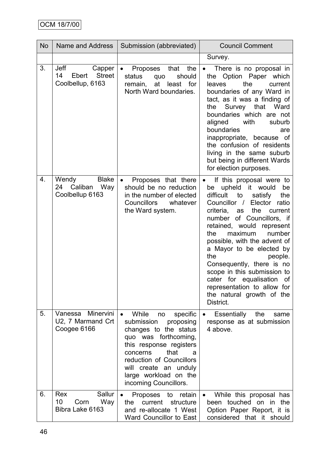| <b>No</b> | Name and Address<br>Submission (abbreviated)                       |                                                                                                                                                                                                                                                                             | <b>Council Comment</b>                                                                                                                                                                                                                                                                                                                                                                                                                                                                                                |  |
|-----------|--------------------------------------------------------------------|-----------------------------------------------------------------------------------------------------------------------------------------------------------------------------------------------------------------------------------------------------------------------------|-----------------------------------------------------------------------------------------------------------------------------------------------------------------------------------------------------------------------------------------------------------------------------------------------------------------------------------------------------------------------------------------------------------------------------------------------------------------------------------------------------------------------|--|
|           |                                                                    |                                                                                                                                                                                                                                                                             | Survey.                                                                                                                                                                                                                                                                                                                                                                                                                                                                                                               |  |
| 3.        | Jeff<br>Capper<br><b>Street</b><br>14<br>Ebert<br>Coolbellup, 6163 | Proposes that<br>the<br>should<br>status<br>quo<br>at<br>least for<br>remain,<br>North Ward boundaries.                                                                                                                                                                     | There is no proposal in<br>the Option Paper which<br>leaves<br>the<br>current<br>boundaries of any Ward in<br>tact, as it was a finding of<br>Survey that<br>Ward<br>the<br>boundaries which are not<br>aligned<br>with<br>suburb<br>boundaries<br>are<br>inappropriate, because of<br>the confusion of residents<br>living in the same suburb<br>but being in different Wards<br>for election purposes.                                                                                                              |  |
| 4.        | <b>Blake</b><br>Wendy<br>Caliban<br>Way<br>24<br>Coolbellup 6163   | Proposes that there<br>$\bullet$<br>should be no reduction<br>in the number of elected<br>Councillors<br>whatever<br>the Ward system.                                                                                                                                       | If this proposal were to<br>$\bullet$<br>upheld it would<br>be<br>be<br>difficult<br>to<br>satisfy<br>the<br>Councillor / Elector ratio<br>criteria,<br>the<br>current<br>as<br>number of Councillors, if<br>retained, would represent<br>maximum<br>number<br>the<br>possible, with the advent of<br>a Mayor to be elected by<br>the<br>people.<br>Consequently, there is no<br>scope in this submission to<br>cater for equalisation<br>of<br>representation to allow for<br>the natural growth of the<br>District. |  |
| 5.        | Vanessa Minervini<br>U2, 7 Marmand Crt<br>Coogee 6166              | While<br>specific<br>$\bullet$<br>no<br>submission<br>proposing<br>changes to the status<br>quo was forthcoming,<br>this response registers<br>that<br>concerns<br>a<br>reduction of Councillors<br>will create an unduly<br>large workload on the<br>incoming Councillors. | Essentially<br>the<br>same<br>$\bullet$<br>response as at submission<br>4 above.                                                                                                                                                                                                                                                                                                                                                                                                                                      |  |
| 6.        | Sallur<br>Rex<br>10<br>Corn<br>Way<br>Bibra Lake 6163              | Proposes to retain<br>$\bullet$<br>current<br>structure<br>the<br>and re-allocate 1 West<br>Ward Councillor to East                                                                                                                                                         | While this proposal has<br>$\bullet$<br>been touched on in the<br>Option Paper Report, it is<br>considered that it should                                                                                                                                                                                                                                                                                                                                                                                             |  |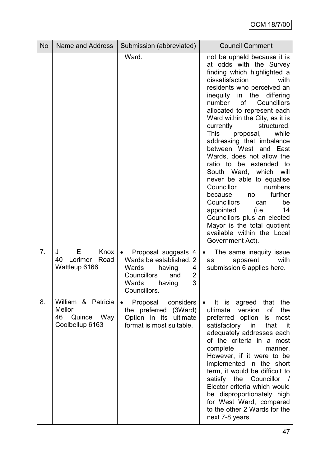| <b>No</b> | Name and Address                                                       | Submission (abbreviated)                                                                                                                               | <b>Council Comment</b>                                                                                                                                                                                                                                                                                                                                                                                                                                                                                                                                                                                                                                                                                                                                  |
|-----------|------------------------------------------------------------------------|--------------------------------------------------------------------------------------------------------------------------------------------------------|---------------------------------------------------------------------------------------------------------------------------------------------------------------------------------------------------------------------------------------------------------------------------------------------------------------------------------------------------------------------------------------------------------------------------------------------------------------------------------------------------------------------------------------------------------------------------------------------------------------------------------------------------------------------------------------------------------------------------------------------------------|
|           |                                                                        | Ward.                                                                                                                                                  | not be upheld because it is<br>at odds with the Survey<br>finding which highlighted a<br>dissatisfaction<br>with<br>residents who perceived an<br>inequity<br>differing<br>in<br>the<br>number of<br>Councillors<br>allocated to represent each<br>Ward within the City, as it is<br>currently<br>structured.<br>This<br>proposal,<br>while<br>addressing that imbalance<br>between West and East<br>Wards, does not allow the<br>ratio to be extended to<br>South Ward, which<br>will<br>never be able to equalise<br>Councillor<br>numbers<br>further<br>because<br>no<br><b>Councillors</b><br>be<br>can<br>appointed<br>(i.e.<br>14<br>Councillors plus an elected<br>Mayor is the total quotient<br>available within the Local<br>Government Act). |
| 7.        | Knox<br>Е<br>J<br>40<br>Lorimer<br>Road<br>Wattleup 6166               | Proposal suggests 4<br>Wards be established, 2<br>Wards<br>having<br>4<br>Councillors<br>$\overline{2}$<br>and<br>3<br>Wards<br>having<br>Councillors. | The same inequity issue<br>with<br>apparent<br>as<br>submission 6 applies here.                                                                                                                                                                                                                                                                                                                                                                                                                                                                                                                                                                                                                                                                         |
| 8.        | William & Patricia<br>Mellor<br>Quince<br>46<br>Way<br>Coolbellup 6163 | Proposal<br>considers<br>$\bullet$<br>the preferred (3Ward)<br>Option in its ultimate<br>format is most suitable.                                      | It is agreed that the<br>$\bullet$<br>of<br>the<br>ultimate<br>version<br>preferred option is most<br>satisfactory in<br>that<br>it it<br>adequately addresses each<br>of the criteria in a most<br>complete<br>manner.<br>However, if it were to be<br>implemented in the short<br>term, it would be difficult to<br>satisfy the Councillor /<br>Elector criteria which would<br>be disproportionately high<br>for West Ward, compared<br>to the other 2 Wards for the<br>next 7-8 years.                                                                                                                                                                                                                                                              |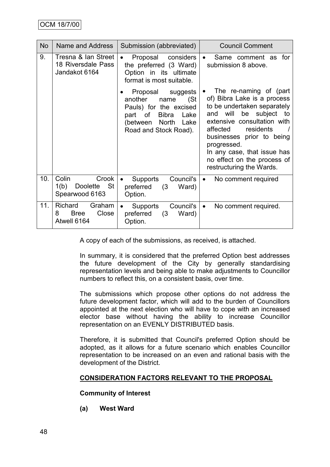| <b>No</b> | Name and Address                                                    | Submission (abbreviated)                                                                                                                                       | <b>Council Comment</b>                                                                                                                                                                                                                                                                                          |
|-----------|---------------------------------------------------------------------|----------------------------------------------------------------------------------------------------------------------------------------------------------------|-----------------------------------------------------------------------------------------------------------------------------------------------------------------------------------------------------------------------------------------------------------------------------------------------------------------|
| 9.        | Tresna & Ian Street<br>18 Riversdale Pass<br>Jandakot 6164          | Proposal considers<br>$\bullet$<br>the preferred (3 Ward)<br>Option in its ultimate<br>format is most suitable.                                                | Same comment as for<br>$\bullet$<br>submission 8 above.                                                                                                                                                                                                                                                         |
|           |                                                                     | Proposal suggests<br>another<br>name<br>(St<br>Pauls) for the excised<br>part of<br>Bibra<br>Lake<br><b>North</b><br>Lake<br>(between<br>Road and Stock Road). | The re-naming of (part<br>of) Bibra Lake is a process<br>to be undertaken separately<br>be subject to<br>and will<br>extensive consultation with<br>residents<br>affected<br>businesses prior to being<br>progressed.<br>In any case, that issue has<br>no effect on the process of<br>restructuring the Wards. |
| 10.       | Colin<br>Crook<br>- St<br><b>Doolette</b><br>1(b)<br>Spearwood 6163 | Supports<br>Council's<br>preferred<br>(3)<br>Ward)<br>Option.                                                                                                  | No comment required<br>$\bullet$                                                                                                                                                                                                                                                                                |
| 11.       | Graham<br>Richard<br>Close<br>8<br><b>Bree</b><br>Atwell 6164       | Council's<br>Supports<br>preferred<br>Ward)<br>(3)<br>Option.                                                                                                  | No comment required.<br>$\bullet$                                                                                                                                                                                                                                                                               |

A copy of each of the submissions, as received, is attached.

In summary, it is considered that the preferred Option best addresses the future development of the City by generally standardising representation levels and being able to make adjustments to Councillor numbers to reflect this, on a consistent basis, over time.

The submissions which propose other options do not address the future development factor, which will add to the burden of Councillors appointed at the next election who will have to cope with an increased elector base without having the ability to increase Councillor representation on an EVENLY DISTRIBUTED basis.

Therefore, it is submitted that Council's preferred Option should be adopted, as it allows for a future scenario which enables Councillor representation to be increased on an even and rational basis with the development of the District.

# **CONSIDERATION FACTORS RELEVANT TO THE PROPOSAL**

#### **Community of Interest**

**(a) West Ward**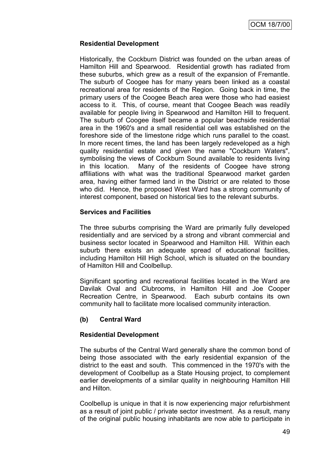## **Residential Development**

Historically, the Cockburn District was founded on the urban areas of Hamilton Hill and Spearwood. Residential growth has radiated from these suburbs, which grew as a result of the expansion of Fremantle. The suburb of Coogee has for many years been linked as a coastal recreational area for residents of the Region. Going back in time, the primary users of the Coogee Beach area were those who had easiest access to it. This, of course, meant that Coogee Beach was readily available for people living in Spearwood and Hamilton Hill to frequent. The suburb of Coogee itself became a popular beachside residential area in the 1960's and a small residential cell was established on the foreshore side of the limestone ridge which runs parallel to the coast. In more recent times, the land has been largely redeveloped as a high quality residential estate and given the name "Cockburn Waters", symbolising the views of Cockburn Sound available to residents living in this location. Many of the residents of Coogee have strong affiliations with what was the traditional Spearwood market garden area, having either farmed land in the District or are related to those who did. Hence, the proposed West Ward has a strong community of interest component, based on historical ties to the relevant suburbs.

## **Services and Facilities**

The three suburbs comprising the Ward are primarily fully developed residentially and are serviced by a strong and vibrant commercial and business sector located in Spearwood and Hamilton Hill. Within each suburb there exists an adequate spread of educational facilities, including Hamilton Hill High School, which is situated on the boundary of Hamilton Hill and Coolbellup.

Significant sporting and recreational facilities located in the Ward are Davilak Oval and Clubrooms, in Hamilton Hill and Joe Cooper Recreation Centre, in Spearwood. Each suburb contains its own community hall to facilitate more localised community interaction.

#### **(b) Central Ward**

#### **Residential Development**

The suburbs of the Central Ward generally share the common bond of being those associated with the early residential expansion of the district to the east and south. This commenced in the 1970's with the development of Coolbellup as a State Housing project, to complement earlier developments of a similar quality in neighbouring Hamilton Hill and Hilton.

Coolbellup is unique in that it is now experiencing major refurbishment as a result of joint public / private sector investment. As a result, many of the original public housing inhabitants are now able to participate in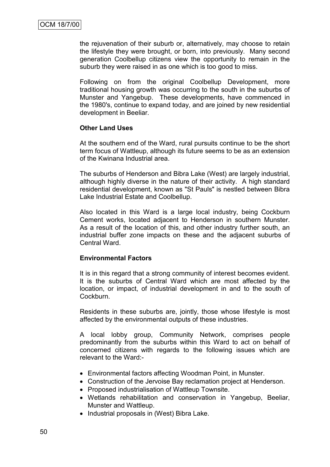the rejuvenation of their suburb or, alternatively, may choose to retain the lifestyle they were brought, or born, into previously. Many second generation Coolbellup citizens view the opportunity to remain in the suburb they were raised in as one which is too good to miss.

Following on from the original Coolbellup Development, more traditional housing growth was occurring to the south in the suburbs of Munster and Yangebup. These developments, have commenced in the 1980's, continue to expand today, and are joined by new residential development in Beeliar.

#### **Other Land Uses**

At the southern end of the Ward, rural pursuits continue to be the short term focus of Wattleup, although its future seems to be as an extension of the Kwinana Industrial area.

The suburbs of Henderson and Bibra Lake (West) are largely industrial, although highly diverse in the nature of their activity. A high standard residential development, known as "St Pauls" is nestled between Bibra Lake Industrial Estate and Coolbellup.

Also located in this Ward is a large local industry, being Cockburn Cement works, located adjacent to Henderson in southern Munster. As a result of the location of this, and other industry further south, an industrial buffer zone impacts on these and the adjacent suburbs of Central Ward.

#### **Environmental Factors**

It is in this regard that a strong community of interest becomes evident. It is the suburbs of Central Ward which are most affected by the location, or impact, of industrial development in and to the south of Cockburn.

Residents in these suburbs are, jointly, those whose lifestyle is most affected by the environmental outputs of these industries.

A local lobby group, Community Network, comprises people predominantly from the suburbs within this Ward to act on behalf of concerned citizens with regards to the following issues which are relevant to the Ward:-

- Environmental factors affecting Woodman Point, in Munster.
- Construction of the Jervoise Bay reclamation project at Henderson.
- Proposed industrialisation of Wattleup Townsite.
- Wetlands rehabilitation and conservation in Yangebup, Beeliar, Munster and Wattleup.
- Industrial proposals in (West) Bibra Lake.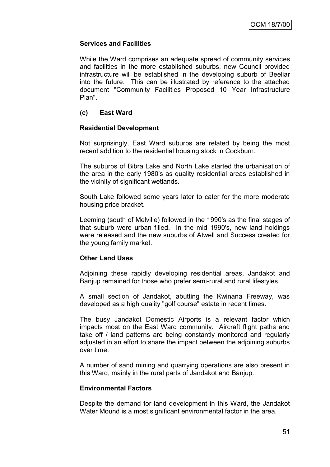## **Services and Facilities**

While the Ward comprises an adequate spread of community services and facilities in the more established suburbs, new Council provided infrastructure will be established in the developing suburb of Beeliar into the future. This can be illustrated by reference to the attached document "Community Facilities Proposed 10 Year Infrastructure Plan".

## **(c) East Ward**

#### **Residential Development**

Not surprisingly, East Ward suburbs are related by being the most recent addition to the residential housing stock in Cockburn.

The suburbs of Bibra Lake and North Lake started the urbanisation of the area in the early 1980's as quality residential areas established in the vicinity of significant wetlands.

South Lake followed some years later to cater for the more moderate housing price bracket.

Leeming (south of Melville) followed in the 1990's as the final stages of that suburb were urban filled. In the mid 1990's, new land holdings were released and the new suburbs of Atwell and Success created for the young family market.

#### **Other Land Uses**

Adjoining these rapidly developing residential areas, Jandakot and Banjup remained for those who prefer semi-rural and rural lifestyles.

A small section of Jandakot, abutting the Kwinana Freeway, was developed as a high quality "golf course" estate in recent times.

The busy Jandakot Domestic Airports is a relevant factor which impacts most on the East Ward community. Aircraft flight paths and take off / land patterns are being constantly monitored and regularly adjusted in an effort to share the impact between the adjoining suburbs over time.

A number of sand mining and quarrying operations are also present in this Ward, mainly in the rural parts of Jandakot and Banjup.

#### **Environmental Factors**

Despite the demand for land development in this Ward, the Jandakot Water Mound is a most significant environmental factor in the area.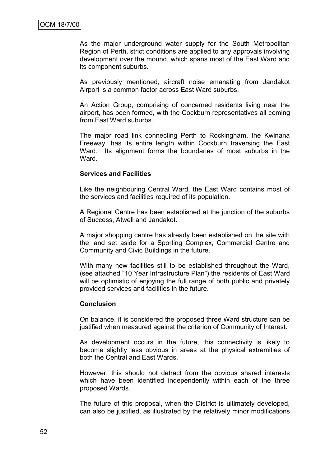As the major underground water supply for the South Metropolitan Region of Perth, strict conditions are applied to any approvals involving development over the mound, which spans most of the East Ward and its component suburbs.

As previously mentioned, aircraft noise emanating from Jandakot Airport is a common factor across East Ward suburbs.

An Action Group, comprising of concerned residents living near the airport, has been formed, with the Cockburn representatives all coming from East Ward suburbs.

The major road link connecting Perth to Rockingham, the Kwinana Freeway, has its entire length within Cockburn traversing the East Ward. Its alignment forms the boundaries of most suburbs in the Ward.

#### **Services and Facilities**

Like the neighbouring Central Ward, the East Ward contains most of the services and facilities required of its population.

A Regional Centre has been established at the junction of the suburbs of Success, Atwell and Jandakot.

A major shopping centre has already been established on the site with the land set aside for a Sporting Complex, Commercial Centre and Community and Civic Buildings in the future.

With many new facilities still to be established throughout the Ward, (see attached "10 Year Infrastructure Plan") the residents of East Ward will be optimistic of enjoying the full range of both public and privately provided services and facilities in the future.

#### **Conclusion**

On balance, it is considered the proposed three Ward structure can be justified when measured against the criterion of Community of Interest.

As development occurs in the future, this connectivity is likely to become slightly less obvious in areas at the physical extremities of both the Central and East Wards.

However, this should not detract from the obvious shared interests which have been identified independently within each of the three proposed Wards.

The future of this proposal, when the District is ultimately developed, can also be justified, as illustrated by the relatively minor modifications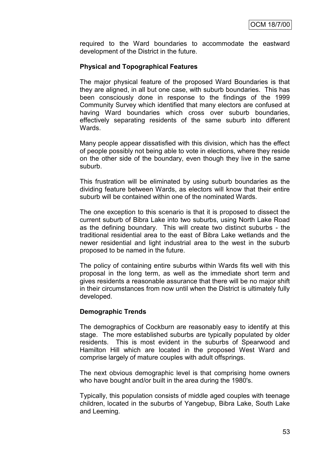required to the Ward boundaries to accommodate the eastward development of the District in the future.

# **Physical and Topographical Features**

The major physical feature of the proposed Ward Boundaries is that they are aligned, in all but one case, with suburb boundaries. This has been consciously done in response to the findings of the 1999 Community Survey which identified that many electors are confused at having Ward boundaries which cross over suburb boundaries, effectively separating residents of the same suburb into different Wards.

Many people appear dissatisfied with this division, which has the effect of people possibly not being able to vote in elections, where they reside on the other side of the boundary, even though they live in the same suburb.

This frustration will be eliminated by using suburb boundaries as the dividing feature between Wards, as electors will know that their entire suburb will be contained within one of the nominated Wards.

The one exception to this scenario is that it is proposed to dissect the current suburb of Bibra Lake into two suburbs, using North Lake Road as the defining boundary. This will create two distinct suburbs - the traditional residential area to the east of Bibra Lake wetlands and the newer residential and light industrial area to the west in the suburb proposed to be named in the future.

The policy of containing entire suburbs within Wards fits well with this proposal in the long term, as well as the immediate short term and gives residents a reasonable assurance that there will be no major shift in their circumstances from now until when the District is ultimately fully developed.

#### **Demographic Trends**

The demographics of Cockburn are reasonably easy to identify at this stage. The more established suburbs are typically populated by older residents. This is most evident in the suburbs of Spearwood and Hamilton Hill which are located in the proposed West Ward and comprise largely of mature couples with adult offsprings.

The next obvious demographic level is that comprising home owners who have bought and/or built in the area during the 1980's.

Typically, this population consists of middle aged couples with teenage children, located in the suburbs of Yangebup, Bibra Lake, South Lake and Leeming.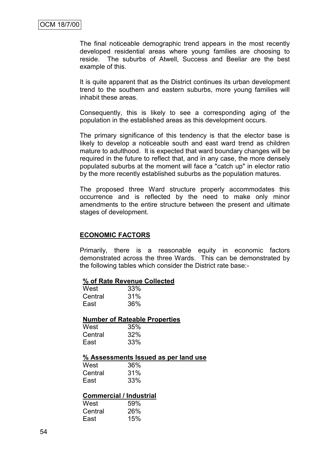The final noticeable demographic trend appears in the most recently developed residential areas where young families are choosing to reside. The suburbs of Atwell, Success and Beeliar are the best example of this.

It is quite apparent that as the District continues its urban development trend to the southern and eastern suburbs, more young families will inhabit these areas.

Consequently, this is likely to see a corresponding aging of the population in the established areas as this development occurs.

The primary significance of this tendency is that the elector base is likely to develop a noticeable south and east ward trend as children mature to adulthood. It is expected that ward boundary changes will be required in the future to reflect that, and in any case, the more densely populated suburbs at the moment will face a "catch up" in elector ratio by the more recently established suburbs as the population matures.

The proposed three Ward structure properly accommodates this occurrence and is reflected by the need to make only minor amendments to the entire structure between the present and ultimate stages of development.

#### **ECONOMIC FACTORS**

Primarily, there is a reasonable equity in economic factors demonstrated across the three Wards. This can be demonstrated by the following tables which consider the District rate base:-

#### **% of Rate Revenue Collected**

| West    | 33% |
|---------|-----|
| Central | 31% |
| East    | 36% |

#### **Number of Rateable Properties**

| West    | 35% |
|---------|-----|
| Central | 32% |
| East    | 33% |

#### **% Assessments Issued as per land use**

| West    | 36% |
|---------|-----|
| Central | 31% |
| East    | 33% |

#### **Commercial / Industrial**

| West    | 59% |
|---------|-----|
| Central | 26% |
| East    | 15% |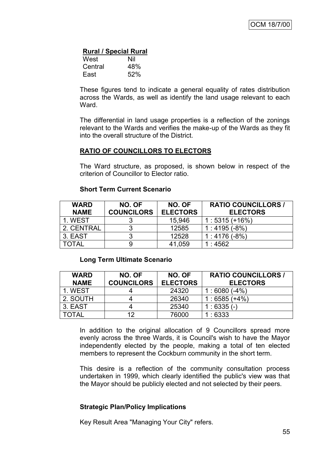# **Rural / Special Rural**

| West    | Nil |
|---------|-----|
| Central | 48% |
| East    | 52% |

These figures tend to indicate a general equality of rates distribution across the Wards, as well as identify the land usage relevant to each Ward.

The differential in land usage properties is a reflection of the zonings relevant to the Wards and verifies the make-up of the Wards as they fit into the overall structure of the District.

# **RATIO OF COUNCILLORS TO ELECTORS**

The Ward structure, as proposed, is shown below in respect of the criterion of Councillor to Elector ratio.

#### **Short Term Current Scenario**

| <b>WARD</b><br><b>NAME</b> | NO. OF<br><b>COUNCILORS</b> | NO. OF<br><b>ELECTORS</b> | <b>RATIO COUNCILLORS /</b><br><b>ELECTORS</b> |
|----------------------------|-----------------------------|---------------------------|-----------------------------------------------|
| 1. WEST                    |                             | 15,946                    | $1:5315 (+16%)$                               |
| 2. CENTRAL                 |                             | 12585                     | 1:4195(.8%)                                   |
| 3. EAST                    |                             | 12528                     | 1:4176(.8%)                                   |
| TOTAL                      |                             | 41,059                    | : 4562                                        |

# **Long Term Ultimate Scenario**

| <b>WARD</b> | NO. OF            | NO. OF          | <b>RATIO COUNCILLORS /</b> |
|-------------|-------------------|-----------------|----------------------------|
| <b>NAME</b> | <b>COUNCILORS</b> | <b>ELECTORS</b> | <b>ELECTORS</b>            |
| 1. WEST     |                   | 24320           | $1:6080(-4%)$              |
| 2. SOUTH    |                   | 26340           | $1:6585(+4%)$              |
| 3. EAST     |                   | 25340           | $1:6335(-)$                |
| TOTAL       | 12                | 76000           | 1:6333                     |

In addition to the original allocation of 9 Councillors spread more evenly across the three Wards, it is Council's wish to have the Mayor independently elected by the people, making a total of ten elected members to represent the Cockburn community in the short term.

This desire is a reflection of the community consultation process undertaken in 1999, which clearly identified the public's view was that the Mayor should be publicly elected and not selected by their peers.

# **Strategic Plan/Policy Implications**

Key Result Area "Managing Your City" refers.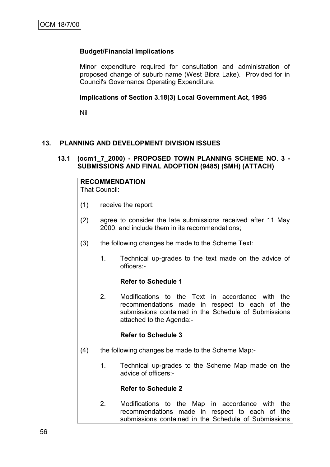## **Budget/Financial Implications**

Minor expenditure required for consultation and administration of proposed change of suburb name (West Bibra Lake). Provided for in Council's Governance Operating Expenditure.

#### **Implications of Section 3.18(3) Local Government Act, 1995**

Nil

## **13. PLANNING AND DEVELOPMENT DIVISION ISSUES**

#### **13.1 (ocm1\_7\_2000) - PROPOSED TOWN PLANNING SCHEME NO. 3 - SUBMISSIONS AND FINAL ADOPTION (9485) (SMH) (ATTACH)**

# **RECOMMENDATION**

That Council:

- (1) receive the report;
- (2) agree to consider the late submissions received after 11 May 2000, and include them in its recommendations;
- (3) the following changes be made to the Scheme Text:
	- 1. Technical up-grades to the text made on the advice of officers:-

#### **Refer to Schedule 1**

2. Modifications to the Text in accordance with the recommendations made in respect to each of the submissions contained in the Schedule of Submissions attached to the Agenda:-

#### **Refer to Schedule 3**

- (4) the following changes be made to the Scheme Map:-
	- 1. Technical up-grades to the Scheme Map made on the advice of officers:-

#### **Refer to Schedule 2**

2. Modifications to the Map in accordance with the recommendations made in respect to each of the submissions contained in the Schedule of Submissions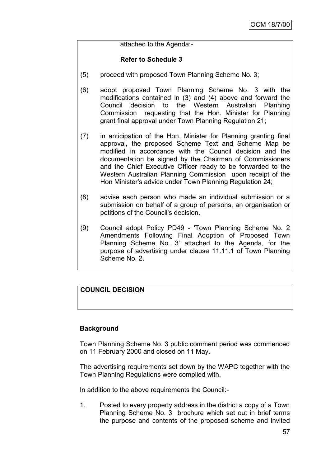attached to the Agenda:-

# **Refer to Schedule 3**

- (5) proceed with proposed Town Planning Scheme No. 3;
- (6) adopt proposed Town Planning Scheme No. 3 with the modifications contained in (3) and (4) above and forward the Council decision to the Western Australian Planning Commission requesting that the Hon. Minister for Planning grant final approval under Town Planning Regulation 21;
- (7) in anticipation of the Hon. Minister for Planning granting final approval, the proposed Scheme Text and Scheme Map be modified in accordance with the Council decision and the documentation be signed by the Chairman of Commissioners and the Chief Executive Officer ready to be forwarded to the Western Australian Planning Commission upon receipt of the Hon Minister's advice under Town Planning Regulation 24;
- (8) advise each person who made an individual submission or a submission on behalf of a group of persons, an organisation or petitions of the Council's decision.
- (9) Council adopt Policy PD49 'Town Planning Scheme No. 2 Amendments Following Final Adoption of Proposed Town Planning Scheme No. 3' attached to the Agenda, for the purpose of advertising under clause 11.11.1 of Town Planning Scheme No. 2.

# **COUNCIL DECISION**

# **Background**

Town Planning Scheme No. 3 public comment period was commenced on 11 February 2000 and closed on 11 May.

The advertising requirements set down by the WAPC together with the Town Planning Regulations were complied with.

In addition to the above requirements the Council:-

1. Posted to every property address in the district a copy of a Town Planning Scheme No. 3 brochure which set out in brief terms the purpose and contents of the proposed scheme and invited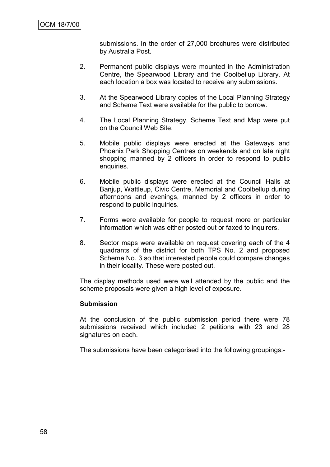submissions. In the order of 27,000 brochures were distributed by Australia Post.

- 2. Permanent public displays were mounted in the Administration Centre, the Spearwood Library and the Coolbellup Library. At each location a box was located to receive any submissions.
- 3. At the Spearwood Library copies of the Local Planning Strategy and Scheme Text were available for the public to borrow.
- 4. The Local Planning Strategy, Scheme Text and Map were put on the Council Web Site.
- 5. Mobile public displays were erected at the Gateways and Phoenix Park Shopping Centres on weekends and on late night shopping manned by 2 officers in order to respond to public enquiries.
- 6. Mobile public displays were erected at the Council Halls at Banjup, Wattleup, Civic Centre, Memorial and Coolbellup during afternoons and evenings, manned by 2 officers in order to respond to public inquiries.
- 7. Forms were available for people to request more or particular information which was either posted out or faxed to inquirers.
- 8. Sector maps were available on request covering each of the 4 quadrants of the district for both TPS No. 2 and proposed Scheme No. 3 so that interested people could compare changes in their locality. These were posted out.

The display methods used were well attended by the public and the scheme proposals were given a high level of exposure.

#### **Submission**

At the conclusion of the public submission period there were 78 submissions received which included 2 petitions with 23 and 28 signatures on each.

The submissions have been categorised into the following groupings:-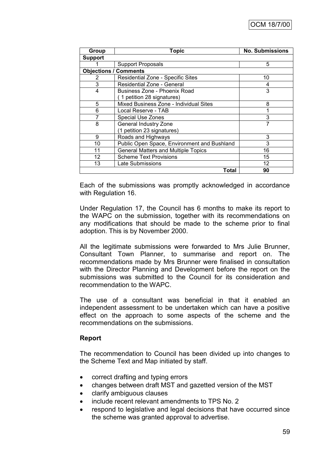| Group                        | <b>Topic</b>                                | <b>No. Submissions</b> |  |
|------------------------------|---------------------------------------------|------------------------|--|
| <b>Support</b>               |                                             |                        |  |
|                              | <b>Support Proposals</b>                    | 5                      |  |
| <b>Objections / Comments</b> |                                             |                        |  |
| 2                            | Residential Zone - Specific Sites           | 10                     |  |
| 3                            | <b>Residential Zone - General</b>           | 4                      |  |
| 4                            | Business Zone - Phoenix Road                | 3                      |  |
|                              | 1 petition 28 signatures)                   |                        |  |
| 5                            | Mixed Business Zone - Individual Sites      | 8                      |  |
| 6                            | Local Reserve - TAB                         |                        |  |
| 7                            | <b>Special Use Zones</b>                    | 3                      |  |
| 8                            | General Industry Zone                       | 7                      |  |
|                              | (1 petition 23 signatures)                  |                        |  |
| 9                            | Roads and Highways                          | 3                      |  |
| 10                           | Public Open Space, Environment and Bushland | 3                      |  |
| 11                           | <b>General Matters and Multiple Topics</b>  | 16                     |  |
| 12                           | <b>Scheme Text Provisions</b>               | 15                     |  |
| 13                           | Late Submissions                            | 12                     |  |
|                              | 90                                          |                        |  |

Each of the submissions was promptly acknowledged in accordance with Regulation 16.

Under Regulation 17, the Council has 6 months to make its report to the WAPC on the submission, together with its recommendations on any modifications that should be made to the scheme prior to final adoption. This is by November 2000.

All the legitimate submissions were forwarded to Mrs Julie Brunner, Consultant Town Planner, to summarise and report on. The recommendations made by Mrs Brunner were finalised in consultation with the Director Planning and Development before the report on the submissions was submitted to the Council for its consideration and recommendation to the WAPC.

The use of a consultant was beneficial in that it enabled an independent assessment to be undertaken which can have a positive effect on the approach to some aspects of the scheme and the recommendations on the submissions.

#### **Report**

The recommendation to Council has been divided up into changes to the Scheme Text and Map initiated by staff.

- correct drafting and typing errors
- changes between draft MST and gazetted version of the MST
- clarify ambiguous clauses
- include recent relevant amendments to TPS No. 2
- respond to legislative and legal decisions that have occurred since the scheme was granted approval to advertise.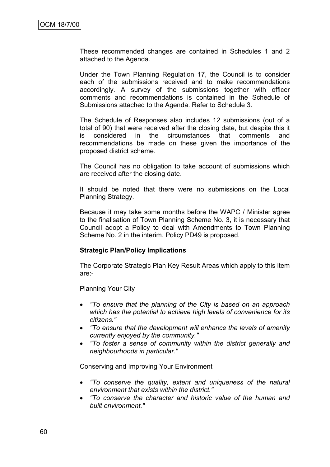These recommended changes are contained in Schedules 1 and 2 attached to the Agenda.

Under the Town Planning Regulation 17, the Council is to consider each of the submissions received and to make recommendations accordingly. A survey of the submissions together with officer comments and recommendations is contained in the Schedule of Submissions attached to the Agenda. Refer to Schedule 3.

The Schedule of Responses also includes 12 submissions (out of a total of 90) that were received after the closing date, but despite this it is considered in the circumstances that comments and recommendations be made on these given the importance of the proposed district scheme.

The Council has no obligation to take account of submissions which are received after the closing date.

It should be noted that there were no submissions on the Local Planning Strategy.

Because it may take some months before the WAPC / Minister agree to the finalisation of Town Planning Scheme No. 3, it is necessary that Council adopt a Policy to deal with Amendments to Town Planning Scheme No. 2 in the interim. Policy PD49 is proposed.

#### **Strategic Plan/Policy Implications**

The Corporate Strategic Plan Key Result Areas which apply to this item are:-

Planning Your City

- *"To ensure that the planning of the City is based on an approach which has the potential to achieve high levels of convenience for its citizens."*
- *"To ensure that the development will enhance the levels of amenity currently enjoyed by the community."*
- *"To foster a sense of community within the district generally and neighbourhoods in particular."*

Conserving and Improving Your Environment

- *"To conserve the quality, extent and uniqueness of the natural environment that exists within the district."*
- *"To conserve the character and historic value of the human and built environment."*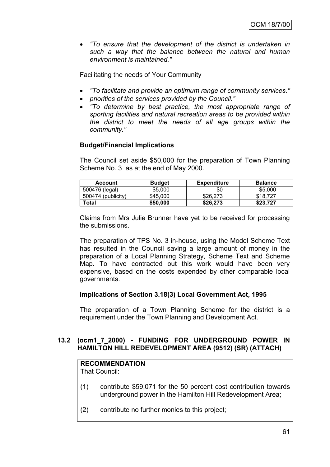*"To ensure that the development of the district is undertaken in such a way that the balance between the natural and human environment is maintained."*

Facilitating the needs of Your Community

- *"To facilitate and provide an optimum range of community services."*
- *priorities of the services provided by the Council."*
- *"To determine by best practice, the most appropriate range of sporting facilities and natural recreation areas to be provided within the district to meet the needs of all age groups within the community."*

## **Budget/Financial Implications**

The Council set aside \$50,000 for the preparation of Town Planning Scheme No. 3 as at the end of May 2000.

| <b>Account</b>       | <b>Budget</b> | Expenditure | <b>Balance</b> |
|----------------------|---------------|-------------|----------------|
| 500476 (legal)       | \$5,000       | \$0         | \$5,000        |
| $500474$ (publicity) | \$45,000      | \$26,273    | \$18,727       |
| Total                | \$50,000      | \$26,273    | \$23,727       |

Claims from Mrs Julie Brunner have yet to be received for processing the submissions.

The preparation of TPS No. 3 in-house, using the Model Scheme Text has resulted in the Council saving a large amount of money in the preparation of a Local Planning Strategy, Scheme Text and Scheme Map. To have contracted out this work would have been very expensive, based on the costs expended by other comparable local governments.

#### **Implications of Section 3.18(3) Local Government Act, 1995**

The preparation of a Town Planning Scheme for the district is a requirement under the Town Planning and Development Act.

## **13.2 (ocm1\_7\_2000) - FUNDING FOR UNDERGROUND POWER IN HAMILTON HILL REDEVELOPMENT AREA (9512) (SR) (ATTACH)**

## **RECOMMENDATION**

That Council:

- (1) contribute \$59,071 for the 50 percent cost contribution towards underground power in the Hamilton Hill Redevelopment Area;
- (2) contribute no further monies to this project;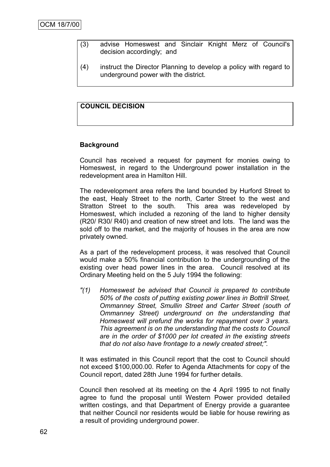- (3) advise Homeswest and Sinclair Knight Merz of Council's decision accordingly; and
- (4) instruct the Director Planning to develop a policy with regard to underground power with the district.

# **COUNCIL DECISION**

#### **Background**

Council has received a request for payment for monies owing to Homeswest, in regard to the Underground power installation in the redevelopment area in Hamilton Hill.

The redevelopment area refers the land bounded by Hurford Street to the east, Healy Street to the north, Carter Street to the west and Stratton Street to the south. This area was redeveloped by Homeswest, which included a rezoning of the land to higher density (R20/ R30/ R40) and creation of new street and lots. The land was the sold off to the market, and the majority of houses in the area are now privately owned.

As a part of the redevelopment process, it was resolved that Council would make a 50% financial contribution to the undergrounding of the existing over head power lines in the area. Council resolved at its Ordinary Meeting held on the 5 July 1994 the following:

*"(1) Homeswest be advised that Council is prepared to contribute 50% of the costs of putting existing power lines in Bottrill Street, Ommanney Street, Smullin Street and Carter Street (south of Ommanney Street) underground on the understanding that Homeswest will prefund the works for repayment over 3 years. This agreement is on the understanding that the costs to Council are in the order of \$1000 per lot created in the existing streets that do not also have frontage to a newly created street;".*

It was estimated in this Council report that the cost to Council should not exceed \$100,000.00. Refer to Agenda Attachments for copy of the Council report, dated 28th June 1994 for further details.

Council then resolved at its meeting on the 4 April 1995 to not finally agree to fund the proposal until Western Power provided detailed written costings, and that Department of Energy provide a guarantee that neither Council nor residents would be liable for house rewiring as a result of providing underground power.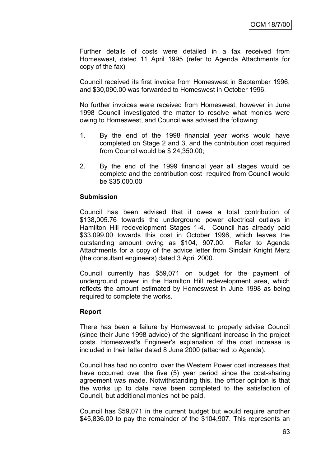Further details of costs were detailed in a fax received from Homeswest, dated 11 April 1995 (refer to Agenda Attachments for copy of the fax)

Council received its first invoice from Homeswest in September 1996, and \$30,090.00 was forwarded to Homeswest in October 1996.

No further invoices were received from Homeswest, however in June 1998 Council investigated the matter to resolve what monies were owing to Homeswest, and Council was advised the following:

- 1. By the end of the 1998 financial year works would have completed on Stage 2 and 3, and the contribution cost required from Council would be \$ 24,350.00;
- 2. By the end of the 1999 financial year all stages would be complete and the contribution cost required from Council would be \$35,000.00

#### **Submission**

Council has been advised that it owes a total contribution of \$138,005.76 towards the underground power electrical outlays in Hamilton Hill redevelopment Stages 1-4. Council has already paid \$33,099.00 towards this cost in October 1996, which leaves the outstanding amount owing as \$104, 907.00. Refer to Agenda Attachments for a copy of the advice letter from Sinclair Knight Merz (the consultant engineers) dated 3 April 2000.

Council currently has \$59,071 on budget for the payment of underground power in the Hamilton Hill redevelopment area, which reflects the amount estimated by Homeswest in June 1998 as being required to complete the works.

#### **Report**

There has been a failure by Homeswest to properly advise Council (since their June 1998 advice) of the significant increase in the project costs. Homeswest's Engineer's explanation of the cost increase is included in their letter dated 8 June 2000 (attached to Agenda).

Council has had no control over the Western Power cost increases that have occurred over the five (5) year period since the cost-sharing agreement was made. Notwithstanding this, the officer opinion is that the works up to date have been completed to the satisfaction of Council, but additional monies not be paid.

Council has \$59,071 in the current budget but would require another \$45,836.00 to pay the remainder of the \$104,907. This represents an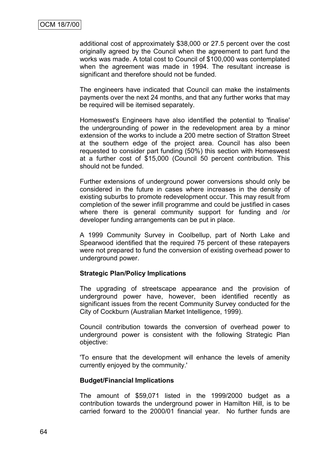additional cost of approximately \$38,000 or 27.5 percent over the cost originally agreed by the Council when the agreement to part fund the works was made. A total cost to Council of \$100,000 was contemplated when the agreement was made in 1994. The resultant increase is significant and therefore should not be funded.

The engineers have indicated that Council can make the instalments payments over the next 24 months, and that any further works that may be required will be itemised separately.

Homeswest's Engineers have also identified the potential to 'finalise' the undergrounding of power in the redevelopment area by a minor extension of the works to include a 200 metre section of Stratton Street at the southern edge of the project area. Council has also been requested to consider part funding (50%) this section with Homeswest at a further cost of \$15,000 (Council 50 percent contribution. This should not be funded.

Further extensions of underground power conversions should only be considered in the future in cases where increases in the density of existing suburbs to promote redevelopment occur. This may result from completion of the sewer infill programme and could be justified in cases where there is general community support for funding and /or developer funding arrangements can be put in place.

A 1999 Community Survey in Coolbellup, part of North Lake and Spearwood identified that the required 75 percent of these ratepayers were not prepared to fund the conversion of existing overhead power to underground power.

#### **Strategic Plan/Policy Implications**

The upgrading of streetscape appearance and the provision of underground power have, however, been identified recently as significant issues from the recent Community Survey conducted for the City of Cockburn (Australian Market Intelligence, 1999).

Council contribution towards the conversion of overhead power to underground power is consistent with the following Strategic Plan objective:

'To ensure that the development will enhance the levels of amenity currently enjoyed by the community.'

#### **Budget/Financial Implications**

The amount of \$59,071 listed in the 1999/2000 budget as a contribution towards the underground power in Hamilton Hill, is to be carried forward to the 2000/01 financial year. No further funds are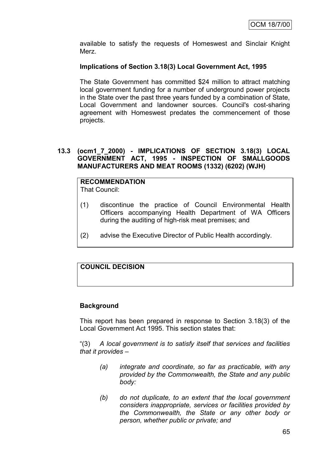available to satisfy the requests of Homeswest and Sinclair Knight Merz.

## **Implications of Section 3.18(3) Local Government Act, 1995**

The State Government has committed \$24 million to attract matching local government funding for a number of underground power projects in the State over the past three years funded by a combination of State, Local Government and landowner sources. Council's cost-sharing agreement with Homeswest predates the commencement of those projects.

#### **13.3 (ocm1\_7\_2000) - IMPLICATIONS OF SECTION 3.18(3) LOCAL GOVERNMENT ACT, 1995 - INSPECTION OF SMALLGOODS MANUFACTURERS AND MEAT ROOMS (1332) (6202) (WJH)**

#### **RECOMMENDATION** That Council:

- (1) discontinue the practice of Council Environmental Health Officers accompanying Health Department of WA Officers during the auditing of high-risk meat premises; and
- (2) advise the Executive Director of Public Health accordingly.

# **COUNCIL DECISION**

#### **Background**

This report has been prepared in response to Section 3.18(3) of the Local Government Act 1995. This section states that:

"(3) *A local government is to satisfy itself that services and facilities that it provides –*

- *(a) integrate and coordinate, so far as practicable, with any provided by the Commonwealth, the State and any public body:*
- *(b) do not duplicate, to an extent that the local government considers inappropriate, services or facilities provided by the Commonwealth, the State or any other body or person, whether public or private; and*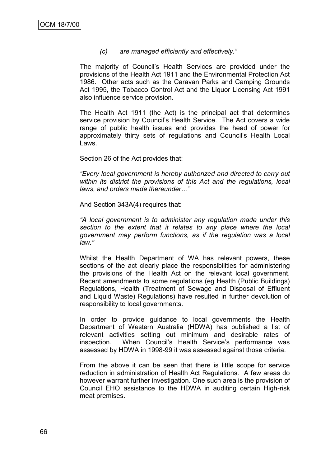#### *(c) are managed efficiently and effectively."*

The majority of Council"s Health Services are provided under the provisions of the Health Act 1911 and the Environmental Protection Act 1986. Other acts such as the Caravan Parks and Camping Grounds Act 1995, the Tobacco Control Act and the Liquor Licensing Act 1991 also influence service provision.

The Health Act 1911 (the Act) is the principal act that determines service provision by Council's Health Service. The Act covers a wide range of public health issues and provides the head of power for approximately thirty sets of regulations and Council"s Health Local Laws.

Section 26 of the Act provides that:

*"Every local government is hereby authorized and directed to carry out within its district the provisions of this Act and the regulations, local laws, and orders made thereunder…"*

And Section 343A(4) requires that:

*"A local government is to administer any regulation made under this section to the extent that it relates to any place where the local government may perform functions, as if the regulation was a local law."*

Whilst the Health Department of WA has relevant powers, these sections of the act clearly place the responsibilities for administering the provisions of the Health Act on the relevant local government. Recent amendments to some regulations (eg Health (Public Buildings) Regulations, Health (Treatment of Sewage and Disposal of Effluent and Liquid Waste) Regulations) have resulted in further devolution of responsibility to local governments.

In order to provide guidance to local governments the Health Department of Western Australia (HDWA) has published a list of relevant activities setting out minimum and desirable rates of inspection. When Council's Health Service's performance was assessed by HDWA in 1998-99 it was assessed against those criteria.

From the above it can be seen that there is little scope for service reduction in administration of Health Act Regulations. A few areas do however warrant further investigation. One such area is the provision of Council EHO assistance to the HDWA in auditing certain High-risk meat premises.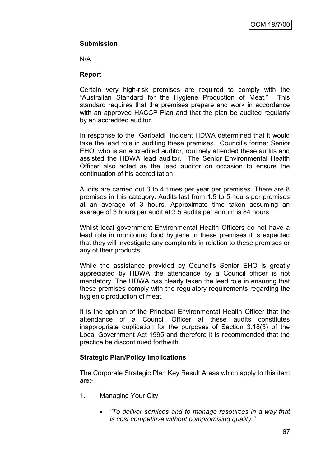# **Submission**

N/A

# **Report**

Certain very high-risk premises are required to comply with the "Australian Standard for the Hygiene Production of Meat." This standard requires that the premises prepare and work in accordance with an approved HACCP Plan and that the plan be audited regularly by an accredited auditor.

In response to the "Garibaldi" incident HDWA determined that it would take the lead role in auditing these premises. Council"s former Senior EHO, who is an accredited auditor, routinely attended these audits and assisted the HDWA lead auditor. The Senior Environmental Health Officer also acted as the lead auditor on occasion to ensure the continuation of his accreditation.

Audits are carried out 3 to 4 times per year per premises. There are 8 premises in this category. Audits last from 1.5 to 5 hours per premises at an average of 3 hours. Approximate time taken assuming an average of 3 hours per audit at 3.5 audits per annum is 84 hours.

Whilst local government Environmental Health Officers do not have a lead role in monitoring food hygiene in these premises it is expected that they will investigate any complaints in relation to these premises or any of their products.

While the assistance provided by Council's Senior EHO is greatly appreciated by HDWA the attendance by a Council officer is not mandatory. The HDWA has clearly taken the lead role in ensuring that these premises comply with the regulatory requirements regarding the hygienic production of meat.

It is the opinion of the Principal Environmental Health Officer that the attendance of a Council Officer at these audits constitutes inappropriate duplication for the purposes of Section 3.18(3) of the Local Government Act 1995 and therefore it is recommended that the practice be discontinued forthwith.

# **Strategic Plan/Policy Implications**

The Corporate Strategic Plan Key Result Areas which apply to this item are:-

- 1. Managing Your City
	- *"To deliver services and to manage resources in a way that is cost competitive without compromising quality."*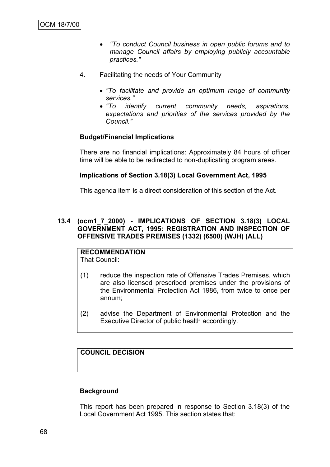- *"To conduct Council business in open public forums and to manage Council affairs by employing publicly accountable practices."*
- 4. Facilitating the needs of Your Community
	- *"To facilitate and provide an optimum range of community services."*
	- *"To identify current community needs, aspirations, expectations and priorities of the services provided by the Council."*

# **Budget/Financial Implications**

There are no financial implications: Approximately 84 hours of officer time will be able to be redirected to non-duplicating program areas.

### **Implications of Section 3.18(3) Local Government Act, 1995**

This agenda item is a direct consideration of this section of the Act.

# **13.4 (ocm1\_7\_2000) - IMPLICATIONS OF SECTION 3.18(3) LOCAL GOVERNMENT ACT, 1995: REGISTRATION AND INSPECTION OF OFFENSIVE TRADES PREMISES (1332) (6500) (WJH) (ALL)**

#### **RECOMMENDATION** That Council:

- (1) reduce the inspection rate of Offensive Trades Premises, which are also licensed prescribed premises under the provisions of the Environmental Protection Act 1986, from twice to once per annum;
- (2) advise the Department of Environmental Protection and the Executive Director of public health accordingly.

# **COUNCIL DECISION**

# **Background**

This report has been prepared in response to Section 3.18(3) of the Local Government Act 1995. This section states that: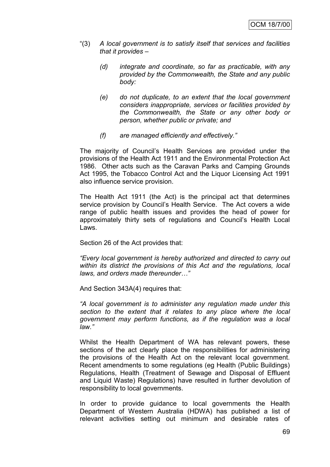- "(3) *A local government is to satisfy itself that services and facilities that it provides –*
	- *(d) integrate and coordinate, so far as practicable, with any provided by the Commonwealth, the State and any public body:*
	- *(e) do not duplicate, to an extent that the local government considers inappropriate, services or facilities provided by the Commonwealth, the State or any other body or person, whether public or private; and*
	- *(f) are managed efficiently and effectively."*

The majority of Council"s Health Services are provided under the provisions of the Health Act 1911 and the Environmental Protection Act 1986. Other acts such as the Caravan Parks and Camping Grounds Act 1995, the Tobacco Control Act and the Liquor Licensing Act 1991 also influence service provision.

The Health Act 1911 (the Act) is the principal act that determines service provision by Council's Health Service. The Act covers a wide range of public health issues and provides the head of power for approximately thirty sets of regulations and Council"s Health Local Laws.

Section 26 of the Act provides that:

*"Every local government is hereby authorized and directed to carry out within its district the provisions of this Act and the regulations, local laws, and orders made thereunder…"*

And Section 343A(4) requires that:

*"A local government is to administer any regulation made under this section to the extent that it relates to any place where the local government may perform functions, as if the regulation was a local law."*

Whilst the Health Department of WA has relevant powers, these sections of the act clearly place the responsibilities for administering the provisions of the Health Act on the relevant local government. Recent amendments to some regulations (eg Health (Public Buildings) Regulations, Health (Treatment of Sewage and Disposal of Effluent and Liquid Waste) Regulations) have resulted in further devolution of responsibility to local governments.

In order to provide guidance to local governments the Health Department of Western Australia (HDWA) has published a list of relevant activities setting out minimum and desirable rates of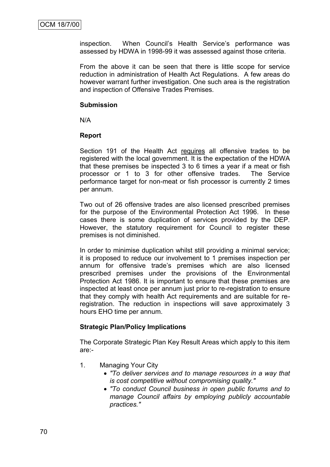inspection. When Council's Health Service's performance was assessed by HDWA in 1998-99 it was assessed against those criteria.

From the above it can be seen that there is little scope for service reduction in administration of Health Act Regulations. A few areas do however warrant further investigation. One such area is the registration and inspection of Offensive Trades Premises.

### **Submission**

N/A

# **Report**

Section 191 of the Health Act requires all offensive trades to be registered with the local government. It is the expectation of the HDWA that these premises be inspected 3 to 6 times a year if a meat or fish processor or 1 to 3 for other offensive trades. The Service performance target for non-meat or fish processor is currently 2 times per annum.

Two out of 26 offensive trades are also licensed prescribed premises for the purpose of the Environmental Protection Act 1996. In these cases there is some duplication of services provided by the DEP. However, the statutory requirement for Council to register these premises is not diminished.

In order to minimise duplication whilst still providing a minimal service; it is proposed to reduce our involvement to 1 premises inspection per annum for offensive trade"s premises which are also licensed prescribed premises under the provisions of the Environmental Protection Act 1986. It is important to ensure that these premises are inspected at least once per annum just prior to re-registration to ensure that they comply with health Act requirements and are suitable for reregistration. The reduction in inspections will save approximately 3 hours EHO time per annum.

# **Strategic Plan/Policy Implications**

The Corporate Strategic Plan Key Result Areas which apply to this item are:-

- 1. Managing Your City
	- *"To deliver services and to manage resources in a way that is cost competitive without compromising quality."*
	- *"To conduct Council business in open public forums and to manage Council affairs by employing publicly accountable practices."*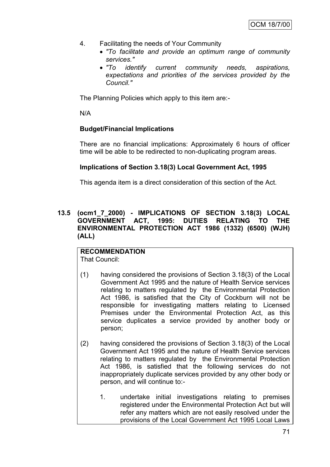- 4. Facilitating the needs of Your Community
	- *"To facilitate and provide an optimum range of community services."*
	- *"To identify current community needs, aspirations, expectations and priorities of the services provided by the Council."*

The Planning Policies which apply to this item are:-

N/A

# **Budget/Financial Implications**

There are no financial implications: Approximately 6 hours of officer time will be able to be redirected to non-duplicating program areas.

# **Implications of Section 3.18(3) Local Government Act, 1995**

This agenda item is a direct consideration of this section of the Act.

# **13.5 (ocm1\_7\_2000) - IMPLICATIONS OF SECTION 3.18(3) LOCAL GOVERNMENT ACT, 1995: DUTIES RELATING TO THE ENVIRONMENTAL PROTECTION ACT 1986 (1332) (6500) (WJH) (ALL)**

#### **RECOMMENDATION** That Council:

- (1) having considered the provisions of Section 3.18(3) of the Local Government Act 1995 and the nature of Health Service services relating to matters regulated by the Environmental Protection Act 1986, is satisfied that the City of Cockburn will not be responsible for investigating matters relating to Licensed Premises under the Environmental Protection Act, as this service duplicates a service provided by another body or person;
- (2) having considered the provisions of Section 3.18(3) of the Local Government Act 1995 and the nature of Health Service services relating to matters regulated by the Environmental Protection Act 1986, is satisfied that the following services do not inappropriately duplicate services provided by any other body or person, and will continue to:-
	- 1. undertake initial investigations relating to premises registered under the Environmental Protection Act but will refer any matters which are not easily resolved under the provisions of the Local Government Act 1995 Local Laws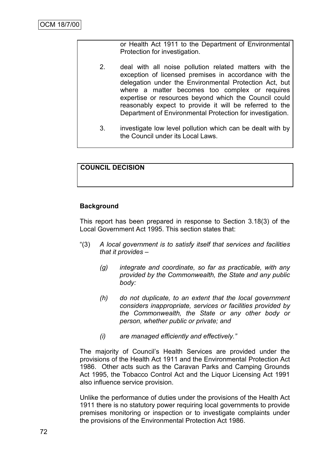or Health Act 1911 to the Department of Environmental Protection for investigation.

- 2. deal with all noise pollution related matters with the exception of licensed premises in accordance with the delegation under the Environmental Protection Act, but where a matter becomes too complex or requires expertise or resources beyond which the Council could reasonably expect to provide it will be referred to the Department of Environmental Protection for investigation.
- 3. investigate low level pollution which can be dealt with by the Council under its Local Laws.

# **COUNCIL DECISION**

# **Background**

This report has been prepared in response to Section 3.18(3) of the Local Government Act 1995. This section states that:

- "(3) *A local government is to satisfy itself that services and facilities that it provides –*
	- *(g) integrate and coordinate, so far as practicable, with any provided by the Commonwealth, the State and any public body:*
	- *(h) do not duplicate, to an extent that the local government considers inappropriate, services or facilities provided by the Commonwealth, the State or any other body or person, whether public or private; and*
	- *(i) are managed efficiently and effectively."*

The majority of Council"s Health Services are provided under the provisions of the Health Act 1911 and the Environmental Protection Act 1986. Other acts such as the Caravan Parks and Camping Grounds Act 1995, the Tobacco Control Act and the Liquor Licensing Act 1991 also influence service provision.

Unlike the performance of duties under the provisions of the Health Act 1911 there is no statutory power requiring local governments to provide premises monitoring or inspection or to investigate complaints under the provisions of the Environmental Protection Act 1986.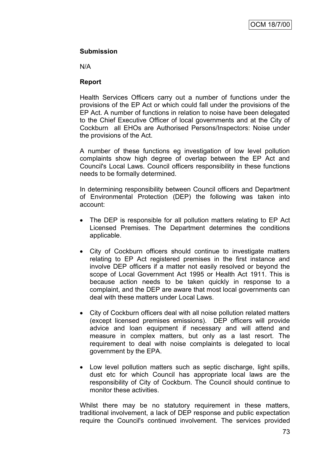# **Submission**

N/A

# **Report**

Health Services Officers carry out a number of functions under the provisions of the EP Act or which could fall under the provisions of the EP Act. A number of functions in relation to noise have been delegated to the Chief Executive Officer of local governments and at the City of Cockburn all EHOs are Authorised Persons/Inspectors: Noise under the provisions of the Act.

A number of these functions eg investigation of low level pollution complaints show high degree of overlap between the EP Act and Council's Local Laws. Council officers responsibility in these functions needs to be formally determined.

In determining responsibility between Council officers and Department of Environmental Protection (DEP) the following was taken into account:

- The DEP is responsible for all pollution matters relating to EP Act Licensed Premises. The Department determines the conditions applicable.
- City of Cockburn officers should continue to investigate matters relating to EP Act registered premises in the first instance and involve DEP officers if a matter not easily resolved or beyond the scope of Local Government Act 1995 or Health Act 1911. This is because action needs to be taken quickly in response to a complaint, and the DEP are aware that most local governments can deal with these matters under Local Laws.
- City of Cockburn officers deal with all noise pollution related matters (except licensed premises emissions). DEP officers will provide advice and loan equipment if necessary and will attend and measure in complex matters, but only as a last resort. The requirement to deal with noise complaints is delegated to local government by the EPA.
- Low level pollution matters such as septic discharge, light spills, dust etc for which Council has appropriate local laws are the responsibility of City of Cockburn. The Council should continue to monitor these activities.

Whilst there may be no statutory requirement in these matters, traditional involvement, a lack of DEP response and public expectation require the Council's continued involvement. The services provided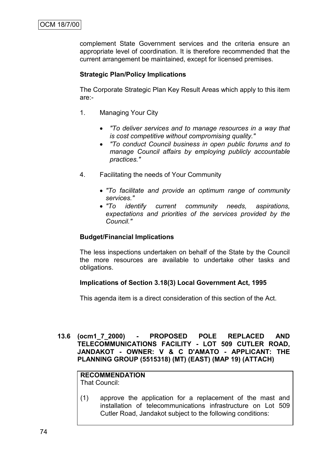complement State Government services and the criteria ensure an appropriate level of coordination. It is therefore recommended that the current arrangement be maintained, except for licensed premises.

# **Strategic Plan/Policy Implications**

The Corporate Strategic Plan Key Result Areas which apply to this item are:-

- 1. Managing Your City
	- *"To deliver services and to manage resources in a way that is cost competitive without compromising quality."*
	- *"To conduct Council business in open public forums and to manage Council affairs by employing publicly accountable practices."*
- 4. Facilitating the needs of Your Community
	- *"To facilitate and provide an optimum range of community services."*
	- *"To identify current community needs, aspirations, expectations and priorities of the services provided by the Council."*

### **Budget/Financial Implications**

The less inspections undertaken on behalf of the State by the Council the more resources are available to undertake other tasks and obligations.

# **Implications of Section 3.18(3) Local Government Act, 1995**

This agenda item is a direct consideration of this section of the Act.

# **13.6 (ocm1\_7\_2000) - PROPOSED POLE REPLACED AND TELECOMMUNICATIONS FACILITY - LOT 509 CUTLER ROAD, JANDAKOT - OWNER: V & C D'AMATO - APPLICANT: THE PLANNING GROUP (5515318) (MT) (EAST) (MAP 19) (ATTACH)**

# **RECOMMENDATION**

That Council:

(1) approve the application for a replacement of the mast and installation of telecommunications infrastructure on Lot 509 Cutler Road, Jandakot subject to the following conditions: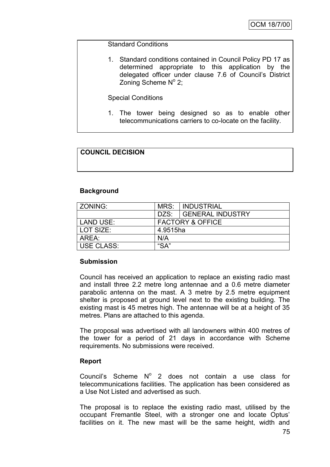# Standard Conditions

1. Standard conditions contained in Council Policy PD 17 as determined appropriate to this application by the delegated officer under clause 7.6 of Council"s District Zoning Scheme  $N^{\circ}$  2;

#### Special Conditions

1. The tower being designed so as to enable other telecommunications carriers to co-locate on the facility.

# **COUNCIL DECISION**

# **Background**

| ZONING:           |                             | MRS: INDUSTRIAL       |  |
|-------------------|-----------------------------|-----------------------|--|
|                   |                             | DZS: GENERAL INDUSTRY |  |
| <b>LAND USE:</b>  | <b>FACTORY &amp; OFFICE</b> |                       |  |
| LOT SIZE:         | 4.9515ha                    |                       |  |
| AREA:             | N/A                         |                       |  |
| <b>USE CLASS:</b> | "SA"                        |                       |  |

#### **Submission**

Council has received an application to replace an existing radio mast and install three 2.2 metre long antennae and a 0.6 metre diameter parabolic antenna on the mast. A 3 metre by 2.5 metre equipment shelter is proposed at ground level next to the existing building. The existing mast is 45 metres high. The antennae will be at a height of 35 metres. Plans are attached to this agenda.

The proposal was advertised with all landowners within 400 metres of the tower for a period of 21 days in accordance with Scheme requirements. No submissions were received.

# **Report**

Council's Scheme  $N^{\circ}$  2 does not contain a use class for telecommunications facilities. The application has been considered as a Use Not Listed and advertised as such.

The proposal is to replace the existing radio mast, utilised by the occupant Fremantle Steel, with a stronger one and locate Optus" facilities on it. The new mast will be the same height, width and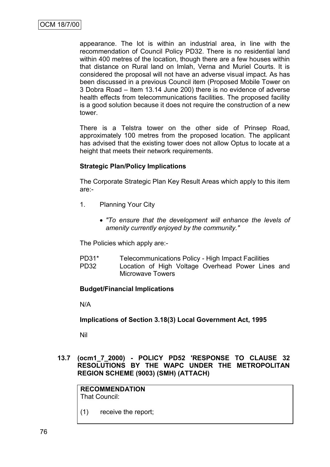appearance. The lot is within an industrial area, in line with the recommendation of Council Policy PD32. There is no residential land within 400 metres of the location, though there are a few houses within that distance on Rural land on Imlah, Verna and Muriel Courts. It is considered the proposal will not have an adverse visual impact. As has been discussed in a previous Council item (Proposed Mobile Tower on 3 Dobra Road – Item 13.14 June 200) there is no evidence of adverse health effects from telecommunications facilities. The proposed facility is a good solution because it does not require the construction of a new tower.

There is a Telstra tower on the other side of Prinsep Road, approximately 100 metres from the proposed location. The applicant has advised that the existing tower does not allow Optus to locate at a height that meets their network requirements.

# **Strategic Plan/Policy Implications**

The Corporate Strategic Plan Key Result Areas which apply to this item are:-

- 1. Planning Your City
	- *"To ensure that the development will enhance the levels of amenity currently enjoyed by the community."*

The Policies which apply are:-

PD31\* Telecommunications Policy - High Impact Facilities PD32 Location of High Voltage Overhead Power Lines and Microwave Towers

# **Budget/Financial Implications**

N/A

**Implications of Section 3.18(3) Local Government Act, 1995**

Nil

**13.7 (ocm1\_7\_2000) - POLICY PD52 'RESPONSE TO CLAUSE 32 RESOLUTIONS BY THE WAPC UNDER THE METROPOLITAN REGION SCHEME (9003) (SMH) (ATTACH)**

**RECOMMENDATION** That Council:

(1) receive the report;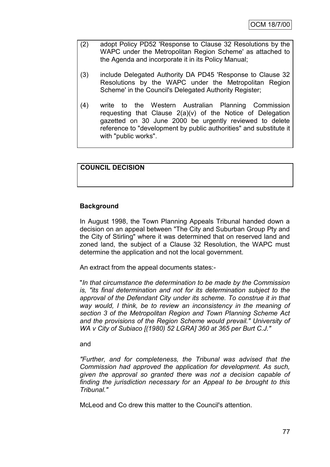- (2) adopt Policy PD52 'Response to Clause 32 Resolutions by the WAPC under the Metropolitan Region Scheme' as attached to the Agenda and incorporate it in its Policy Manual;
- (3) include Delegated Authority DA PD45 'Response to Clause 32 Resolutions by the WAPC under the Metropolitan Region Scheme' in the Council's Delegated Authority Register;
- (4) write to the Western Australian Planning Commission requesting that Clause 2(a)(v) of the Notice of Delegation gazetted on 30 June 2000 be urgently reviewed to delete reference to "development by public authorities" and substitute it with "public works".

# **COUNCIL DECISION**

# **Background**

In August 1998, the Town Planning Appeals Tribunal handed down a decision on an appeal between "The City and Suburban Group Pty and the City of Stirling" where it was determined that on reserved land and zoned land, the subject of a Clause 32 Resolution, the WAPC must determine the application and not the local government.

An extract from the appeal documents states:-

"*In that circumstance the determination to be made by the Commission is, "its final determination and not for its determination subject to the approval of the Defendant City under its scheme. To construe it in that way would, I think, be to review an inconsistency in the meaning of section 3 of the Metropolitan Region and Town Planning Scheme Act and the provisions of the Region Scheme would prevail." University of WA v City of Subiaco [(1980) 52 LGRA] 360 at 365 per Burt C.J."*

#### and

*"Further, and for completeness, the Tribunal was advised that the Commission had approved the application for development. As such, given the approval so granted there was not a decision capable of finding the jurisdiction necessary for an Appeal to be brought to this Tribunal."*

McLeod and Co drew this matter to the Council's attention.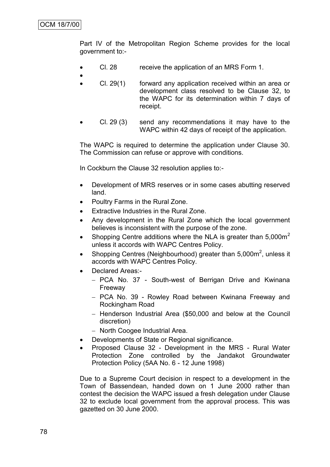Part IV of the Metropolitan Region Scheme provides for the local government to:-

- Cl. 28 receive the application of an MRS Form 1.
- $\bullet$  Cl. 29(1) forward any application received within an area or development class resolved to be Clause 32, to the WAPC for its determination within 7 days of receipt.
- Cl. 29 (3) send any recommendations it may have to the WAPC within 42 days of receipt of the application.

The WAPC is required to determine the application under Clause 30. The Commission can refuse or approve with conditions.

In Cockburn the Clause 32 resolution applies to:-

- Development of MRS reserves or in some cases abutting reserved land.
- Poultry Farms in the Rural Zone.
- Extractive Industries in the Rural Zone.
- Any development in the Rural Zone which the local government believes is inconsistent with the purpose of the zone.
- Shopping Centre additions where the NLA is greater than  $5,000\,\mathrm{m}^2$ unless it accords with WAPC Centres Policy.
- Shopping Centres (Neighbourhood) greater than  $5,000\,\text{m}^2$ , unless it accords with WAPC Centres Policy.
- Declared Areas:-
	- PCA No. 37 South-west of Berrigan Drive and Kwinana Freeway
	- PCA No. 39 Rowley Road between Kwinana Freeway and Rockingham Road
	- Henderson Industrial Area (\$50,000 and below at the Council discretion)
	- North Coogee Industrial Area.
- Developments of State or Regional significance.
- Proposed Clause 32 Development in the MRS Rural Water Protection Zone controlled by the Jandakot Groundwater Protection Policy (5AA No. 6 - 12 June 1998)

Due to a Supreme Court decision in respect to a development in the Town of Bassendean, handed down on 1 June 2000 rather than contest the decision the WAPC issued a fresh delegation under Clause 32 to exclude local government from the approval process. This was gazetted on 30 June 2000.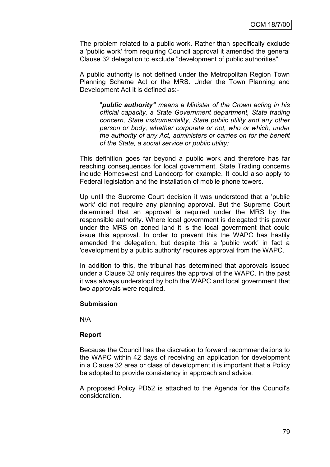The problem related to a public work. Rather than specifically exclude a 'public work' from requiring Council approval it amended the general Clause 32 delegation to exclude "development of public authorities".

A public authority is not defined under the Metropolitan Region Town Planning Scheme Act or the MRS. Under the Town Planning and Development Act it is defined as:-

"*public authority" means a Minister of the Crown acting in his official capacity, a State Government department, State trading concern, State instrumentality, State public utility and any other person or body, whether corporate or not, who or which, under the authority of any Act, administers or carries on for the benefit of the State, a social service or public utility;*

This definition goes far beyond a public work and therefore has far reaching consequences for local government. State Trading concerns include Homeswest and Landcorp for example. It could also apply to Federal legislation and the installation of mobile phone towers.

Up until the Supreme Court decision it was understood that a 'public work' did not require any planning approval. But the Supreme Court determined that an approval is required under the MRS by the responsible authority. Where local government is delegated this power under the MRS on zoned land it is the local government that could issue this approval. In order to prevent this the WAPC has hastily amended the delegation, but despite this a 'public work' in fact a 'development by a public authority' requires approval from the WAPC.

In addition to this, the tribunal has determined that approvals issued under a Clause 32 only requires the approval of the WAPC. In the past it was always understood by both the WAPC and local government that two approvals were required.

#### **Submission**

N/A

# **Report**

Because the Council has the discretion to forward recommendations to the WAPC within 42 days of receiving an application for development in a Clause 32 area or class of development it is important that a Policy be adopted to provide consistency in approach and advice.

A proposed Policy PD52 is attached to the Agenda for the Council's consideration.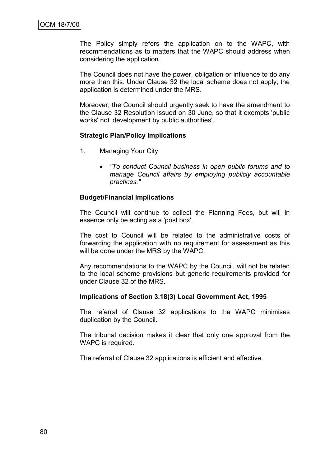The Policy simply refers the application on to the WAPC, with recommendations as to matters that the WAPC should address when considering the application.

The Council does not have the power, obligation or influence to do any more than this. Under Clause 32 the local scheme does not apply, the application is determined under the MRS.

Moreover, the Council should urgently seek to have the amendment to the Clause 32 Resolution issued on 30 June, so that it exempts 'public works' not 'development by public authorities'.

#### **Strategic Plan/Policy Implications**

- 1. Managing Your City
	- *"To conduct Council business in open public forums and to manage Council affairs by employing publicly accountable practices."*

# **Budget/Financial Implications**

The Council will continue to collect the Planning Fees, but will in essence only be acting as a 'post box'.

The cost to Council will be related to the administrative costs of forwarding the application with no requirement for assessment as this will be done under the MRS by the WAPC.

Any recommendations to the WAPC by the Council, will not be related to the local scheme provisions but generic requirements provided for under Clause 32 of the MRS.

# **Implications of Section 3.18(3) Local Government Act, 1995**

The referral of Clause 32 applications to the WAPC minimises duplication by the Council.

The tribunal decision makes it clear that only one approval from the WAPC is required.

The referral of Clause 32 applications is efficient and effective.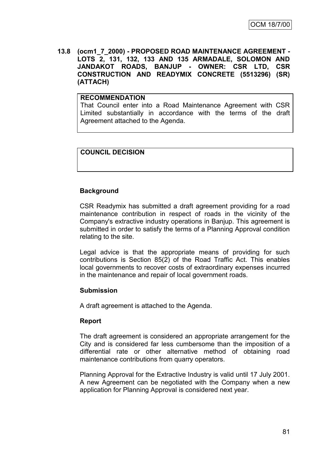**13.8 (ocm1\_7\_2000) - PROPOSED ROAD MAINTENANCE AGREEMENT - LOTS 2, 131, 132, 133 AND 135 ARMADALE, SOLOMON AND JANDAKOT ROADS, BANJUP - OWNER: CSR LTD, CSR CONSTRUCTION AND READYMIX CONCRETE (5513296) (SR) (ATTACH)**

### **RECOMMENDATION**

That Council enter into a Road Maintenance Agreement with CSR Limited substantially in accordance with the terms of the draft Agreement attached to the Agenda.

# **COUNCIL DECISION**

# **Background**

CSR Readymix has submitted a draft agreement providing for a road maintenance contribution in respect of roads in the vicinity of the Company's extractive industry operations in Banjup. This agreement is submitted in order to satisfy the terms of a Planning Approval condition relating to the site.

Legal advice is that the appropriate means of providing for such contributions is Section 85(2) of the Road Traffic Act. This enables local governments to recover costs of extraordinary expenses incurred in the maintenance and repair of local government roads.

# **Submission**

A draft agreement is attached to the Agenda.

# **Report**

The draft agreement is considered an appropriate arrangement for the City and is considered far less cumbersome than the imposition of a differential rate or other alternative method of obtaining road maintenance contributions from quarry operators.

Planning Approval for the Extractive Industry is valid until 17 July 2001. A new Agreement can be negotiated with the Company when a new application for Planning Approval is considered next year.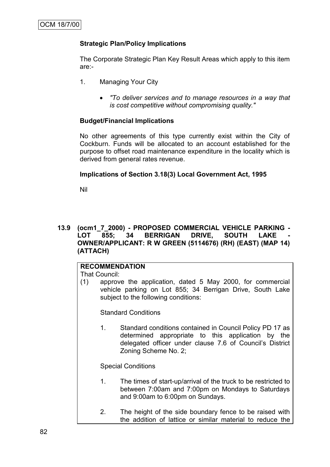# **Strategic Plan/Policy Implications**

The Corporate Strategic Plan Key Result Areas which apply to this item are:-

- 1. Managing Your City
	- *"To deliver services and to manage resources in a way that is cost competitive without compromising quality."*

### **Budget/Financial Implications**

No other agreements of this type currently exist within the City of Cockburn. Funds will be allocated to an account established for the purpose to offset road maintenance expenditure in the locality which is derived from general rates revenue.

### **Implications of Section 3.18(3) Local Government Act, 1995**

Nil

# **13.9 (ocm1\_7\_2000) - PROPOSED COMMERCIAL VEHICLE PARKING -** LOT 855; 34 BERRIGAN DRIVE, SOUTH LAKE **OWNER/APPLICANT: R W GREEN (5114676) (RH) (EAST) (MAP 14) (ATTACH)**

# **RECOMMENDATION**

#### That Council:

(1) approve the application, dated 5 May 2000, for commercial vehicle parking on Lot 855; 34 Berrigan Drive, South Lake subject to the following conditions:

Standard Conditions

1. Standard conditions contained in Council Policy PD 17 as determined appropriate to this application by the delegated officer under clause 7.6 of Council"s District Zoning Scheme No. 2;

#### Special Conditions

- 1. The times of start-up/arrival of the truck to be restricted to between 7:00am and 7:00pm on Mondays to Saturdays and 9:00am to 6:00pm on Sundays.
- 2. The height of the side boundary fence to be raised with the addition of lattice or similar material to reduce the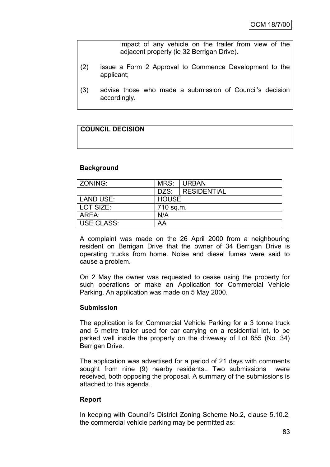impact of any vehicle on the trailer from view of the adjacent property (ie 32 Berrigan Drive).

- (2) issue a Form 2 Approval to Commence Development to the applicant;
- (3) advise those who made a submission of Council"s decision accordingly.

# **COUNCIL DECISION**

#### **Background**

| ZONING:           | MRS:         | <b>URBAN</b>       |  |
|-------------------|--------------|--------------------|--|
|                   | DZS:         | <b>RESIDENTIAL</b> |  |
| <b>LAND USE:</b>  | <b>HOUSE</b> |                    |  |
| LOT SIZE:         | 710 sq.m.    |                    |  |
| AREA:             | N/A          |                    |  |
| <b>USE CLASS:</b> | AA           |                    |  |

A complaint was made on the 26 April 2000 from a neighbouring resident on Berrigan Drive that the owner of 34 Berrigan Drive is operating trucks from home. Noise and diesel fumes were said to cause a problem.

On 2 May the owner was requested to cease using the property for such operations or make an Application for Commercial Vehicle Parking. An application was made on 5 May 2000.

#### **Submission**

The application is for Commercial Vehicle Parking for a 3 tonne truck and 5 metre trailer used for car carrying on a residential lot, to be parked well inside the property on the driveway of Lot 855 (No. 34) Berrigan Drive.

The application was advertised for a period of 21 days with comments sought from nine (9) nearby residents.. Two submissions were received, both opposing the proposal. A summary of the submissions is attached to this agenda.

# **Report**

In keeping with Council"s District Zoning Scheme No.2, clause 5.10.2, the commercial vehicle parking may be permitted as: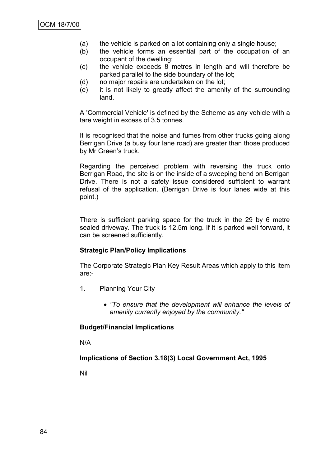- (a) the vehicle is parked on a lot containing only a single house;
- (b) the vehicle forms an essential part of the occupation of an occupant of the dwelling;
- (c) the vehicle exceeds 8 metres in length and will therefore be parked parallel to the side boundary of the lot;
- (d) no major repairs are undertaken on the lot;
- (e) it is not likely to greatly affect the amenity of the surrounding land.

A 'Commercial Vehicle' is defined by the Scheme as any vehicle with a tare weight in excess of 3.5 tonnes.

It is recognised that the noise and fumes from other trucks going along Berrigan Drive (a busy four lane road) are greater than those produced by Mr Green's truck.

Regarding the perceived problem with reversing the truck onto Berrigan Road, the site is on the inside of a sweeping bend on Berrigan Drive. There is not a safety issue considered sufficient to warrant refusal of the application. (Berrigan Drive is four lanes wide at this point.)

There is sufficient parking space for the truck in the 29 by 6 metre sealed driveway. The truck is 12.5m long. If it is parked well forward, it can be screened sufficiently.

# **Strategic Plan/Policy Implications**

The Corporate Strategic Plan Key Result Areas which apply to this item are:-

- 1. Planning Your City
	- *"To ensure that the development will enhance the levels of amenity currently enjoyed by the community."*

# **Budget/Financial Implications**

N/A

# **Implications of Section 3.18(3) Local Government Act, 1995**

Nil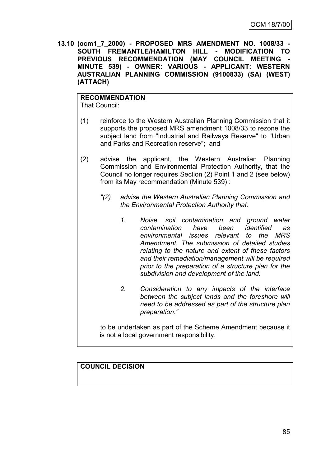**13.10 (ocm1\_7\_2000) - PROPOSED MRS AMENDMENT NO. 1008/33 - SOUTH FREMANTLE/HAMILTON HILL - MODIFICATION TO PREVIOUS RECOMMENDATION (MAY COUNCIL MEETING - MINUTE 539) - OWNER: VARIOUS - APPLICANT: WESTERN AUSTRALIAN PLANNING COMMISSION (9100833) (SA) (WEST) (ATTACH)**

#### **RECOMMENDATION** That Council:

- (1) reinforce to the Western Australian Planning Commission that it supports the proposed MRS amendment 1008/33 to rezone the subject land from "Industrial and Railways Reserve" to "Urban and Parks and Recreation reserve"; and
- (2) advise the applicant, the Western Australian Planning Commission and Environmental Protection Authority, that the Council no longer requires Section (2) Point 1 and 2 (see below) from its May recommendation (Minute 539) :
	- *"(2) advise the Western Australian Planning Commission and the Environmental Protection Authority that:*
		- *1. Noise, soil contamination and ground water contamination have been identified as environmental issues relevant to the MRS Amendment. The submission of detailed studies relating to the nature and extent of these factors and their remediation/management will be required prior to the preparation of a structure plan for the subdivision and development of the land.*
		- *2. Consideration to any impacts of the interface between the subject lands and the foreshore will need to be addressed as part of the structure plan preparation."*

to be undertaken as part of the Scheme Amendment because it is not a local government responsibility.

# **COUNCIL DECISION**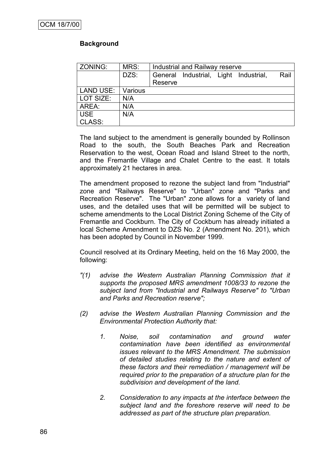# **Background**

| ZONING:          | MRS:    | Industrial and Railway reserve |                                       |  |      |
|------------------|---------|--------------------------------|---------------------------------------|--|------|
|                  | DZS:    |                                | General Industrial, Light Industrial, |  | Rail |
|                  |         | Reserve                        |                                       |  |      |
| <b>LAND USE:</b> | Various |                                |                                       |  |      |
| LOT SIZE:        | N/A     |                                |                                       |  |      |
| AREA:            | N/A     |                                |                                       |  |      |
| <b>USE</b>       | N/A     |                                |                                       |  |      |
| CLASS:           |         |                                |                                       |  |      |

The land subject to the amendment is generally bounded by Rollinson Road to the south, the South Beaches Park and Recreation Reservation to the west, Ocean Road and Island Street to the north, and the Fremantle Village and Chalet Centre to the east. It totals approximately 21 hectares in area.

The amendment proposed to rezone the subject land from "Industrial" zone and "Railways Reserve" to "Urban" zone and "Parks and Recreation Reserve". The "Urban" zone allows for a variety of land uses, and the detailed uses that will be permitted will be subject to scheme amendments to the Local District Zoning Scheme of the City of Fremantle and Cockburn. The City of Cockburn has already initiated a local Scheme Amendment to DZS No. 2 (Amendment No. 201), which has been adopted by Council in November 1999.

Council resolved at its Ordinary Meeting, held on the 16 May 2000, the following:

- *"(1) advise the Western Australian Planning Commission that it supports the proposed MRS amendment 1008/33 to rezone the subject land from "Industrial and Railways Reserve" to "Urban and Parks and Recreation reserve";*
- *(2) advise the Western Australian Planning Commission and the Environmental Protection Authority that:*
	- *1. Noise, soil contamination and ground water contamination have been identified as environmental issues relevant to the MRS Amendment. The submission of detailed studies relating to the nature and extent of these factors and their remediation / management will be required prior to the preparation of a structure plan for the subdivision and development of the land.*
	- *2. Consideration to any impacts at the interface between the subject land and the foreshore reserve will need to be addressed as part of the structure plan preparation.*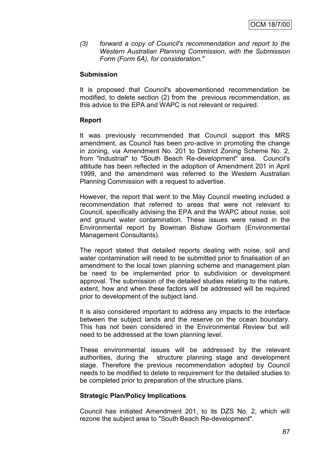*(3) forward a copy of Council's recommendation and report to the Western Australian Planning Commission, with the Submission Form (Form 6A), for consideration."*

# **Submission**

It is proposed that Council's abovementioned recommendation be modified, to delete section (2) from the previous recommendation, as this advice to the EPA and WAPC is not relevant or required.

# **Report**

It was previously recommended that Council support this MRS amendment, as Council has been pro-active in promoting the change in zoning, via Amendment No. 201 to District Zoning Scheme No. 2, from "Industrial" to "South Beach Re-development" area. Council's attitude has been reflected in the adoption of Amendment 201 in April 1999, and the amendment was referred to the Western Australian Planning Commission with a request to advertise.

However, the report that went to the May Council meeting included a recommendation that referred to areas that were not relevant to Council, specifically advising the EPA and the WAPC about noise, soil and ground water contamination. These issues were raised in the Environmental report by Bowman Bishaw Gorham (Environmental Management Consultants).

The report stated that detailed reports dealing with noise, soil and water contamination will need to be submitted prior to finalisation of an amendment to the local town planning scheme and management plan be need to be implemented prior to subdivision or development approval. The submission of the detailed studies relating to the nature, extent, how and when these factors will be addressed will be required prior to development of the subject land.

It is also considered important to address any impacts to the interface between the subject lands and the reserve on the ocean boundary. This has not been considered in the Environmental Review but will need to be addressed at the town planning level.

These environmental issues will be addressed by the relevant authorities, during the structure planning stage and development stage. Therefore the previous recommendation adopted by Council needs to be modified to delete to requirement for the detailed studies to be completed prior to preparation of the structure plans.

# **Strategic Plan/Policy Implications**

Council has initiated Amendment 201, to its DZS No. 2, which will rezone the subject area to "South Beach Re-development".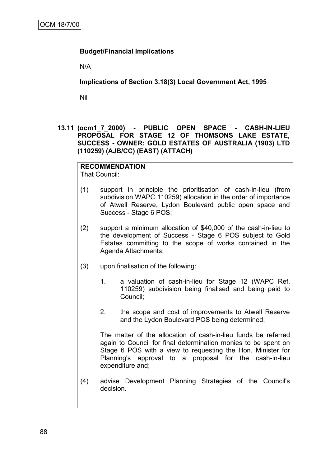# **Budget/Financial Implications**

N/A

**Implications of Section 3.18(3) Local Government Act, 1995**

Nil

**13.11 (ocm1\_7\_2000) - PUBLIC OPEN SPACE - CASH-IN-LIEU PROPOSAL FOR STAGE 12 OF THOMSONS LAKE ESTATE, SUCCESS - OWNER: GOLD ESTATES OF AUSTRALIA (1903) LTD (110259) (AJB/CC) (EAST) (ATTACH)**

#### **RECOMMENDATION** That Council:

- (1) support in principle the prioritisation of cash-in-lieu (from subdivision WAPC 110259) allocation in the order of importance of Atwell Reserve, Lydon Boulevard public open space and Success - Stage 6 POS;
- (2) support a minimum allocation of \$40,000 of the cash-in-lieu to the development of Success - Stage 6 POS subject to Gold Estates committing to the scope of works contained in the Agenda Attachments;
- (3) upon finalisation of the following:
	- 1. a valuation of cash-in-lieu for Stage 12 (WAPC Ref. 110259) subdivision being finalised and being paid to Council;
	- 2. the scope and cost of improvements to Atwell Reserve and the Lydon Boulevard POS being determined;

The matter of the allocation of cash-in-lieu funds be referred again to Council for final determination monies to be spent on Stage 6 POS with a view to requesting the Hon. Minister for Planning's approval to a proposal for the cash-in-lieu expenditure and;

(4) advise Development Planning Strategies of the Council's decision.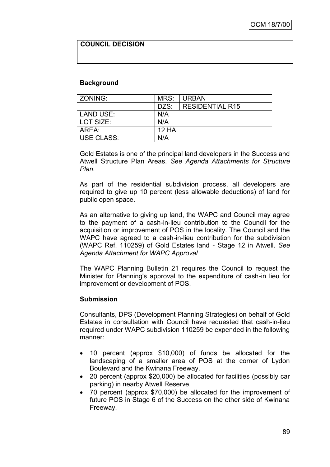# **COUNCIL DECISION**

### **Background**

| <b>ZONING:</b>    | MRS:         | <b>URBAN</b>           |
|-------------------|--------------|------------------------|
|                   | DZS:         | <b>RESIDENTIAL R15</b> |
| LAND USE:         | N/A          |                        |
| LOT SIZE:         | N/A          |                        |
| AREA:             | <b>12 HA</b> |                        |
| <b>USE CLASS:</b> | N/A          |                        |

Gold Estates is one of the principal land developers in the Success and Atwell Structure Plan Areas. *See Agenda Attachments for Structure Plan.*

As part of the residential subdivision process, all developers are required to give up 10 percent (less allowable deductions) of land for public open space.

As an alternative to giving up land, the WAPC and Council may agree to the payment of a cash-in-lieu contribution to the Council for the acquisition or improvement of POS in the locality. The Council and the WAPC have agreed to a cash-in-lieu contribution for the subdivision (WAPC Ref. 110259) of Gold Estates land - Stage 12 in Atwell. *See Agenda Attachment for WAPC Approval* 

The WAPC Planning Bulletin 21 requires the Council to request the Minister for Planning's approval to the expenditure of cash-in lieu for improvement or development of POS.

#### **Submission**

Consultants, DPS (Development Planning Strategies) on behalf of Gold Estates in consultation with Council have requested that cash-in-lieu required under WAPC subdivision 110259 be expended in the following manner:

- 10 percent (approx \$10,000) of funds be allocated for the landscaping of a smaller area of POS at the corner of Lydon Boulevard and the Kwinana Freeway.
- 20 percent (approx \$20,000) be allocated for facilities (possibly car parking) in nearby Atwell Reserve.
- 70 percent (approx \$70,000) be allocated for the improvement of future POS in Stage 6 of the Success on the other side of Kwinana Freeway.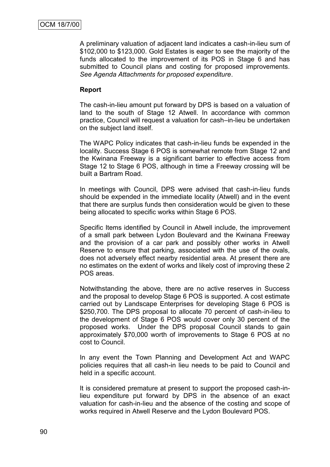A preliminary valuation of adjacent land indicates a cash-in-lieu sum of \$102,000 to \$123,000. Gold Estates is eager to see the majority of the funds allocated to the improvement of its POS in Stage 6 and has submitted to Council plans and costing for proposed improvements. *See Agenda Attachments for proposed expenditure*.

# **Report**

The cash-in-lieu amount put forward by DPS is based on a valuation of land to the south of Stage 12 Atwell. In accordance with common practice, Council will request a valuation for cash–in-lieu be undertaken on the subject land itself.

The WAPC Policy indicates that cash-in-lieu funds be expended in the locality. Success Stage 6 POS is somewhat remote from Stage 12 and the Kwinana Freeway is a significant barrier to effective access from Stage 12 to Stage 6 POS, although in time a Freeway crossing will be built a Bartram Road.

In meetings with Council, DPS were advised that cash-in-lieu funds should be expended in the immediate locality (Atwell) and in the event that there are surplus funds then consideration would be given to these being allocated to specific works within Stage 6 POS.

Specific Items identified by Council in Atwell include, the improvement of a small park between Lydon Boulevard and the Kwinana Freeway and the provision of a car park and possibly other works in Atwell Reserve to ensure that parking, associated with the use of the ovals, does not adversely effect nearby residential area. At present there are no estimates on the extent of works and likely cost of improving these 2 POS areas.

Notwithstanding the above, there are no active reserves in Success and the proposal to develop Stage 6 POS is supported. A cost estimate carried out by Landscape Enterprises for developing Stage 6 POS is \$250,700. The DPS proposal to allocate 70 percent of cash-in-lieu to the development of Stage 6 POS would cover only 30 percent of the proposed works. Under the DPS proposal Council stands to gain approximately \$70,000 worth of improvements to Stage 6 POS at no cost to Council.

In any event the Town Planning and Development Act and WAPC policies requires that all cash-in lieu needs to be paid to Council and held in a specific account.

It is considered premature at present to support the proposed cash-inlieu expenditure put forward by DPS in the absence of an exact valuation for cash-in-lieu and the absence of the costing and scope of works required in Atwell Reserve and the Lydon Boulevard POS.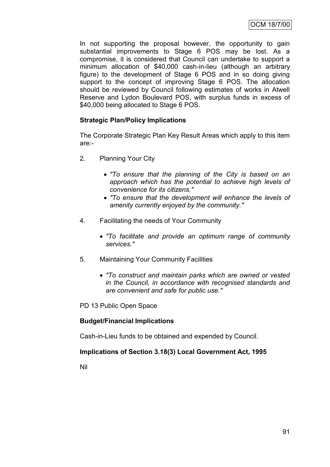In not supporting the proposal however, the opportunity to gain substantial improvements to Stage 6 POS may be lost. As a compromise, it is considered that Council can undertake to support a minimum allocation of \$40,000 cash-in-lieu (although an arbitrary figure) to the development of Stage 6 POS and in so doing giving support to the concept of improving Stage 6 POS. The allocation should be reviewed by Council following estimates of works in Atwell Reserve and Lydon Boulevard POS, with surplus funds in excess of \$40,000 being allocated to Stage 6 POS.

# **Strategic Plan/Policy Implications**

The Corporate Strategic Plan Key Result Areas which apply to this item are:-

- 2. Planning Your City
	- *"To ensure that the planning of the City is based on an approach which has the potential to achieve high levels of convenience for its citizens."*
	- *"To ensure that the development will enhance the levels of amenity currently enjoyed by the community."*
- 4. Facilitating the needs of Your Community
	- *"To facilitate and provide an optimum range of community services."*
- 5. Maintaining Your Community Facilities
	- *"To construct and maintain parks which are owned or vested in the Council, in accordance with recognised standards and are convenient and safe for public use."*

PD 13 Public Open Space

# **Budget/Financial Implications**

Cash-in-Lieu funds to be obtained and expended by Council.

# **Implications of Section 3.18(3) Local Government Act, 1995**

Nil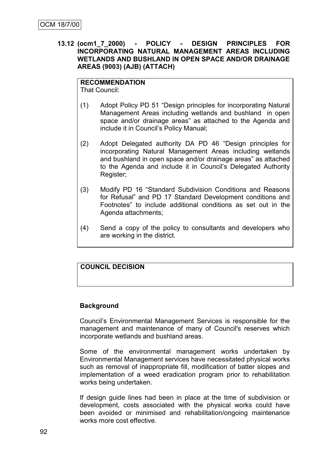# **13.12 (ocm1\_7\_2000) - POLICY - DESIGN PRINCIPLES FOR INCORPORATING NATURAL MANAGEMENT AREAS INCLUDING WETLANDS AND BUSHLAND IN OPEN SPACE AND/OR DRAINAGE AREAS (9003) (AJB) (ATTACH)**

# **RECOMMENDATION**

That Council:

- (1) Adopt Policy PD 51 "Design principles for incorporating Natural Management Areas including wetlands and bushland in open space and/or drainage areas" as attached to the Agenda and include it in Council"s Policy Manual;
- (2) Adopt Delegated authority DA PD 46 "Design principles for incorporating Natural Management Areas including wetlands and bushland in open space and/or drainage areas" as attached to the Agenda and include it in Council"s Delegated Authority Register;
- (3) Modify PD 16 "Standard Subdivision Conditions and Reasons for Refusal" and PD 17 Standard Development conditions and Footnotes" to include additional conditions as set out in the Agenda attachments;
- (4) Send a copy of the policy to consultants and developers who are working in the district.

# **COUNCIL DECISION**

# **Background**

Council"s Environmental Management Services is responsible for the management and maintenance of many of Council's reserves which incorporate wetlands and bushland areas.

Some of the environmental management works undertaken by Environmental Management services have necessitated physical works such as removal of inappropriate fill, modification of batter slopes and implementation of a weed eradication program prior to rehabilitation works being undertaken.

If design guide lines had been in place at the time of subdivision or development, costs associated with the physical works could have been avoided or minimised and rehabilitation/ongoing maintenance works more cost effective.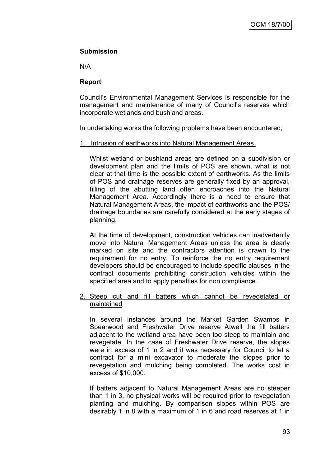# **Submission**

N/A

# **Report**

Council"s Environmental Management Services is responsible for the management and maintenance of many of Council's reserves which incorporate wetlands and bushland areas.

In undertaking works the following problems have been encountered;

# 1. Intrusion of earthworks into Natural Management Areas.

Whilst wetland or bushland areas are defined on a subdivision or development plan and the limits of POS are shown, what is not clear at that time is the possible extent of earthworks. As the limits of POS and drainage reserves are generally fixed by an approval, filling of the abutting land often encroaches into the Natural Management Area. Accordingly there is a need to ensure that Natural Management Areas, the impact of earthworks and the POS/ drainage boundaries are carefully considered at the early stages of planning.

At the time of development, construction vehicles can inadvertently move into Natural Management Areas unless the area is clearly marked on site and the contractors attention is drawn to the requirement for no entry. To reinforce the no entry requirement developers should be encouraged to include specific clauses in the contract documents prohibiting construction vehicles within the specified area and to apply penalties for non compliance.

# 2. Steep cut and fill batters which cannot be revegetated or maintained

In several instances around the Market Garden Swamps in Spearwood and Freshwater Drive reserve Atwell the fill batters adjacent to the wetland area have been too steep to maintain and revegetate. In the case of Freshwater Drive reserve, the slopes were in excess of 1 in 2 and it was necessary for Council to let a contract for a mini excavator to moderate the slopes prior to revegetation and mulching being completed. The works cost in excess of \$10,000.

If batters adjacent to Natural Management Areas are no steeper than 1 in 3, no physical works will be required prior to revegetation planting and mulching. By comparison slopes within POS are desirably 1 in 8 with a maximum of 1 in 6 and road reserves at 1 in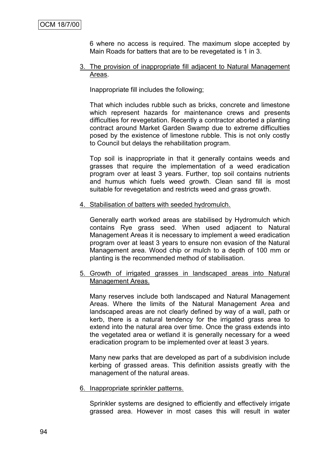6 where no access is required. The maximum slope accepted by Main Roads for batters that are to be revegetated is 1 in 3.

3. The provision of inappropriate fill adjacent to Natural Management Areas.

Inappropriate fill includes the following;

That which includes rubble such as bricks, concrete and limestone which represent hazards for maintenance crews and presents difficulties for revegetation. Recently a contractor aborted a planting contract around Market Garden Swamp due to extreme difficulties posed by the existence of limestone rubble. This is not only costly to Council but delays the rehabilitation program.

Top soil is inappropriate in that it generally contains weeds and grasses that require the implementation of a weed eradication program over at least 3 years. Further, top soil contains nutrients and humus which fuels weed growth. Clean sand fill is most suitable for revegetation and restricts weed and grass growth.

4. Stabilisation of batters with seeded hydromulch.

Generally earth worked areas are stabilised by Hydromulch which contains Rye grass seed. When used adjacent to Natural Management Areas it is necessary to implement a weed eradication program over at least 3 years to ensure non evasion of the Natural Management area. Wood chip or mulch to a depth of 100 mm or planting is the recommended method of stabilisation.

5. Growth of irrigated grasses in landscaped areas into Natural Management Areas.

Many reserves include both landscaped and Natural Management Areas. Where the limits of the Natural Management Area and landscaped areas are not clearly defined by way of a wall, path or kerb, there is a natural tendency for the irrigated grass area to extend into the natural area over time. Once the grass extends into the vegetated area or wetland it is generally necessary for a weed eradication program to be implemented over at least 3 years.

Many new parks that are developed as part of a subdivision include kerbing of grassed areas. This definition assists greatly with the management of the natural areas.

6. Inappropriate sprinkler patterns.

Sprinkler systems are designed to efficiently and effectively irrigate grassed area. However in most cases this will result in water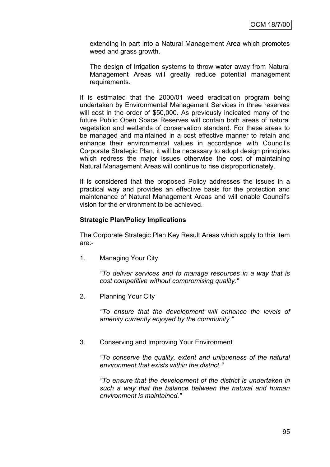extending in part into a Natural Management Area which promotes weed and grass growth.

The design of irrigation systems to throw water away from Natural Management Areas will greatly reduce potential management requirements.

It is estimated that the 2000/01 weed eradication program being undertaken by Environmental Management Services in three reserves will cost in the order of \$50,000. As previously indicated many of the future Public Open Space Reserves will contain both areas of natural vegetation and wetlands of conservation standard. For these areas to be managed and maintained in a cost effective manner to retain and enhance their environmental values in accordance with Council"s Corporate Strategic Plan, it will be necessary to adopt design principles which redress the major issues otherwise the cost of maintaining Natural Management Areas will continue to rise disproportionately.

It is considered that the proposed Policy addresses the issues in a practical way and provides an effective basis for the protection and maintenance of Natural Management Areas and will enable Council"s vision for the environment to be achieved.

# **Strategic Plan/Policy Implications**

The Corporate Strategic Plan Key Result Areas which apply to this item are:-

1. Managing Your City

*"To deliver services and to manage resources in a way that is cost competitive without compromising quality."*

2. Planning Your City

*"To ensure that the development will enhance the levels of amenity currently enjoyed by the community."*

3. Conserving and Improving Your Environment

*"To conserve the quality, extent and uniqueness of the natural environment that exists within the district."*

*"To ensure that the development of the district is undertaken in such a way that the balance between the natural and human environment is maintained."*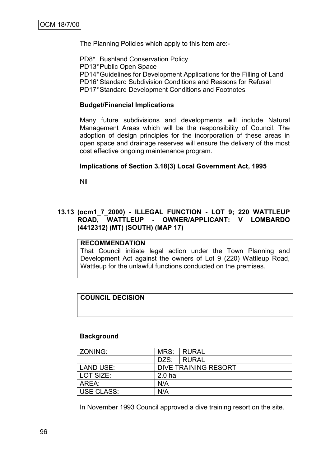The Planning Policies which apply to this item are:-

PD8\* Bushland Conservation Policy PD13\*Public Open Space PD14\*Guidelines for Development Applications for the Filling of Land PD16\*Standard Subdivision Conditions and Reasons for Refusal PD17\*Standard Development Conditions and Footnotes

### **Budget/Financial Implications**

Many future subdivisions and developments will include Natural Management Areas which will be the responsibility of Council. The adoption of design principles for the incorporation of these areas in open space and drainage reserves will ensure the delivery of the most cost effective ongoing maintenance program.

### **Implications of Section 3.18(3) Local Government Act, 1995**

Nil

# **13.13 (ocm1\_7\_2000) - ILLEGAL FUNCTION - LOT 9; 220 WATTLEUP ROAD, WATTLEUP - OWNER/APPLICANT: V LOMBARDO (4412312) (MT) (SOUTH) (MAP 17)**

# **RECOMMENDATION**

That Council initiate legal action under the Town Planning and Development Act against the owners of Lot 9 (220) Wattleup Road, Wattleup for the unlawful functions conducted on the premises.

# **COUNCIL DECISION**

#### **Background**

| ZONING:    | MRS:                 | I RURAL |
|------------|----------------------|---------|
|            | DZS:                 | I RURAL |
| LAND USE:  | DIVE TRAINING RESORT |         |
| LOT SIZE:  | 2.0 <sub>ha</sub>    |         |
| AREA:      | N/A                  |         |
| USE CLASS: | N/A                  |         |

In November 1993 Council approved a dive training resort on the site.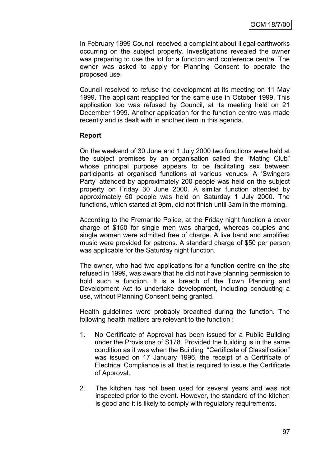In February 1999 Council received a complaint about illegal earthworks occurring on the subject property. Investigations revealed the owner was preparing to use the lot for a function and conference centre. The owner was asked to apply for Planning Consent to operate the proposed use.

Council resolved to refuse the development at its meeting on 11 May 1999. The applicant reapplied for the same use in October 1999. This application too was refused by Council, at its meeting held on 21 December 1999. Another application for the function centre was made recently and is dealt with in another item in this agenda.

# **Report**

On the weekend of 30 June and 1 July 2000 two functions were held at the subject premises by an organisation called the "Mating Club" whose principal purpose appears to be facilitating sex between participants at organised functions at various venues. A "Swingers Party" attended by approximately 200 people was held on the subject property on Friday 30 June 2000. A similar function attended by approximately 50 people was held on Saturday 1 July 2000. The functions, which started at 9pm, did not finish until 3am in the morning.

According to the Fremantle Police, at the Friday night function a cover charge of \$150 for single men was charged, whereas couples and single women were admitted free of charge. A live band and amplified music were provided for patrons. A standard charge of \$50 per person was applicable for the Saturday night function.

The owner, who had two applications for a function centre on the site refused in 1999, was aware that he did not have planning permission to hold such a function. It is a breach of the Town Planning and Development Act to undertake development, including conducting a use, without Planning Consent being granted.

Health guidelines were probably breached during the function. The following health matters are relevant to the function :

- 1. No Certificate of Approval has been issued for a Public Building under the Provisions of S178. Provided the building is in the same condition as it was when the Building "Certificate of Classification" was issued on 17 January 1996, the receipt of a Certificate of Electrical Compliance is all that is required to issue the Certificate of Approval.
- 2. The kitchen has not been used for several years and was not inspected prior to the event. However, the standard of the kitchen is good and it is likely to comply with regulatory requirements.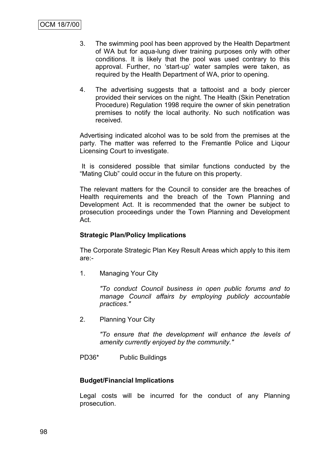- 3. The swimming pool has been approved by the Health Department of WA but for aqua-lung diver training purposes only with other conditions. It is likely that the pool was used contrary to this approval. Further, no "start-up" water samples were taken, as required by the Health Department of WA, prior to opening.
- 4. The advertising suggests that a tattooist and a body piercer provided their services on the night. The Health (Skin Penetration Procedure) Regulation 1998 require the owner of skin penetration premises to notify the local authority. No such notification was received.

Advertising indicated alcohol was to be sold from the premises at the party. The matter was referred to the Fremantle Police and Liqour Licensing Court to investigate.

It is considered possible that similar functions conducted by the "Mating Club" could occur in the future on this property.

The relevant matters for the Council to consider are the breaches of Health requirements and the breach of the Town Planning and Development Act. It is recommended that the owner be subject to prosecution proceedings under the Town Planning and Development Act.

# **Strategic Plan/Policy Implications**

The Corporate Strategic Plan Key Result Areas which apply to this item are:-

1. Managing Your City

*"To conduct Council business in open public forums and to manage Council affairs by employing publicly accountable practices."*

2. Planning Your City

*"To ensure that the development will enhance the levels of amenity currently enjoyed by the community."*

PD36\* Public Buildings

# **Budget/Financial Implications**

Legal costs will be incurred for the conduct of any Planning prosecution.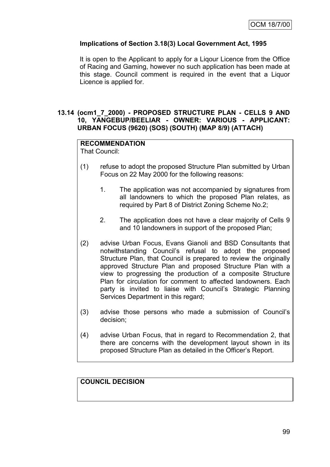# **Implications of Section 3.18(3) Local Government Act, 1995**

It is open to the Applicant to apply for a Liqour Licence from the Office of Racing and Gaming, however no such application has been made at this stage. Council comment is required in the event that a Liquor Licence is applied for.

# **13.14 (ocm1\_7\_2000) - PROPOSED STRUCTURE PLAN - CELLS 9 AND 10, YANGEBUP/BEELIAR - OWNER: VARIOUS - APPLICANT: URBAN FOCUS (9620) (SOS) (SOUTH) (MAP 8/9) (ATTACH)**

# **RECOMMENDATION**

That Council:

- (1) refuse to adopt the proposed Structure Plan submitted by Urban Focus on 22 May 2000 for the following reasons:
	- 1. The application was not accompanied by signatures from all landowners to which the proposed Plan relates, as required by Part 8 of District Zoning Scheme No.2;
	- 2. The application does not have a clear majority of Cells 9 and 10 landowners in support of the proposed Plan;
- (2) advise Urban Focus, Evans Gianoli and BSD Consultants that notwithstanding Council"s refusal to adopt the proposed Structure Plan, that Council is prepared to review the originally approved Structure Plan and proposed Structure Plan with a view to progressing the production of a composite Structure Plan for circulation for comment to affected landowners. Each party is invited to liaise with Council"s Strategic Planning Services Department in this regard;
- (3) advise those persons who made a submission of Council"s decision;
- (4) advise Urban Focus, that in regard to Recommendation 2, that there are concerns with the development layout shown in its proposed Structure Plan as detailed in the Officer"s Report.

# **COUNCIL DECISION**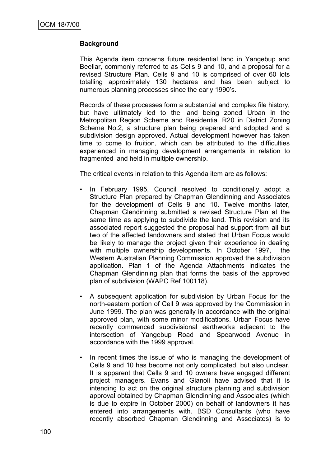# **Background**

This Agenda item concerns future residential land in Yangebup and Beeliar, commonly referred to as Cells 9 and 10, and a proposal for a revised Structure Plan. Cells 9 and 10 is comprised of over 60 lots totalling approximately 130 hectares and has been subject to numerous planning processes since the early 1990"s.

Records of these processes form a substantial and complex file history, but have ultimately led to the land being zoned Urban in the Metropolitan Region Scheme and Residential R20 in District Zoning Scheme No.2, a structure plan being prepared and adopted and a subdivision design approved. Actual development however has taken time to come to fruition, which can be attributed to the difficulties experienced in managing development arrangements in relation to fragmented land held in multiple ownership.

The critical events in relation to this Agenda item are as follows:

- In February 1995, Council resolved to conditionally adopt a Structure Plan prepared by Chapman Glendinning and Associates for the development of Cells 9 and 10. Twelve months later, Chapman Glendinning submitted a revised Structure Plan at the same time as applying to subdivide the land. This revision and its associated report suggested the proposal had support from all but two of the affected landowners and stated that Urban Focus would be likely to manage the project given their experience in dealing with multiple ownership developments. In October 1997, the Western Australian Planning Commission approved the subdivision application. Plan 1 of the Agenda Attachments indicates the Chapman Glendinning plan that forms the basis of the approved plan of subdivision (WAPC Ref 100118).
- A subsequent application for subdivision by Urban Focus for the north-eastern portion of Cell 9 was approved by the Commission in June 1999. The plan was generally in accordance with the original approved plan, with some minor modifications. Urban Focus have recently commenced subdivisional earthworks adjacent to the intersection of Yangebup Road and Spearwood Avenue in accordance with the 1999 approval.
- In recent times the issue of who is managing the development of Cells 9 and 10 has become not only complicated, but also unclear. It is apparent that Cells 9 and 10 owners have engaged different project managers. Evans and Gianoli have advised that it is intending to act on the original structure planning and subdivision approval obtained by Chapman Glendinning and Associates (which is due to expire in October 2000) on behalf of landowners it has entered into arrangements with. BSD Consultants (who have recently absorbed Chapman Glendinning and Associates) is to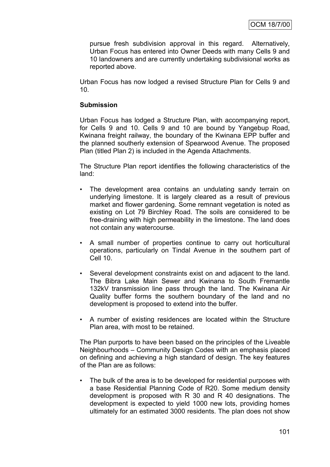pursue fresh subdivision approval in this regard. Alternatively, Urban Focus has entered into Owner Deeds with many Cells 9 and 10 landowners and are currently undertaking subdivisional works as reported above.

Urban Focus has now lodged a revised Structure Plan for Cells 9 and 10.

### **Submission**

Urban Focus has lodged a Structure Plan, with accompanying report, for Cells 9 and 10. Cells 9 and 10 are bound by Yangebup Road, Kwinana freight railway, the boundary of the Kwinana EPP buffer and the planned southerly extension of Spearwood Avenue. The proposed Plan (titled Plan 2) is included in the Agenda Attachments.

The Structure Plan report identifies the following characteristics of the land:

- The development area contains an undulating sandy terrain on underlying limestone. It is largely cleared as a result of previous market and flower gardening. Some remnant vegetation is noted as existing on Lot 79 Birchley Road. The soils are considered to be free-draining with high permeability in the limestone. The land does not contain any watercourse.
- A small number of properties continue to carry out horticultural operations, particularly on Tindal Avenue in the southern part of Cell 10.
- Several development constraints exist on and adjacent to the land. The Bibra Lake Main Sewer and Kwinana to South Fremantle 132kV transmission line pass through the land. The Kwinana Air Quality buffer forms the southern boundary of the land and no development is proposed to extend into the buffer.
- A number of existing residences are located within the Structure Plan area, with most to be retained.

The Plan purports to have been based on the principles of the Liveable Neighbourhoods – Community Design Codes with an emphasis placed on defining and achieving a high standard of design. The key features of the Plan are as follows:

• The bulk of the area is to be developed for residential purposes with a base Residential Planning Code of R20. Some medium density development is proposed with R 30 and R 40 designations. The development is expected to yield 1000 new lots, providing homes ultimately for an estimated 3000 residents. The plan does not show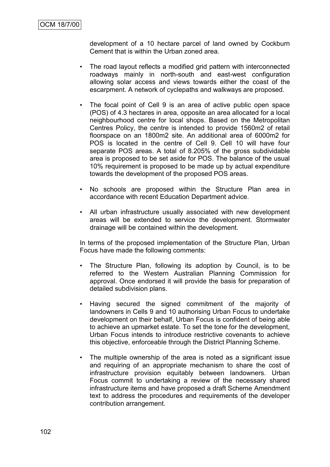development of a 10 hectare parcel of land owned by Cockburn Cement that is within the Urban zoned area.

- The road layout reflects a modified grid pattern with interconnected roadways mainly in north-south and east-west configuration allowing solar access and views towards either the coast of the escarpment. A network of cyclepaths and walkways are proposed.
- The focal point of Cell 9 is an area of active public open space (POS) of 4.3 hectares in area, opposite an area allocated for a local neighbourhood centre for local shops. Based on the Metropolitan Centres Policy, the centre is intended to provide 1560m2 of retail floorspace on an 1800m2 site. An additional area of 6000m2 for POS is located in the centre of Cell 9. Cell 10 will have four separate POS areas. A total of 8.205% of the gross subdividable area is proposed to be set aside for POS. The balance of the usual 10% requirement is proposed to be made up by actual expenditure towards the development of the proposed POS areas.
- No schools are proposed within the Structure Plan area in accordance with recent Education Department advice.
- All urban infrastructure usually associated with new development areas will be extended to service the development. Stormwater drainage will be contained within the development.

In terms of the proposed implementation of the Structure Plan, Urban Focus have made the following comments:

- The Structure Plan, following its adoption by Council, is to be referred to the Western Australian Planning Commission for approval. Once endorsed it will provide the basis for preparation of detailed subdivision plans.
- Having secured the signed commitment of the majority of landowners in Cells 9 and 10 authorising Urban Focus to undertake development on their behalf, Urban Focus is confident of being able to achieve an upmarket estate. To set the tone for the development, Urban Focus intends to introduce restrictive covenants to achieve this objective, enforceable through the District Planning Scheme.
- The multiple ownership of the area is noted as a significant issue and requiring of an appropriate mechanism to share the cost of infrastructure provision equitably between landowners. Urban Focus commit to undertaking a review of the necessary shared infrastructure items and have proposed a draft Scheme Amendment text to address the procedures and requirements of the developer contribution arrangement.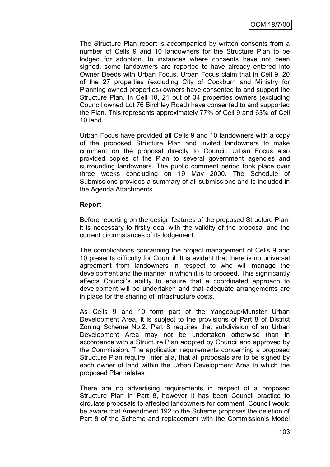The Structure Plan report is accompanied by written consents from a number of Cells 9 and 10 landowners for the Structure Plan to be lodged for adoption. In instances where consents have not been signed, some landowners are reported to have already entered into Owner Deeds with Urban Focus. Urban Focus claim that in Cell 9, 20 of the 27 properties (excluding City of Cockburn and Ministry for Planning owned properties) owners have consented to and support the Structure Plan. In Cell 10, 21 out of 34 properties owners (excluding Council owned Lot 76 Birchley Road) have consented to and supported the Plan. This represents approximately 77% of Cell 9 and 63% of Cell 10 land.

Urban Focus have provided all Cells 9 and 10 landowners with a copy of the proposed Structure Plan and invited landowners to make comment on the proposal directly to Council. Urban Focus also provided copies of the Plan to several government agencies and surrounding landowners. The public comment period took place over three weeks concluding on 19 May 2000. The Schedule of Submissions provides a summary of all submissions and is included in the Agenda Attachments.

# **Report**

Before reporting on the design features of the proposed Structure Plan, it is necessary to firstly deal with the validity of the proposal and the current circumstances of its lodgement.

The complications concerning the project management of Cells 9 and 10 presents difficulty for Council. It is evident that there is no universal agreement from landowners in respect to who will manage the development and the manner in which it is to proceed. This significantly affects Council"s ability to ensure that a coordinated approach to development will be undertaken and that adequate arrangements are in place for the sharing of infrastructure costs.

As Cells 9 and 10 form part of the Yangebup/Munster Urban Development Area, it is subject to the provisions of Part 8 of District Zoning Scheme No.2. Part 8 requires that subdivision of an Urban Development Area may not be undertaken otherwise than in accordance with a Structure Plan adopted by Council and approved by the Commission. The application requirements concerning a proposed Structure Plan require, inter alia, that all proposals are to be signed by each owner of land within the Urban Development Area to which the proposed Plan relates.

There are no advertising requirements in respect of a proposed Structure Plan in Part 8, however it has been Council practice to circulate proposals to affected landowners for comment. Council would be aware that Amendment 192 to the Scheme proposes the deletion of Part 8 of the Scheme and replacement with the Commission"s Model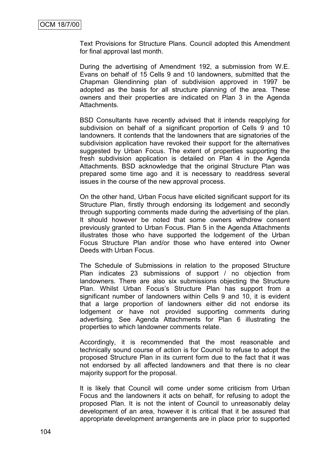Text Provisions for Structure Plans. Council adopted this Amendment for final approval last month.

During the advertising of Amendment 192, a submission from W.E. Evans on behalf of 15 Cells 9 and 10 landowners, submitted that the Chapman Glendinning plan of subdivision approved in 1997 be adopted as the basis for all structure planning of the area. These owners and their properties are indicated on Plan 3 in the Agenda Attachments.

BSD Consultants have recently advised that it intends reapplying for subdivision on behalf of a significant proportion of Cells 9 and 10 landowners. It contends that the landowners that are signatories of the subdivision application have revoked their support for the alternatives suggested by Urban Focus. The extent of properties supporting the fresh subdivision application is detailed on Plan 4 in the Agenda Attachments. BSD acknowledge that the original Structure Plan was prepared some time ago and it is necessary to readdress several issues in the course of the new approval process.

On the other hand, Urban Focus have elicited significant support for its Structure Plan, firstly through endorsing its lodgement and secondly through supporting comments made during the advertising of the plan. It should however be noted that some owners withdrew consent previously granted to Urban Focus. Plan 5 in the Agenda Attachments illustrates those who have supported the lodgement of the Urban Focus Structure Plan and/or those who have entered into Owner Deeds with Urban Focus.

The Schedule of Submissions in relation to the proposed Structure Plan indicates 23 submissions of support / no objection from landowners. There are also six submissions objecting the Structure Plan. Whilst Urban Focus's Structure Plan has support from a significant number of landowners within Cells 9 and 10, it is evident that a large proportion of landowners either did not endorse its lodgement or have not provided supporting comments during advertising. See Agenda Attachments for Plan 6 illustrating the properties to which landowner comments relate.

Accordingly, it is recommended that the most reasonable and technically sound course of action is for Council to refuse to adopt the proposed Structure Plan in its current form due to the fact that it was not endorsed by all affected landowners and that there is no clear majority support for the proposal.

It is likely that Council will come under some criticism from Urban Focus and the landowners it acts on behalf, for refusing to adopt the proposed Plan. It is not the intent of Council to unreasonably delay development of an area, however it is critical that it be assured that appropriate development arrangements are in place prior to supported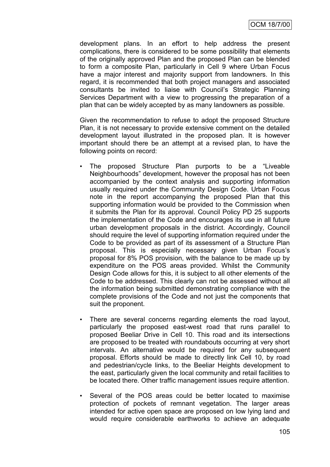development plans. In an effort to help address the present complications, there is considered to be some possibility that elements of the originally approved Plan and the proposed Plan can be blended to form a composite Plan, particularly in Cell 9 where Urban Focus have a major interest and majority support from landowners. In this regard, it is recommended that both project managers and associated consultants be invited to liaise with Council"s Strategic Planning Services Department with a view to progressing the preparation of a plan that can be widely accepted by as many landowners as possible.

Given the recommendation to refuse to adopt the proposed Structure Plan, it is not necessary to provide extensive comment on the detailed development layout illustrated in the proposed plan. It is however important should there be an attempt at a revised plan, to have the following points on record:

- The proposed Structure Plan purports to be a "Liveable Neighbourhoods" development, however the proposal has not been accompanied by the context analysis and supporting information usually required under the Community Design Code. Urban Focus note in the report accompanying the proposed Plan that this supporting information would be provided to the Commission when it submits the Plan for its approval. Council Policy PD 25 supports the implementation of the Code and encourages its use in all future urban development proposals in the district. Accordingly, Council should require the level of supporting information required under the Code to be provided as part of its assessment of a Structure Plan proposal. This is especially necessary given Urban Focus"s proposal for 8% POS provision, with the balance to be made up by expenditure on the POS areas provided. Whilst the Community Design Code allows for this, it is subject to all other elements of the Code to be addressed. This clearly can not be assessed without all the information being submitted demonstrating compliance with the complete provisions of the Code and not just the components that suit the proponent.
- There are several concerns regarding elements the road layout, particularly the proposed east-west road that runs parallel to proposed Beeliar Drive in Cell 10. This road and its intersections are proposed to be treated with roundabouts occurring at very short intervals. An alternative would be required for any subsequent proposal. Efforts should be made to directly link Cell 10, by road and pedestrian/cycle links, to the Beeliar Heights development to the east, particularly given the local community and retail facilities to be located there. Other traffic management issues require attention.
- Several of the POS areas could be better located to maximise protection of pockets of remnant vegetation. The larger areas intended for active open space are proposed on low lying land and would require considerable earthworks to achieve an adequate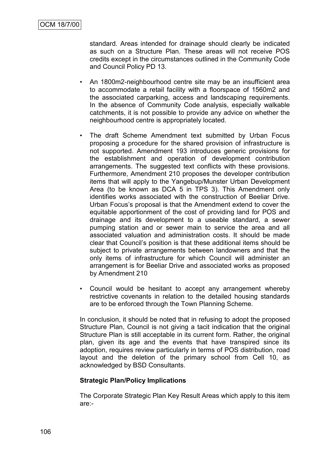standard. Areas intended for drainage should clearly be indicated as such on a Structure Plan. These areas will not receive POS credits except in the circumstances outlined in the Community Code and Council Policy PD 13.

- An 1800m2-neighbourhood centre site may be an insufficient area to accommodate a retail facility with a floorspace of 1560m2 and the associated carparking, access and landscaping requirements. In the absence of Community Code analysis, especially walkable catchments, it is not possible to provide any advice on whether the neighbourhood centre is appropriately located.
- The draft Scheme Amendment text submitted by Urban Focus proposing a procedure for the shared provision of infrastructure is not supported. Amendment 193 introduces generic provisions for the establishment and operation of development contribution arrangements. The suggested text conflicts with these provisions. Furthermore, Amendment 210 proposes the developer contribution items that will apply to the Yangebup/Munster Urban Development Area (to be known as DCA 5 in TPS 3). This Amendment only identifies works associated with the construction of Beeliar Drive. Urban Focus"s proposal is that the Amendment extend to cover the equitable apportionment of the cost of providing land for POS and drainage and its development to a useable standard, a sewer pumping station and or sewer main to service the area and all associated valuation and administration costs. It should be made clear that Council"s position is that these additional items should be subject to private arrangements between landowners and that the only items of infrastructure for which Council will administer an arrangement is for Beeliar Drive and associated works as proposed by Amendment 210
- Council would be hesitant to accept any arrangement whereby restrictive covenants in relation to the detailed housing standards are to be enforced through the Town Planning Scheme.

In conclusion, it should be noted that in refusing to adopt the proposed Structure Plan, Council is not giving a tacit indication that the original Structure Plan is still acceptable in its current form. Rather, the original plan, given its age and the events that have transpired since its adoption, requires review particularly in terms of POS distribution, road layout and the deletion of the primary school from Cell 10, as acknowledged by BSD Consultants.

#### **Strategic Plan/Policy Implications**

The Corporate Strategic Plan Key Result Areas which apply to this item are:-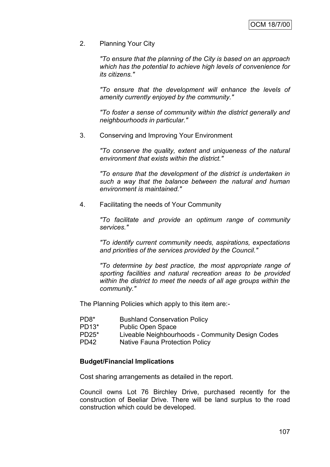2. Planning Your City

*"To ensure that the planning of the City is based on an approach which has the potential to achieve high levels of convenience for its citizens."*

*"To ensure that the development will enhance the levels of amenity currently enjoyed by the community."*

*"To foster a sense of community within the district generally and neighbourhoods in particular."*

3. Conserving and Improving Your Environment

*"To conserve the quality, extent and uniqueness of the natural environment that exists within the district."*

*"To ensure that the development of the district is undertaken in such a way that the balance between the natural and human environment is maintained."*

4. Facilitating the needs of Your Community

*"To facilitate and provide an optimum range of community services."*

*"To identify current community needs, aspirations, expectations and priorities of the services provided by the Council."*

*"To determine by best practice, the most appropriate range of sporting facilities and natural recreation areas to be provided within the district to meet the needs of all age groups within the community."*

The Planning Policies which apply to this item are:-

- PD8\* Bushland Conservation Policy
- PD13\* Public Open Space
- PD25\* Liveable Neighbourhoods Community Design Codes
- PD42 Native Fauna Protection Policy

#### **Budget/Financial Implications**

Cost sharing arrangements as detailed in the report.

Council owns Lot 76 Birchley Drive, purchased recently for the construction of Beeliar Drive. There will be land surplus to the road construction which could be developed.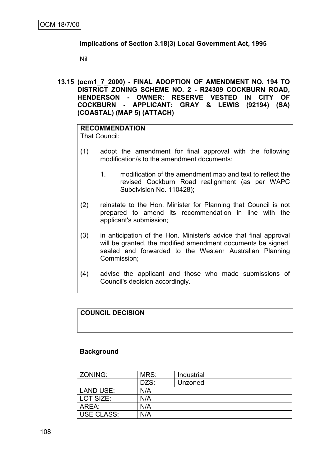# **Implications of Section 3.18(3) Local Government Act, 1995**

Nil

**13.15 (ocm1\_7\_2000) - FINAL ADOPTION OF AMENDMENT NO. 194 TO DISTRICT ZONING SCHEME NO. 2 - R24309 COCKBURN ROAD, HENDERSON - OWNER: RESERVE VESTED IN CITY OF COCKBURN - APPLICANT: GRAY & LEWIS (92194) (SA) (COASTAL) (MAP 5) (ATTACH)**

# **RECOMMENDATION**

That Council:

- (1) adopt the amendment for final approval with the following modification/s to the amendment documents:
	- 1. modification of the amendment map and text to reflect the revised Cockburn Road realignment (as per WAPC Subdivision No. 110428);
- (2) reinstate to the Hon. Minister for Planning that Council is not prepared to amend its recommendation in line with the applicant's submission;
- (3) in anticipation of the Hon. Minister's advice that final approval will be granted, the modified amendment documents be signed, sealed and forwarded to the Western Australian Planning Commission;
- (4) advise the applicant and those who made submissions of Council's decision accordingly.

# **COUNCIL DECISION**

# **Background**

| ZONING:           | MRS: | Industrial |
|-------------------|------|------------|
|                   | DZS: | Unzoned    |
| LAND USE:         | N/A  |            |
| LOT SIZE:         | N/A  |            |
| AREA:             | N/A  |            |
| <b>USE CLASS:</b> | N/A  |            |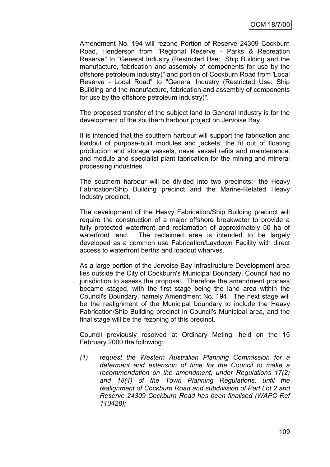Amendment No. 194 will rezone Portion of Reserve 24309 Cockburn Road, Henderson from "Regional Reserve - Parks & Recreation Reserve" to "General Industry (Restricted Use: Ship Building and the manufacture, fabrication and assembly of components for use by the offshore petroleum industry)" and portion of Cockburn Road from 'Local Reserve - Local Road" to "General Industry (Restricted Use: Ship Building and the manufacture, fabrication and assembly of components for use by the offshore petroleum industry)".

The proposed transfer of the subject land to General Industry is for the development of the southern harbour project on Jervoise Bay.

It is intended that the southern harbour will support the fabrication and loadout of purpose-built modules and jackets; the fit out of floating production and storage vessels; naval vessel refits and maintenance; and module and specialist plant fabrication for the mining and mineral processing industries.

The southern harbour will be divided into two precincts:- the Heavy Fabrication/Ship Building precinct and the Marine-Related Heavy Industry precinct.

The development of the Heavy Fabrication/Ship Building precinct will require the construction of a major offshore breakwater to provide a fully protected waterfront and reclamation of approximately 50 ha of waterfront land. The reclaimed area is intended to be largely developed as a common use Fabrication/Laydown Facility with direct access to waterfront berths and loadout wharves.

As a large portion of the Jervoise Bay Infrastructure Development area lies outside the City of Cockburn's Municipal Boundary, Council had no jurisdiction to assess the proposal. Therefore the amendment process became staged, with the first stage being the land area within the Council's Boundary, namely Amendment No. 194. The next stage will be the realignment of the Municipal boundary to include the Heavy Fabrication/Ship Building precinct in Council's Municipal area, and the final stage will be the rezoning of this precinct.

Council previously resolved at Ordinary Meting, held on the 15 February 2000 the following:

*(1) request the Western Australian Planning Commission for a deferment and extension of time for the Council to make a recommendation on the amendment, under Regulations 17(2) and 18(1) of the Town Planning Regulations, until the realignment of Cockburn Road and subdivision of Part Lot 2 and Reserve 24309 Cockburn Road has been finalised (WAPC Ref 110428);*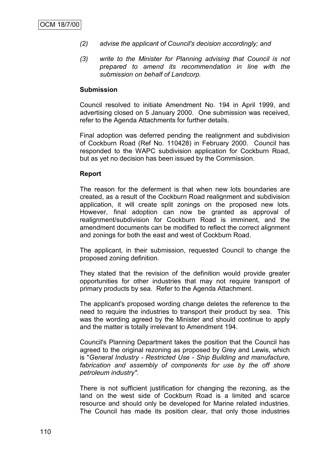- *(2) advise the applicant of Council's decision accordingly; and*
- *(3) write to the Minister for Planning advising that Council is not prepared to amend its recommendation in line with the submission on behalf of Landcorp.*

#### **Submission**

Council resolved to initiate Amendment No. 194 in April 1999, and advertising closed on 5 January 2000. One submission was received, refer to the Agenda Attachments for further details.

Final adoption was deferred pending the realignment and subdivision of Cockburn Road (Ref No. 110428) in February 2000. Council has responded to the WAPC subdivision application for Cockburn Road, but as yet no decision has been issued by the Commission.

#### **Report**

The reason for the deferment is that when new lots boundaries are created, as a result of the Cockburn Road realignment and subdivision application, it will create split zonings on the proposed new lots. However, final adoption can now be granted as approval of realignment/subdivision for Cockburn Road is imminent, and the amendment documents can be modified to reflect the correct alignment and zonings for both the east and west of Cockburn Road.

The applicant, in their submission, requested Council to change the proposed zoning definition.

They stated that the revision of the definition would provide greater opportunities for other industries that may not require transport of primary products by sea. Refer to the Agenda Attachment.

The applicant's proposed wording change deletes the reference to the need to require the industries to transport their product by sea. This was the wording agreed by the Minister and should continue to apply and the matter is totally irrelevant to Amendment 194.

Council's Planning Department takes the position that the Council has agreed to the original rezoning as proposed by Grey and Lewis, which is "*General Industry - Restricted Use - Ship Building and manufacture, fabrication and assembly of components for use by the off shore petroleum industry".* 

There is not sufficient justification for changing the rezoning, as the land on the west side of Cockburn Road is a limited and scarce resource and should only be developed for Marine related industries. The Council has made its position clear, that only those industries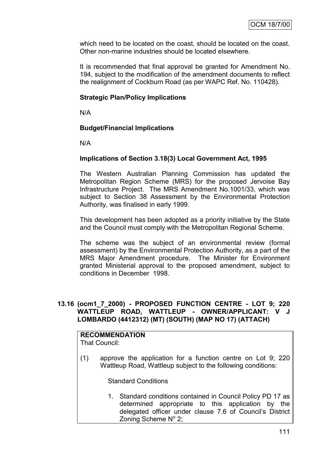which need to be located on the coast, should be located on the coast. Other non-marine industries should be located elsewhere.

It is recommended that final approval be granted for Amendment No. 194, subject to the modification of the amendment documents to reflect the realignment of Cockburn Road (as per WAPC Ref. No. 110428).

# **Strategic Plan/Policy Implications**

N/A

# **Budget/Financial Implications**

N/A

# **Implications of Section 3.18(3) Local Government Act, 1995**

The Western Australian Planning Commission has updated the Metropolitan Region Scheme (MRS) for the proposed Jervoise Bay Infrastructure Project. The MRS Amendment No.1001/33, which was subject to Section 38 Assessment by the Environmental Protection Authority, was finalised in early 1999.

This development has been adopted as a priority initiative by the State and the Council must comply with the Metropolitan Regional Scheme.

The scheme was the subject of an environmental review (formal assessment) by the Environmental Protection Authority, as a part of the MRS Major Amendment procedure. The Minister for Environment granted Ministerial approval to the proposed amendment, subject to conditions in December 1998.

### **13.16 (ocm1\_7\_2000) - PROPOSED FUNCTION CENTRE - LOT 9; 220 WATTLEUP ROAD, WATTLEUP - OWNER/APPLICANT: V J LOMBARDO (4412312) (MT) (SOUTH) (MAP NO 17) (ATTACH)**

# **RECOMMENDATION**

That Council:

(1) approve the application for a function centre on Lot 9; 220 Wattleup Road, Wattleup subject to the following conditions:

Standard Conditions

1. Standard conditions contained in Council Policy PD 17 as determined appropriate to this application by the delegated officer under clause 7.6 of Council"s District Zoning Scheme Nº 2;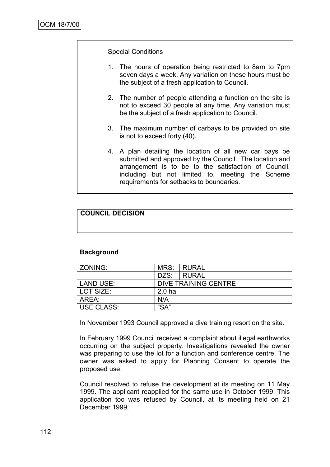Special Conditions

- 1. The hours of operation being restricted to 8am to 7pm seven days a week. Any variation on these hours must be the subject of a fresh application to Council.
- 2. The number of people attending a function on the site is not to exceed 30 people at any time. Any variation must be the subject of a fresh application to Council.
- 3. The maximum number of carbays to be provided on site is not to exceed forty (40).
- 4. A plan detailing the location of all new car bays be submitted and approved by the Council.. The location and arrangement is to be to the satisfaction of Council, including but not limited to, meeting the Scheme requirements for setbacks to boundaries.

# **COUNCIL DECISION**

# **Background**

| ZONING:           | MRS:                 | I RURAL |
|-------------------|----------------------|---------|
|                   | DZS:                 | I RURAL |
| LAND USE:         | DIVE TRAINING CENTRE |         |
| LOT SIZE:         | 2.0 <sub>ha</sub>    |         |
| AREA:             | N/A                  |         |
| <b>USE CLASS:</b> | "SA"                 |         |

In November 1993 Council approved a dive training resort on the site.

In February 1999 Council received a complaint about illegal earthworks occurring on the subject property. Investigations revealed the owner was preparing to use the lot for a function and conference centre. The owner was asked to apply for Planning Consent to operate the proposed use.

Council resolved to refuse the development at its meeting on 11 May 1999. The applicant reapplied for the same use in October 1999. This application too was refused by Council, at its meeting held on 21 December 1999.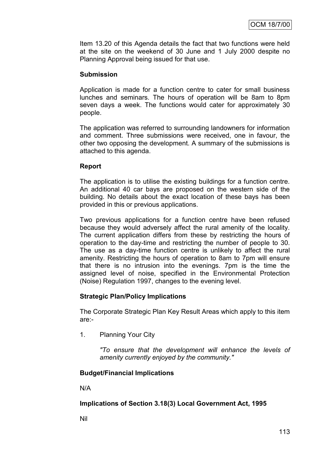Item 13.20 of this Agenda details the fact that two functions were held at the site on the weekend of 30 June and 1 July 2000 despite no Planning Approval being issued for that use.

# **Submission**

Application is made for a function centre to cater for small business lunches and seminars. The hours of operation will be 8am to 8pm seven days a week. The functions would cater for approximately 30 people.

The application was referred to surrounding landowners for information and comment. Three submissions were received, one in favour, the other two opposing the development. A summary of the submissions is attached to this agenda.

# **Report**

The application is to utilise the existing buildings for a function centre. An additional 40 car bays are proposed on the western side of the building. No details about the exact location of these bays has been provided in this or previous applications.

Two previous applications for a function centre have been refused because they would adversely affect the rural amenity of the locality. The current application differs from these by restricting the hours of operation to the day-time and restricting the number of people to 30. The use as a day-time function centre is unlikely to affect the rural amenity. Restricting the hours of operation to 8am to 7pm will ensure that there is no intrusion into the evenings. 7pm is the time the assigned level of noise, specified in the Environmental Protection (Noise) Regulation 1997, changes to the evening level.

# **Strategic Plan/Policy Implications**

The Corporate Strategic Plan Key Result Areas which apply to this item are:-

1. Planning Your City

*"To ensure that the development will enhance the levels of amenity currently enjoyed by the community."*

# **Budget/Financial Implications**

N/A

# **Implications of Section 3.18(3) Local Government Act, 1995**

Nil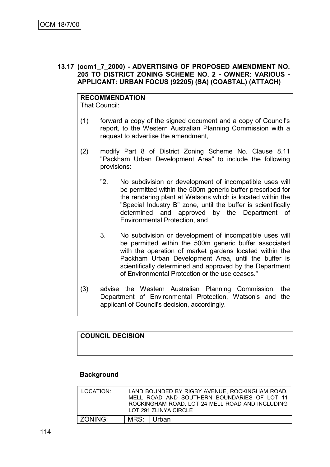# **13.17 (ocm1\_7\_2000) - ADVERTISING OF PROPOSED AMENDMENT NO. 205 TO DISTRICT ZONING SCHEME NO. 2 - OWNER: VARIOUS - APPLICANT: URBAN FOCUS (92205) (SA) (COASTAL) (ATTACH)**

**RECOMMENDATION** That Council:

- (1) forward a copy of the signed document and a copy of Council's report, to the Western Australian Planning Commission with a request to advertise the amendment,
- (2) modify Part 8 of District Zoning Scheme No. Clause 8.11 "Packham Urban Development Area" to include the following provisions:
	- "2. No subdivision or development of incompatible uses will be permitted within the 500m generic buffer prescribed for the rendering plant at Watsons which is located within the "Special Industry B" zone, until the buffer is scientifically determined and approved by the Department of Environmental Protection, and
	- 3. No subdivision or development of incompatible uses will be permitted within the 500m generic buffer associated with the operation of market gardens located within the Packham Urban Development Area, until the buffer is scientifically determined and approved by the Department of Environmental Protection or the use ceases."
- (3) advise the Western Australian Planning Commission, the Department of Environmental Protection, Watson's and the applicant of Council's decision, accordingly.

# **COUNCIL DECISION**

# **Background**

| LOCATION: |            | LAND BOUNDED BY RIGBY AVENUE, ROCKINGHAM ROAD,<br>MELL ROAD AND SOUTHERN BOUNDARIES OF LOT 11<br>ROCKINGHAM ROAD, LOT 24 MELL ROAD AND INCLUDING<br>LOT 291 ZLINYA CIRCLE |
|-----------|------------|---------------------------------------------------------------------------------------------------------------------------------------------------------------------------|
| ZONING:   | MRS: Urban |                                                                                                                                                                           |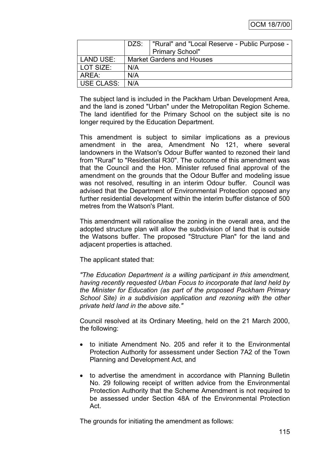|            |                                  | DZS:   "Rural" and "Local Reserve - Public Purpose -<br><b>Primary School"</b> |
|------------|----------------------------------|--------------------------------------------------------------------------------|
| LAND USE:  | <b>Market Gardens and Houses</b> |                                                                                |
| LOT SIZE:  | N/A                              |                                                                                |
| AREA:      | N/A                              |                                                                                |
| USE CLASS: | N/A                              |                                                                                |

The subject land is included in the Packham Urban Development Area, and the land is zoned "Urban" under the Metropolitan Region Scheme. The land identified for the Primary School on the subject site is no longer required by the Education Department.

This amendment is subject to similar implications as a previous amendment in the area, Amendment No 121, where several landowners in the Watson's Odour Buffer wanted to rezoned their land from "Rural" to "Residential R30". The outcome of this amendment was that the Council and the Hon. Minister refused final approval of the amendment on the grounds that the Odour Buffer and modeling issue was not resolved, resulting in an interim Odour buffer. Council was advised that the Department of Environmental Protection opposed any further residential development within the interim buffer distance of 500 metres from the Watson's Plant.

This amendment will rationalise the zoning in the overall area, and the adopted structure plan will allow the subdivision of land that is outside the Watsons buffer. The proposed "Structure Plan" for the land and adjacent properties is attached.

The applicant stated that:

*"The Education Department is a willing participant in this amendment, having recently requested Urban Focus to incorporate that land held by the Minister for Education (as part of the proposed Packham Primary School Site) in a subdivision application and rezoning with the other private held land in the above site."*

Council resolved at its Ordinary Meeting, held on the 21 March 2000, the following:

- to initiate Amendment No. 205 and refer it to the Environmental Protection Authority for assessment under Section 7A2 of the Town Planning and Development Act, and
- to advertise the amendment in accordance with Planning Bulletin No. 29 following receipt of written advice from the Environmental Protection Authority that the Scheme Amendment is not required to be assessed under Section 48A of the Environmental Protection Act.

The grounds for initiating the amendment as follows: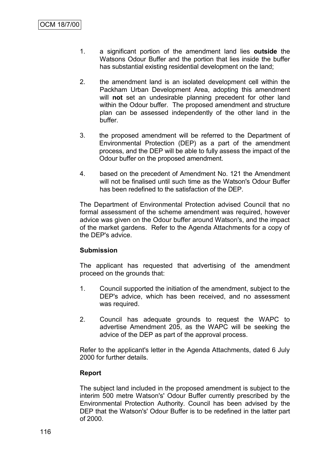- 1. a significant portion of the amendment land lies **outside** the Watsons Odour Buffer and the portion that lies inside the buffer has substantial existing residential development on the land;
- 2. the amendment land is an isolated development cell within the Packham Urban Development Area, adopting this amendment will **not** set an undesirable planning precedent for other land within the Odour buffer. The proposed amendment and structure plan can be assessed independently of the other land in the buffer.
- 3. the proposed amendment will be referred to the Department of Environmental Protection (DEP) as a part of the amendment process, and the DEP will be able to fully assess the impact of the Odour buffer on the proposed amendment.
- 4. based on the precedent of Amendment No. 121 the Amendment will not be finalised until such time as the Watson's Odour Buffer has been redefined to the satisfaction of the DEP.

The Department of Environmental Protection advised Council that no formal assessment of the scheme amendment was required, however advice was given on the Odour buffer around Watson's, and the impact of the market gardens. Refer to the Agenda Attachments for a copy of the DEP's advice.

# **Submission**

The applicant has requested that advertising of the amendment proceed on the grounds that:

- 1. Council supported the initiation of the amendment, subject to the DEP's advice, which has been received, and no assessment was required.
- 2. Council has adequate grounds to request the WAPC to advertise Amendment 205, as the WAPC will be seeking the advice of the DEP as part of the approval process.

Refer to the applicant's letter in the Agenda Attachments, dated 6 July 2000 for further details.

# **Report**

The subject land included in the proposed amendment is subject to the interim 500 metre Watson's' Odour Buffer currently prescribed by the Environmental Protection Authority. Council has been advised by the DEP that the Watson's' Odour Buffer is to be redefined in the latter part of 2000.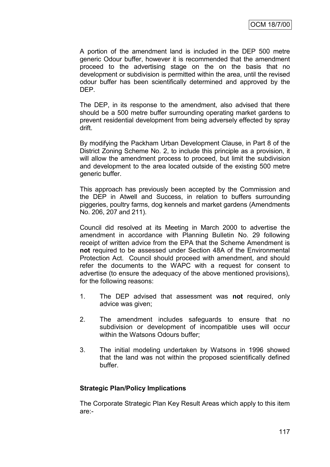A portion of the amendment land is included in the DEP 500 metre generic Odour buffer, however it is recommended that the amendment proceed to the advertising stage on the on the basis that no development or subdivision is permitted within the area, until the revised odour buffer has been scientifically determined and approved by the DEP.

The DEP, in its response to the amendment, also advised that there should be a 500 metre buffer surrounding operating market gardens to prevent residential development from being adversely effected by spray drift.

By modifying the Packham Urban Development Clause, in Part 8 of the District Zoning Scheme No. 2, to include this principle as a provision, it will allow the amendment process to proceed, but limit the subdivision and development to the area located outside of the existing 500 metre generic buffer.

This approach has previously been accepted by the Commission and the DEP in Atwell and Success, in relation to buffers surrounding piggeries, poultry farms, dog kennels and market gardens (Amendments No. 206, 207 and 211).

Council did resolved at its Meeting in March 2000 to advertise the amendment in accordance with Planning Bulletin No. 29 following receipt of written advice from the EPA that the Scheme Amendment is **not** required to be assessed under Section 48A of the Environmental Protection Act. Council should proceed with amendment, and should refer the documents to the WAPC with a request for consent to advertise (to ensure the adequacy of the above mentioned provisions), for the following reasons:

- 1. The DEP advised that assessment was **not** required, only advice was given;
- 2. The amendment includes safeguards to ensure that no subdivision or development of incompatible uses will occur within the Watsons Odours buffer;
- 3. The initial modeling undertaken by Watsons in 1996 showed that the land was not within the proposed scientifically defined buffer.

# **Strategic Plan/Policy Implications**

The Corporate Strategic Plan Key Result Areas which apply to this item are:-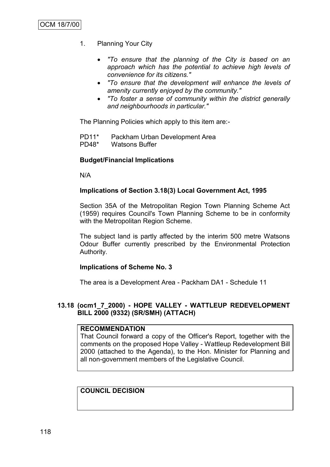- 1. Planning Your City
	- *"To ensure that the planning of the City is based on an approach which has the potential to achieve high levels of convenience for its citizens."*
	- *"To ensure that the development will enhance the levels of amenity currently enjoyed by the community."*
	- *"To foster a sense of community within the district generally and neighbourhoods in particular."*

The Planning Policies which apply to this item are:-

PD11\* Packham Urban Development Area PD48\* Watsons Buffer

#### **Budget/Financial Implications**

N/A

#### **Implications of Section 3.18(3) Local Government Act, 1995**

Section 35A of the Metropolitan Region Town Planning Scheme Act (1959) requires Council's Town Planning Scheme to be in conformity with the Metropolitan Region Scheme.

The subject land is partly affected by the interim 500 metre Watsons Odour Buffer currently prescribed by the Environmental Protection Authority.

#### **Implications of Scheme No. 3**

The area is a Development Area - Packham DA1 - Schedule 11

#### **13.18 (ocm1\_7\_2000) - HOPE VALLEY - WATTLEUP REDEVELOPMENT BILL 2000 (9332) (SR/SMH) (ATTACH)**

#### **RECOMMENDATION**

That Council forward a copy of the Officer's Report, together with the comments on the proposed Hope Valley - Wattleup Redevelopment Bill 2000 (attached to the Agenda), to the Hon. Minister for Planning and all non-government members of the Legislative Council.

#### **COUNCIL DECISION**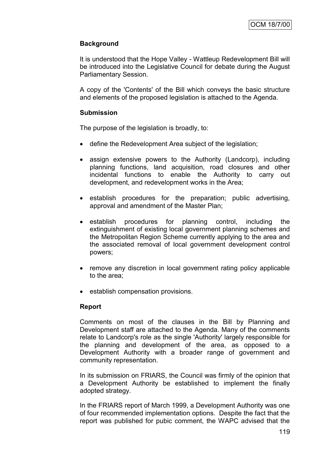# **Background**

It is understood that the Hope Valley - Wattleup Redevelopment Bill will be introduced into the Legislative Council for debate during the August Parliamentary Session.

A copy of the 'Contents' of the Bill which conveys the basic structure and elements of the proposed legislation is attached to the Agenda.

# **Submission**

The purpose of the legislation is broadly, to:

- define the Redevelopment Area subject of the legislation;
- assign extensive powers to the Authority (Landcorp), including planning functions, land acquisition, road closures and other incidental functions to enable the Authority to carry out development, and redevelopment works in the Area;
- establish procedures for the preparation; public advertising, approval and amendment of the Master Plan;
- establish procedures for planning control, including the extinguishment of existing local government planning schemes and the Metropolitan Region Scheme currently applying to the area and the associated removal of local government development control powers;
- remove any discretion in local government rating policy applicable to the area;
- establish compensation provisions.

# **Report**

Comments on most of the clauses in the Bill by Planning and Development staff are attached to the Agenda. Many of the comments relate to Landcorp's role as the single 'Authority' largely responsible for the planning and development of the area, as opposed to a Development Authority with a broader range of government and community representation.

In its submission on FRIARS, the Council was firmly of the opinion that a Development Authority be established to implement the finally adopted strategy.

In the FRIARS report of March 1999, a Development Authority was one of four recommended implementation options. Despite the fact that the report was published for pubic comment, the WAPC advised that the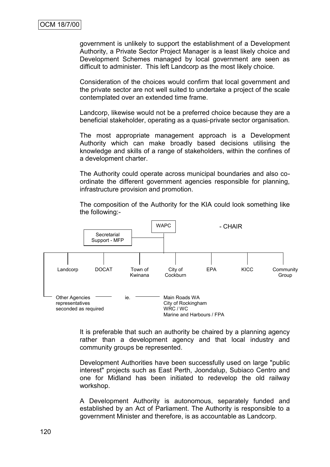government is unlikely to support the establishment of a Development Authority, a Private Sector Project Manager is a least likely choice and Development Schemes managed by local government are seen as difficult to administer. This left Landcorp as the most likely choice.

Consideration of the choices would confirm that local government and the private sector are not well suited to undertake a project of the scale contemplated over an extended time frame.

Landcorp, likewise would not be a preferred choice because they are a beneficial stakeholder, operating as a quasi-private sector organisation.

The most appropriate management approach is a Development Authority which can make broadly based decisions utilising the knowledge and skills of a range of stakeholders, within the confines of a development charter.

The Authority could operate across municipal boundaries and also coordinate the different government agencies responsible for planning, infrastructure provision and promotion.

The composition of the Authority for the KIA could look something like the following:-



It is preferable that such an authority be chaired by a planning agency rather than a development agency and that local industry and community groups be represented.

Development Authorities have been successfully used on large "public interest" projects such as East Perth, Joondalup, Subiaco Centro and one for Midland has been initiated to redevelop the old railway workshop.

A Development Authority is autonomous, separately funded and established by an Act of Parliament. The Authority is responsible to a government Minister and therefore, is as accountable as Landcorp.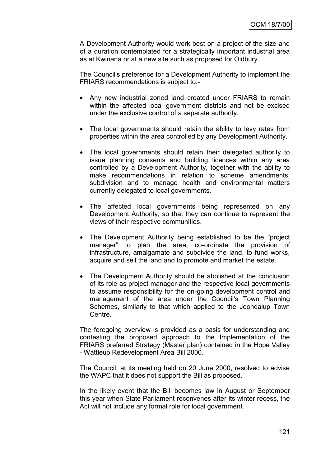A Development Authority would work best on a project of the size and of a duration contemplated for a strategically important industrial area as at Kwinana or at a new site such as proposed for Oldbury.

The Council's preference for a Development Authority to implement the FRIARS recommendations is subject to:-

- Any new industrial zoned land created under FRIARS to remain within the affected local government districts and not be excised under the exclusive control of a separate authority.
- The local governments should retain the ability to levy rates from properties within the area controlled by any Development Authority.
- The local governments should retain their delegated authority to issue planning consents and building licences within any area controlled by a Development Authority, together with the ability to make recommendations in relation to scheme amendments, subdivision and to manage health and environmental matters currently delegated to local governments.
- The affected local governments being represented on any Development Authority, so that they can continue to represent the views of their respective communities.
- The Development Authority being established to be the "project manager" to plan the area, co-ordinate the provision of infrastructure, amalgamate and subdivide the land, to fund works, acquire and sell the land and to promote and market the estate.
- The Development Authority should be abolished at the conclusion of its role as project manager and the respective local governments to assume responsibility for the on-going development control and management of the area under the Council's Town Planning Schemes, similarly to that which applied to the Joondalup Town Centre.

The foregoing overview is provided as a basis for understanding and contesting the proposed approach to the Implementation of the FRIARS preferred Strategy (Master plan) contained in the Hope Valley - Wattleup Redevelopment Area Bill 2000.

The Council, at its meeting held on 20 June 2000, resolved to advise the WAPC that it does not support the Bill as proposed.

In the likely event that the Bill becomes law in August or September this year when State Parliament reconvenes after its winter recess, the Act will not include any formal role for local government.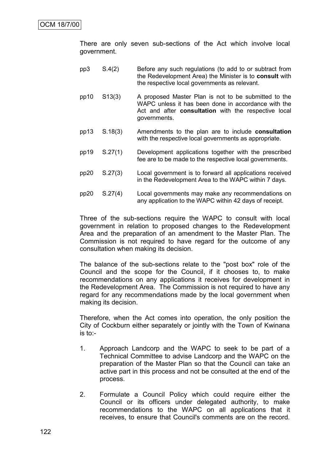There are only seven sub-sections of the Act which involve local government.

- pp3 S.4(2) Before any such regulations (to add to or subtract from the Redevelopment Area) the Minister is to **consult** with the respective local governments as relevant.
- pp10 S13(3) A proposed Master Plan is not to be submitted to the WAPC unless it has been done in accordance with the Act and after **consultation** with the respective local governments.
- pp13 S.18(3) Amendments to the plan are to include **consultation** with the respective local governments as appropriate.
- pp19 S.27(1) Development applications together with the prescribed fee are to be made to the respective local governments.
- pp20 S.27(3) Local government is to forward all applications received in the Redevelopment Area to the WAPC within 7 days.
- pp20 S.27(4) Local governments may make any recommendations on any application to the WAPC within 42 days of receipt.

Three of the sub-sections require the WAPC to consult with local government in relation to proposed changes to the Redevelopment Area and the preparation of an amendment to the Master Plan. The Commission is not required to have regard for the outcome of any consultation when making its decision.

The balance of the sub-sections relate to the "post box" role of the Council and the scope for the Council, if it chooses to, to make recommendations on any applications it receives for development in the Redevelopment Area. The Commission is not required to have any regard for any recommendations made by the local government when making its decision.

Therefore, when the Act comes into operation, the only position the City of Cockburn either separately or jointly with the Town of Kwinana is to:-

- 1. Approach Landcorp and the WAPC to seek to be part of a Technical Committee to advise Landcorp and the WAPC on the preparation of the Master Plan so that the Council can take an active part in this process and not be consulted at the end of the process.
- 2. Formulate a Council Policy which could require either the Council or its officers under delegated authority, to make recommendations to the WAPC on all applications that it receives, to ensure that Council's comments are on the record.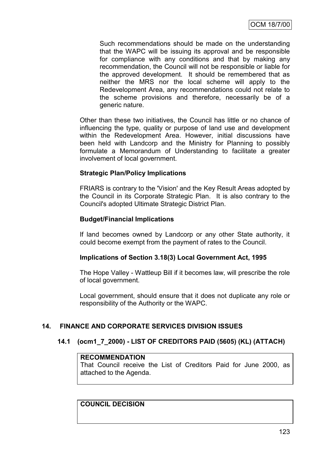Such recommendations should be made on the understanding that the WAPC will be issuing its approval and be responsible for compliance with any conditions and that by making any recommendation, the Council will not be responsible or liable for the approved development. It should be remembered that as neither the MRS nor the local scheme will apply to the Redevelopment Area, any recommendations could not relate to the scheme provisions and therefore, necessarily be of a generic nature.

Other than these two initiatives, the Council has little or no chance of influencing the type, quality or purpose of land use and development within the Redevelopment Area. However, initial discussions have been held with Landcorp and the Ministry for Planning to possibly formulate a Memorandum of Understanding to facilitate a greater involvement of local government.

# **Strategic Plan/Policy Implications**

FRIARS is contrary to the 'Vision' and the Key Result Areas adopted by the Council in its Corporate Strategic Plan. It is also contrary to the Council's adopted Ultimate Strategic District Plan.

# **Budget/Financial Implications**

If land becomes owned by Landcorp or any other State authority, it could become exempt from the payment of rates to the Council.

# **Implications of Section 3.18(3) Local Government Act, 1995**

The Hope Valley - Wattleup Bill if it becomes law, will prescribe the role of local government.

Local government, should ensure that it does not duplicate any role or responsibility of the Authority or the WAPC.

# **14. FINANCE AND CORPORATE SERVICES DIVISION ISSUES**

# **14.1 (ocm1\_7\_2000) - LIST OF CREDITORS PAID (5605) (KL) (ATTACH)**

# **RECOMMENDATION**

That Council receive the List of Creditors Paid for June 2000, as attached to the Agenda.

# **COUNCIL DECISION**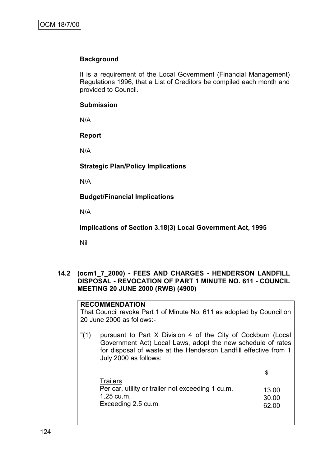# **Background**

It is a requirement of the Local Government (Financial Management) Regulations 1996, that a List of Creditors be compiled each month and provided to Council.

# **Submission**

N/A

# **Report**

N/A

**Strategic Plan/Policy Implications**

N/A

**Budget/Financial Implications**

N/A

**Implications of Section 3.18(3) Local Government Act, 1995**

Nil

# **14.2 (ocm1\_7\_2000) - FEES AND CHARGES - HENDERSON LANDFILL DISPOSAL - REVOCATION OF PART 1 MINUTE NO. 611 - COUNCIL MEETING 20 JUNE 2000 (RWB) (4900)**

# **RECOMMENDATION**

That Council revoke Part 1 of Minute No. 611 as adopted by Council on 20 June 2000 as follows:-

"(1) pursuant to Part X Division 4 of the City of Cockburn (Local Government Act) Local Laws, adopt the new schedule of rates for disposal of waste at the Henderson Landfill effective from 1 July 2000 as follows:

\$

| <b>Trailers</b>                                   |       |
|---------------------------------------------------|-------|
| Per car, utility or trailer not exceeding 1 cu.m. | 13.00 |
| $1.25 \text{ cu.m.}$                              | 30.00 |
| Exceeding 2.5 cu.m.                               | 62.00 |
|                                                   |       |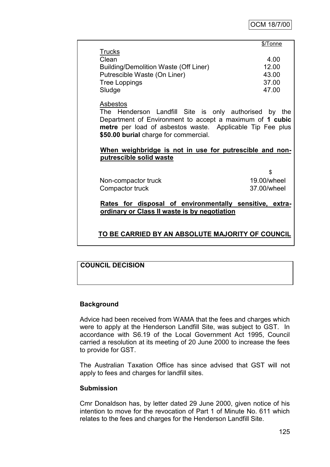|                                       | \$/Tonne |
|---------------------------------------|----------|
| <b>Trucks</b>                         |          |
| Clean                                 | 4.00     |
| Building/Demolition Waste (Off Liner) | 12.00    |
| Putrescible Waste (On Liner)          | 43.00    |
| <b>Tree Loppings</b>                  | 37.00    |
| Sludge                                | 47.00    |

Asbestos

The Henderson Landfill Site is only authorised by the Department of Environment to accept a maximum of **1 cubic metre** per load of asbestos waste. Applicable Tip Fee plus **\$50.00 burial** charge for commercial.

#### **When weighbridge is not in use for putrescible and nonputrescible solid waste**

Non-compactor truck Compactor truck

\$ 19.00/wheel 37.00/wheel

**Rates for disposal of environmentally sensitive, extraordinary or Class II waste is by negotiation**

# **TO BE CARRIED BY AN ABSOLUTE MAJORITY OF COUNCIL**

# **COUNCIL DECISION**

# **Background**

Advice had been received from WAMA that the fees and charges which were to apply at the Henderson Landfill Site, was subject to GST. In accordance with S6.19 of the Local Government Act 1995, Council carried a resolution at its meeting of 20 June 2000 to increase the fees to provide for GST.

The Australian Taxation Office has since advised that GST will not apply to fees and charges for landfill sites.

# **Submission**

Cmr Donaldson has, by letter dated 29 June 2000, given notice of his intention to move for the revocation of Part 1 of Minute No. 611 which relates to the fees and charges for the Henderson Landfill Site.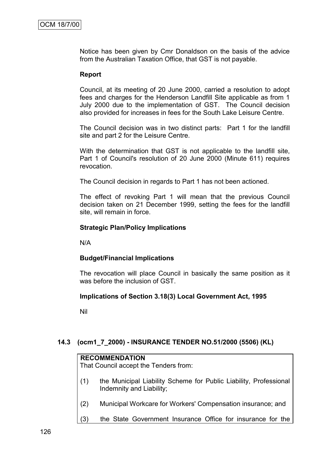Notice has been given by Cmr Donaldson on the basis of the advice from the Australian Taxation Office, that GST is not payable.

#### **Report**

Council, at its meeting of 20 June 2000, carried a resolution to adopt fees and charges for the Henderson Landfill Site applicable as from 1 July 2000 due to the implementation of GST. The Council decision also provided for increases in fees for the South Lake Leisure Centre.

The Council decision was in two distinct parts: Part 1 for the landfill site and part 2 for the Leisure Centre.

With the determination that GST is not applicable to the landfill site, Part 1 of Council's resolution of 20 June 2000 (Minute 611) requires revocation.

The Council decision in regards to Part 1 has not been actioned.

The effect of revoking Part 1 will mean that the previous Council decision taken on 21 December 1999, setting the fees for the landfill site, will remain in force.

#### **Strategic Plan/Policy Implications**

N/A

#### **Budget/Financial Implications**

The revocation will place Council in basically the same position as it was before the inclusion of GST.

# **Implications of Section 3.18(3) Local Government Act, 1995**

Nil

# **14.3 (ocm1\_7\_2000) - INSURANCE TENDER NO.51/2000 (5506) (KL)**

### **RECOMMENDATION**

That Council accept the Tenders from:

- (1) the Municipal Liability Scheme for Public Liability, Professional Indemnity and Liability;
- (2) Municipal Workcare for Workers' Compensation insurance; and
- (3) the State Government Insurance Office for insurance for the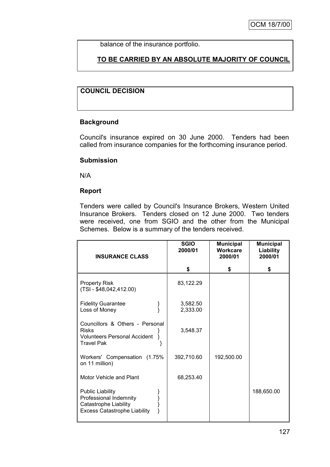balance of the insurance portfolio.

# **TO BE CARRIED BY AN ABSOLUTE MAJORITY OF COUNCIL**

# **COUNCIL DECISION**

# **Background**

Council's insurance expired on 30 June 2000. Tenders had been called from insurance companies for the forthcoming insurance period.

#### **Submission**

N/A

#### **Report**

Tenders were called by Council's Insurance Brokers, Western United Insurance Brokers. Tenders closed on 12 June 2000. Two tenders were received, one from SGIO and the other from the Municipal Schemes. Below is a summary of the tenders received.

| <b>INSURANCE CLASS</b>                                                                                            | <b>SGIO</b><br>2000/01 | <b>Municipal</b><br>Workcare<br>2000/01 | <b>Municipal</b><br>Liability<br>2000/01 |
|-------------------------------------------------------------------------------------------------------------------|------------------------|-----------------------------------------|------------------------------------------|
|                                                                                                                   | \$                     | \$                                      | \$                                       |
| <b>Property Risk</b><br>$(TSI - $48,042,412.00)$                                                                  | 83,122.29              |                                         |                                          |
| <b>Fidelity Guarantee</b><br>Loss of Money                                                                        | 3,582.50<br>2,333.00   |                                         |                                          |
| Councillors & Others - Personal<br><b>Risks</b><br><b>Volunteers Personal Accident</b><br><b>Travel Pak</b>       | 3.548.37               |                                         |                                          |
| Workers' Compensation (1.75%<br>on 11 million)                                                                    | 392,710.60             | 192,500.00                              |                                          |
| Motor Vehicle and Plant                                                                                           | 68,253.40              |                                         |                                          |
| <b>Public Liability</b><br>Professional Indemnity<br>Catastrophe Liability<br><b>Excess Catastrophe Liability</b> |                        |                                         | 188,650.00                               |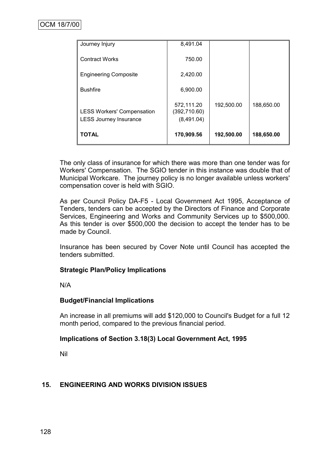| Journey Injury                                                     | 8,491.04                                  |            |            |
|--------------------------------------------------------------------|-------------------------------------------|------------|------------|
| <b>Contract Works</b>                                              | 750.00                                    |            |            |
| <b>Engineering Composite</b>                                       | 2,420.00                                  |            |            |
| <b>Bushfire</b>                                                    | 6,900.00                                  |            |            |
| <b>LESS Workers' Compensation</b><br><b>LESS Journey Insurance</b> | 572,111.20<br>(392, 710.60)<br>(8,491.04) | 192,500.00 | 188,650.00 |
| <b>TOTAL</b>                                                       | 170,909.56                                | 192,500.00 | 188,650.00 |

The only class of insurance for which there was more than one tender was for Workers' Compensation. The SGIO tender in this instance was double that of Municipal Workcare. The journey policy is no longer available unless workers' compensation cover is held with SGIO.

As per Council Policy DA-F5 - Local Government Act 1995, Acceptance of Tenders, tenders can be accepted by the Directors of Finance and Corporate Services, Engineering and Works and Community Services up to \$500,000. As this tender is over \$500,000 the decision to accept the tender has to be made by Council.

Insurance has been secured by Cover Note until Council has accepted the tenders submitted.

# **Strategic Plan/Policy Implications**

N/A

# **Budget/Financial Implications**

An increase in all premiums will add \$120,000 to Council's Budget for a full 12 month period, compared to the previous financial period.

# **Implications of Section 3.18(3) Local Government Act, 1995**

Nil

# **15. ENGINEERING AND WORKS DIVISION ISSUES**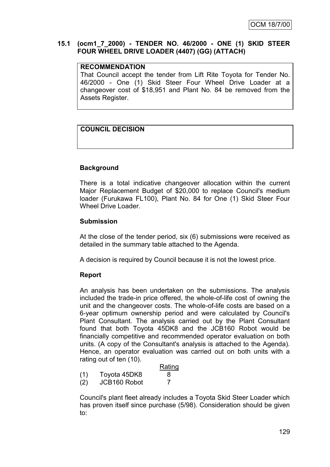# **15.1 (ocm1\_7\_2000) - TENDER NO. 46/2000 - ONE (1) SKID STEER FOUR WHEEL DRIVE LOADER (4407) (GG) (ATTACH)**

# **RECOMMENDATION**

That Council accept the tender from Lift Rite Toyota for Tender No. 46/2000 - One (1) Skid Steer Four Wheel Drive Loader at a changeover cost of \$18,951 and Plant No. 84 be removed from the Assets Register.

# **COUNCIL DECISION**

# **Background**

There is a total indicative changeover allocation within the current Major Replacement Budget of \$20,000 to replace Council's medium loader (Furukawa FL100), Plant No. 84 for One (1) Skid Steer Four Wheel Drive Loader.

# **Submission**

At the close of the tender period, six (6) submissions were received as detailed in the summary table attached to the Agenda.

A decision is required by Council because it is not the lowest price.

# **Report**

An analysis has been undertaken on the submissions. The analysis included the trade-in price offered, the whole-of-life cost of owning the unit and the changeover costs. The whole-of-life costs are based on a 6-year optimum ownership period and were calculated by Council's Plant Consultant. The analysis carried out by the Plant Consultant found that both Toyota 45DK8 and the JCB160 Robot would be financially competitive and recommended operator evaluation on both units. (A copy of the Consultant's analysis is attached to the Agenda). Hence, an operator evaluation was carried out on both units with a rating out of ten (10).

| 'atır<br>κ |
|------------|
|            |

| (1) | Toyota 45DK8        | 8 |
|-----|---------------------|---|
| (2) | <b>JCB160 Robot</b> |   |

Council's plant fleet already includes a Toyota Skid Steer Loader which has proven itself since purchase (5/98). Consideration should be given to: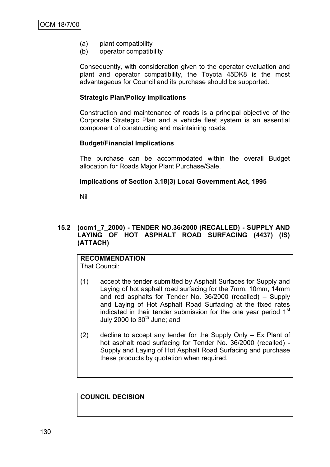- (a) plant compatibility
- (b) operator compatibility

Consequently, with consideration given to the operator evaluation and plant and operator compatibility, the Toyota 45DK8 is the most advantageous for Council and its purchase should be supported.

#### **Strategic Plan/Policy Implications**

Construction and maintenance of roads is a principal objective of the Corporate Strategic Plan and a vehicle fleet system is an essential component of constructing and maintaining roads.

#### **Budget/Financial Implications**

The purchase can be accommodated within the overall Budget allocation for Roads Major Plant Purchase/Sale.

#### **Implications of Section 3.18(3) Local Government Act, 1995**

Nil

# **15.2 (ocm1\_7\_2000) - TENDER NO.36/2000 (RECALLED) - SUPPLY AND LAYING OF HOT ASPHALT ROAD SURFACING (4437) (IS) (ATTACH)**

# **RECOMMENDATION**

That Council:

- (1) accept the tender submitted by Asphalt Surfaces for Supply and Laying of hot asphalt road surfacing for the 7mm, 10mm, 14mm and red asphalts for Tender No. 36/2000 (recalled) – Supply and Laying of Hot Asphalt Road Surfacing at the fixed rates indicated in their tender submission for the one year period 1<sup>st</sup> July 2000 to  $30<sup>th</sup>$  June; and
- (2) decline to accept any tender for the Supply Only Ex Plant of hot asphalt road surfacing for Tender No. 36/2000 (recalled) - Supply and Laying of Hot Asphalt Road Surfacing and purchase these products by quotation when required.

# **COUNCIL DECISION**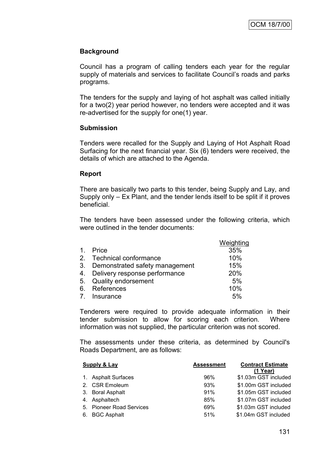# **Background**

Council has a program of calling tenders each year for the regular supply of materials and services to facilitate Council's roads and parks programs.

The tenders for the supply and laying of hot asphalt was called initially for a two(2) year period however, no tenders were accepted and it was re-advertised for the supply for one(1) year.

# **Submission**

Tenders were recalled for the Supply and Laying of Hot Asphalt Road Surfacing for the next financial year. Six (6) tenders were received, the details of which are attached to the Agenda.

# **Report**

There are basically two parts to this tender, being Supply and Lay, and Supply only – Ex Plant, and the tender lends itself to be split if it proves beneficial.

The tenders have been assessed under the following criteria, which were outlined in the tender documents:

|                                   | Weighting |
|-----------------------------------|-----------|
| 1. Price                          | 35%       |
| 2. Technical conformance          | 10%       |
| 3. Demonstrated safety management | 15%       |
| 4. Delivery response performance  | 20%       |
| 5. Quality endorsement            | 5%        |
| 6. References                     | 10%       |
| 7. Insurance                      | 5%        |

Tenderers were required to provide adequate information in their tender submission to allow for scoring each criterion. Where information was not supplied, the particular criterion was not scored.

The assessments under these criteria, as determined by Council's Roads Department, are as follows:

| <b>Supply &amp; Lay</b> |                          | <b>Assessment</b> | <b>Contract Estimate</b><br>(1 Year) |
|-------------------------|--------------------------|-------------------|--------------------------------------|
|                         | 1. Asphalt Surfaces      | 96%               | \$1.03m GST included                 |
|                         | 2. CSR Emoleum           | 93%               | \$1.00m GST included                 |
|                         | 3. Boral Asphalt         | 91%               | \$1.05m GST included                 |
|                         | 4. Asphaltech            | 85%               | \$1.07m GST included                 |
|                         | 5. Pioneer Road Services | 69%               | \$1.03m GST included                 |
|                         | 6. BGC Asphalt           | 51%               | \$1.04m GST included                 |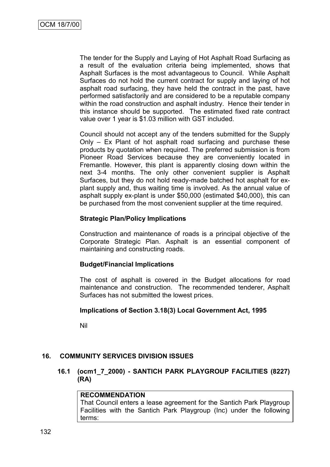The tender for the Supply and Laying of Hot Asphalt Road Surfacing as a result of the evaluation criteria being implemented, shows that Asphalt Surfaces is the most advantageous to Council. While Asphalt Surfaces do not hold the current contract for supply and laying of hot asphalt road surfacing, they have held the contract in the past, have performed satisfactorily and are considered to be a reputable company within the road construction and asphalt industry. Hence their tender in this instance should be supported. The estimated fixed rate contract value over 1 year is \$1.03 million with GST included.

Council should not accept any of the tenders submitted for the Supply Only – Ex Plant of hot asphalt road surfacing and purchase these products by quotation when required. The preferred submission is from Pioneer Road Services because they are conveniently located in Fremantle. However, this plant is apparently closing down within the next 3-4 months. The only other convenient supplier is Asphalt Surfaces, but they do not hold ready-made batched hot asphalt for explant supply and, thus waiting time is involved. As the annual value of asphalt supply ex-plant is under \$50,000 (estimated \$40,000), this can be purchased from the most convenient supplier at the time required.

# **Strategic Plan/Policy Implications**

Construction and maintenance of roads is a principal objective of the Corporate Strategic Plan. Asphalt is an essential component of maintaining and constructing roads.

#### **Budget/Financial Implications**

The cost of asphalt is covered in the Budget allocations for road maintenance and construction. The recommended tenderer, Asphalt Surfaces has not submitted the lowest prices.

#### **Implications of Section 3.18(3) Local Government Act, 1995**

Nil

# **16. COMMUNITY SERVICES DIVISION ISSUES**

# **16.1 (ocm1\_7\_2000) - SANTICH PARK PLAYGROUP FACILITIES (8227) (RA)**

#### **RECOMMENDATION**

That Council enters a lease agreement for the Santich Park Playgroup Facilities with the Santich Park Playgroup (Inc) under the following terms: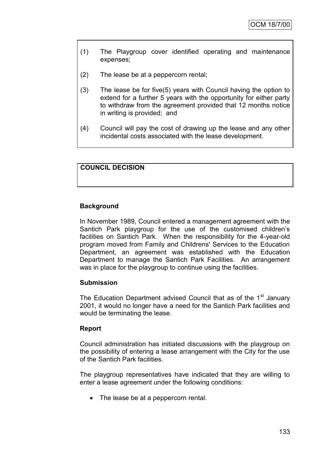- (1) The Playgroup cover identified operating and maintenance expenses;
- (2) The lease be at a peppercorn rental;
- (3) The lease be for five(5) years with Council having the option to extend for a further 5 years with the opportunity for either party to withdraw from the agreement provided that 12 months notice in writing is provided; and
- (4) Council will pay the cost of drawing up the lease and any other incidental costs associated with the lease development.

# **COUNCIL DECISION**

# **Background**

In November 1989, Council entered a management agreement with the Santich Park playgroup for the use of the customised children"s facilities on Santich Park. When the responsibility for the 4-year-old program moved from Family and Childrens' Services to the Education Department, an agreement was established with the Education Department to manage the Santich Park Facilities. An arrangement was in place for the playgroup to continue using the facilities.

# **Submission**

The Education Department advised Council that as of the 1<sup>st</sup> January 2001, it would no longer have a need for the Santich Park facilities and would be terminating the lease.

# **Report**

Council administration has initiated discussions with the playgroup on the possibility of entering a lease arrangement with the City for the use of the Santich Park facilities.

The playgroup representatives have indicated that they are willing to enter a lease agreement under the following conditions:

• The lease be at a peppercorn rental.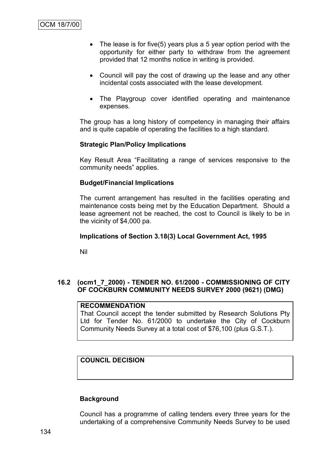- The lease is for five(5) years plus a 5 year option period with the opportunity for either party to withdraw from the agreement provided that 12 months notice in writing is provided.
- Council will pay the cost of drawing up the lease and any other incidental costs associated with the lease development.
- The Playgroup cover identified operating and maintenance expenses.

The group has a long history of competency in managing their affairs and is quite capable of operating the facilities to a high standard.

# **Strategic Plan/Policy Implications**

Key Result Area "Facilitating a range of services responsive to the community needs" applies.

# **Budget/Financial Implications**

The current arrangement has resulted in the facilities operating and maintenance costs being met by the Education Department. Should a lease agreement not be reached, the cost to Council is likely to be in the vicinity of \$4,000 pa.

#### **Implications of Section 3.18(3) Local Government Act, 1995**

Nil

# **16.2 (ocm1\_7\_2000) - TENDER NO. 61/2000 - COMMISSIONING OF CITY OF COCKBURN COMMUNITY NEEDS SURVEY 2000 (9621) (DMG)**

#### **RECOMMENDATION**

That Council accept the tender submitted by Research Solutions Pty Ltd for Tender No. 61/2000 to undertake the City of Cockburn Community Needs Survey at a total cost of \$76,100 (plus G.S.T.).

# **COUNCIL DECISION**

# **Background**

Council has a programme of calling tenders every three years for the undertaking of a comprehensive Community Needs Survey to be used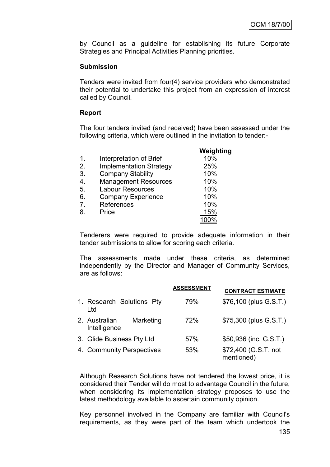by Council as a guideline for establishing its future Corporate Strategies and Principal Activities Planning priorities.

### **Submission**

Tenders were invited from four(4) service providers who demonstrated their potential to undertake this project from an expression of interest called by Council.

#### **Report**

The four tenders invited (and received) have been assessed under the following criteria, which were outlined in the invitation to tender:-

|                  |                                | Weighting |
|------------------|--------------------------------|-----------|
| $\mathbf{1}$ .   | Interpretation of Brief        | 10%       |
| 2.               | <b>Implementation Strategy</b> | 25%       |
| 3.               | <b>Company Stability</b>       | 10%       |
| $\overline{4}$ . | <b>Management Resources</b>    | 10%       |
| 5.               | <b>Labour Resources</b>        | 10%       |
| 6.               | <b>Company Experience</b>      | 10%       |
| 7 <sub>1</sub>   | References                     | 10%       |
| 8.               | Price                          | 15%       |
|                  |                                |           |

Tenderers were required to provide adequate information in their tender submissions to allow for scoring each criteria.

The assessments made under these criteria, as determined independently by the Director and Manager of Community Services, are as follows:

|                                            | <b>ASSESSMENT</b> | <b>CONTRACT ESTIMATE</b>           |
|--------------------------------------------|-------------------|------------------------------------|
| 1. Research Solutions Pty<br>Ltd           | 79%               | \$76,100 (plus G.S.T.)             |
| Marketing<br>2. Australian<br>Intelligence | 72%               | \$75,300 (plus G.S.T.)             |
| 3. Glide Business Pty Ltd                  | 57%               | \$50,936 (inc. G.S.T.)             |
| 4. Community Perspectives                  | 53%               | \$72,400 (G.S.T. not<br>mentioned) |

Although Research Solutions have not tendered the lowest price, it is considered their Tender will do most to advantage Council in the future, when considering its implementation strategy proposes to use the latest methodology available to ascertain community opinion.

Key personnel involved in the Company are familiar with Council's requirements, as they were part of the team which undertook the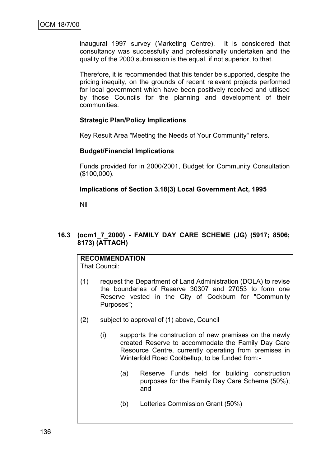inaugural 1997 survey (Marketing Centre). It is considered that consultancy was successfully and professionally undertaken and the quality of the 2000 submission is the equal, if not superior, to that.

Therefore, it is recommended that this tender be supported, despite the pricing inequity, on the grounds of recent relevant projects performed for local government which have been positively received and utilised by those Councils for the planning and development of their communities.

### **Strategic Plan/Policy Implications**

Key Result Area "Meeting the Needs of Your Community" refers.

#### **Budget/Financial Implications**

Funds provided for in 2000/2001, Budget for Community Consultation (\$100,000).

# **Implications of Section 3.18(3) Local Government Act, 1995**

Nil

# **16.3 (ocm1\_7\_2000) - FAMILY DAY CARE SCHEME (JG) (5917; 8506; 8173) (ATTACH)**

# **RECOMMENDATION**

That Council:

- (1) request the Department of Land Administration (DOLA) to revise the boundaries of Reserve 30307 and 27053 to form one Reserve vested in the City of Cockburn for "Community Purposes";
- (2) subject to approval of (1) above, Council
	- (i) supports the construction of new premises on the newly created Reserve to accommodate the Family Day Care Resource Centre, currently operating from premises in Winterfold Road Coolbellup, to be funded from:-
		- (a) Reserve Funds held for building construction purposes for the Family Day Care Scheme (50%); and
		- (b) Lotteries Commission Grant (50%)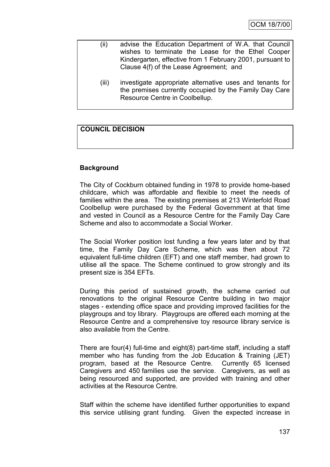| (II)  | advise the Education Department of W.A. that Council<br>wishes to terminate the Lease for the Ethel Cooper<br>Kindergarten, effective from 1 February 2001, pursuant to<br>Clause 4(f) of the Lease Agreement; and |
|-------|--------------------------------------------------------------------------------------------------------------------------------------------------------------------------------------------------------------------|
| (III) | investigate appropriate alternative uses and tenants for                                                                                                                                                           |

(iii) investigate appropriate alternative uses and tenants for the premises currently occupied by the Family Day Care Resource Centre in Coolbellup.

# **COUNCIL DECISION**

# **Background**

The City of Cockburn obtained funding in 1978 to provide home-based childcare, which was affordable and flexible to meet the needs of families within the area. The existing premises at 213 Winterfold Road Coolbellup were purchased by the Federal Government at that time and vested in Council as a Resource Centre for the Family Day Care Scheme and also to accommodate a Social Worker.

The Social Worker position lost funding a few years later and by that time, the Family Day Care Scheme, which was then about 72 equivalent full-time children (EFT) and one staff member, had grown to utilise all the space. The Scheme continued to grow strongly and its present size is 354 EFTs.

During this period of sustained growth, the scheme carried out renovations to the original Resource Centre building in two major stages - extending office space and providing improved facilities for the playgroups and toy library. Playgroups are offered each morning at the Resource Centre and a comprehensive toy resource library service is also available from the Centre.

There are four(4) full-time and eight(8) part-time staff, including a staff member who has funding from the Job Education & Training (JET) program, based at the Resource Centre. Currently 65 licensed Caregivers and 450 families use the service. Caregivers, as well as being resourced and supported, are provided with training and other activities at the Resource Centre.

Staff within the scheme have identified further opportunities to expand this service utilising grant funding. Given the expected increase in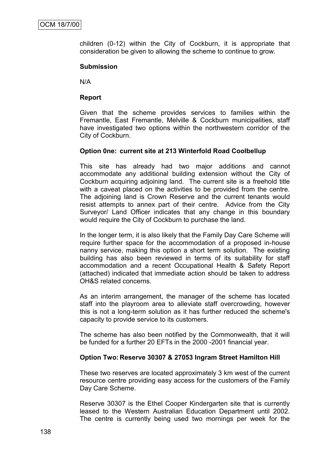children (0-12) within the City of Cockburn, it is appropriate that consideration be given to allowing the scheme to continue to grow.

#### **Submission**

N/A

#### **Report**

Given that the scheme provides services to families within the Fremantle, East Fremantle, Melville & Cockburn municipalities, staff have investigated two options within the northwestern corridor of the City of Cockburn.

#### **Option 0ne: current site at 213 Winterfold Road Coolbellup**

This site has already had two major additions and cannot accommodate any additional building extension without the City of Cockburn acquiring adjoining land. The current site is a freehold title with a caveat placed on the activities to be provided from the centre. The adjoining land is Crown Reserve and the current tenants would resist attempts to annex part of their centre. Advice from the City Surveyor/ Land Officer indicates that any change in this boundary would require the City of Cockburn to purchase the land.

In the longer term, it is also likely that the Family Day Care Scheme will require further space for the accommodation of a proposed in-house nanny service, making this option a short term solution. The existing building has also been reviewed in terms of its suitability for staff accommodation and a recent Occupational Health & Safety Report (attached) indicated that immediate action should be taken to address OH&S related concerns.

As an interim arrangement, the manager of the scheme has located staff into the playroom area to alleviate staff overcrowding, however this is not a long-term solution as it has further reduced the scheme's capacity to provide service to its customers.

The scheme has also been notified by the Commonwealth, that it will be funded for a further 20 EFTs in the 2000 -2001 financial year.

#### **Option Two: Reserve 30307 & 27053 Ingram Street Hamilton Hill**

These two reserves are located approximately 3 km west of the current resource centre providing easy access for the customers of the Family Day Care Scheme.

Reserve 30307 is the Ethel Cooper Kindergarten site that is currently leased to the Western Australian Education Department until 2002. The centre is currently being used two mornings per week for the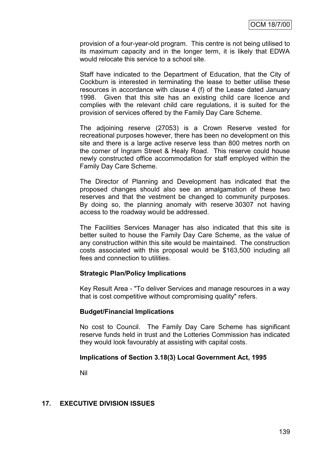provision of a four-year-old program. This centre is not being utilised to its maximum capacity and in the longer term, it is likely that EDWA would relocate this service to a school site.

Staff have indicated to the Department of Education, that the City of Cockburn is interested in terminating the lease to better utilise these resources in accordance with clause 4 (f) of the Lease dated January 1998. Given that this site has an existing child care licence and complies with the relevant child care regulations, it is suited for the provision of services offered by the Family Day Care Scheme.

The adjoining reserve (27053) is a Crown Reserve vested for recreational purposes however, there has been no development on this site and there is a large active reserve less than 800 metres north on the corner of Ingram Street & Healy Road. This reserve could house newly constructed office accommodation for staff employed within the Family Day Care Scheme.

The Director of Planning and Development has indicated that the proposed changes should also see an amalgamation of these two reserves and that the vestment be changed to community purposes. By doing so, the planning anomaly with reserve 30307 not having access to the roadway would be addressed.

The Facilities Services Manager has also indicated that this site is better suited to house the Family Day Care Scheme, as the value of any construction within this site would be maintained. The construction costs associated with this proposal would be \$163,500 including all fees and connection to utilities.

# **Strategic Plan/Policy Implications**

Key Result Area - "To deliver Services and manage resources in a way that is cost competitive without compromising quality" refers.

# **Budget/Financial Implications**

No cost to Council. The Family Day Care Scheme has significant reserve funds held in trust and the Lotteries Commission has indicated they would look favourably at assisting with capital costs.

# **Implications of Section 3.18(3) Local Government Act, 1995**

Nil

#### **17. EXECUTIVE DIVISION ISSUES**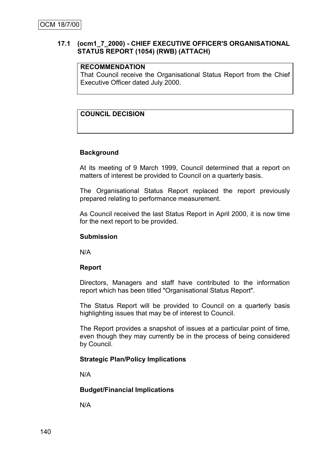# **17.1 (ocm1\_7\_2000) - CHIEF EXECUTIVE OFFICER'S ORGANISATIONAL STATUS REPORT (1054) (RWB) (ATTACH)**

# **RECOMMENDATION**

That Council receive the Organisational Status Report from the Chief Executive Officer dated July 2000.

# **COUNCIL DECISION**

### **Background**

At its meeting of 9 March 1999, Council determined that a report on matters of interest be provided to Council on a quarterly basis.

The Organisational Status Report replaced the report previously prepared relating to performance measurement.

As Council received the last Status Report in April 2000, it is now time for the next report to be provided.

#### **Submission**

N/A

#### **Report**

Directors, Managers and staff have contributed to the information report which has been titled "Organisational Status Report".

The Status Report will be provided to Council on a quarterly basis highlighting issues that may be of interest to Council.

The Report provides a snapshot of issues at a particular point of time, even though they may currently be in the process of being considered by Council.

#### **Strategic Plan/Policy Implications**

N/A

#### **Budget/Financial Implications**

N/A